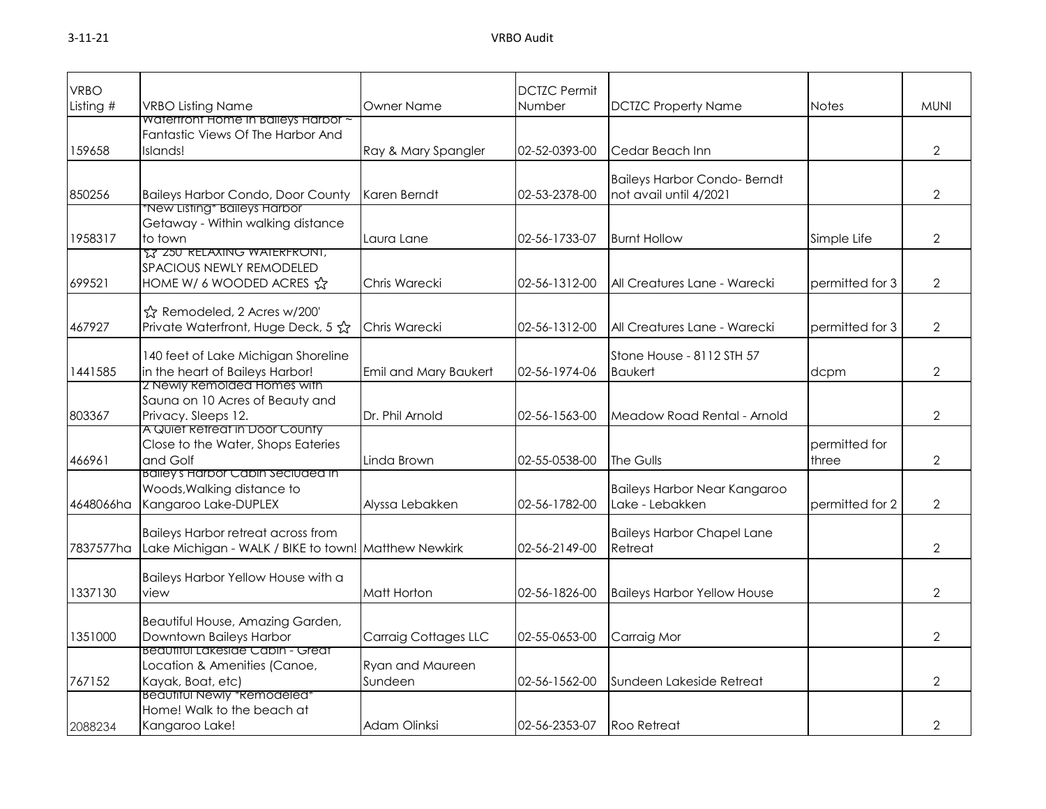| <b>VRBO</b> |                                                                          |                             | <b>DCTZC Permit</b> |                                     |                 |                |
|-------------|--------------------------------------------------------------------------|-----------------------------|---------------------|-------------------------------------|-----------------|----------------|
| Listing $#$ | <b>VRBO Listing Name</b>                                                 | <b>Owner Name</b>           | Number              | <b>DCTZC Property Name</b>          | <b>Notes</b>    | <b>MUNI</b>    |
|             | Waterfront Home In Baileys Harbor ~<br>Fantastic Views Of The Harbor And |                             |                     |                                     |                 |                |
| 159658      | Islands!                                                                 | Ray & Mary Spangler         | 02-52-0393-00       | Cedar Beach Inn                     |                 | $\overline{2}$ |
|             |                                                                          |                             |                     |                                     |                 |                |
|             |                                                                          |                             |                     | <b>Baileys Harbor Condo- Berndt</b> |                 |                |
| 850256      | <b>Baileys Harbor Condo, Door County</b>                                 | Karen Berndt                | 02-53-2378-00       | not avail until 4/2021              |                 | $\overline{2}$ |
|             | <b>*New Listing* Baileys Harbor</b>                                      |                             |                     |                                     |                 |                |
|             | Getaway - Within walking distance                                        |                             |                     |                                     |                 |                |
| 1958317     | to town<br><u>ና</u> ኛ 250 RELAXING WAIERFRONI,                           | Laura Lane                  | 02-56-1733-07       | <b>Burnt Hollow</b>                 | Simple Life     | 2              |
|             | SPACIOUS NEWLY REMODELED                                                 |                             |                     |                                     |                 |                |
| 699521      | HOME W/ 6 WOODED ACRES A                                                 | Chris Warecki               | 02-56-1312-00       | All Creatures Lane - Warecki        | permitted for 3 | $\overline{2}$ |
|             |                                                                          |                             |                     |                                     |                 |                |
|             | ☆ Remodeled, 2 Acres w/200'                                              |                             |                     |                                     |                 |                |
| 467927      | Private Waterfront, Huge Deck, 5 ☆                                       | Chris Warecki               | 02-56-1312-00       | All Creatures Lane - Warecki        | permitted for 3 | $\overline{2}$ |
|             | 140 feet of Lake Michigan Shoreline                                      |                             |                     | Stone House - 8112 STH 57           |                 |                |
| 1441585     | in the heart of Baileys Harbor!                                          | Emil and Mary Baukert       | 02-56-1974-06       | <b>Baukert</b>                      | dcpm            | $\overline{2}$ |
|             | 2 Newly Remolded Homes with                                              |                             |                     |                                     |                 |                |
|             | Sauna on 10 Acres of Beauty and                                          |                             |                     |                                     |                 |                |
| 803367      | Privacy. Sleeps 12.                                                      | Dr. Phil Arnold             | 02-56-1563-00       | Meadow Road Rental - Arnold         |                 | $\overline{2}$ |
|             | A Quiet Retreat in Door County                                           |                             |                     |                                     |                 |                |
|             | Close to the Water, Shops Eateries                                       |                             |                     |                                     | permitted for   |                |
| 466961      | and Golf<br><b>Balleys Harbor Cabin Seciuded in</b>                      | Linda Brown                 | 02-55-0538-00       | The Gulls                           | three           | $\overline{2}$ |
|             | Woods, Walking distance to                                               |                             |                     | <b>Baileys Harbor Near Kangaroo</b> |                 |                |
| 4648066ha   | Kangaroo Lake-DUPLEX                                                     | Alyssa Lebakken             | 02-56-1782-00       | Lake - Lebakken                     | permitted for 2 | $\overline{2}$ |
|             |                                                                          |                             |                     |                                     |                 |                |
|             | <b>Baileys Harbor retreat across from</b>                                |                             |                     | <b>Baileys Harbor Chapel Lane</b>   |                 |                |
| 7837577ha   | Lake Michigan - WALK / BIKE to town! Matthew Newkirk                     |                             | 02-56-2149-00       | Retreat                             |                 | $\overline{2}$ |
|             | Baileys Harbor Yellow House with a                                       |                             |                     |                                     |                 |                |
| 1337130     | view                                                                     | Matt Horton                 | 02-56-1826-00       | <b>Baileys Harbor Yellow House</b>  |                 | $\overline{2}$ |
|             |                                                                          |                             |                     |                                     |                 |                |
|             | Beautiful House, Amazing Garden,                                         |                             |                     |                                     |                 |                |
| 1351000     | Downtown Baileys Harbor                                                  | <b>Carraig Cottages LLC</b> | 02-55-0653-00       | Carraig Mor                         |                 | $\overline{2}$ |
|             | Beaufiful Lakeside Cabin - Greaf                                         |                             |                     |                                     |                 |                |
|             | Location & Amenities (Canoe,                                             | Ryan and Maureen            |                     |                                     |                 |                |
| 767152      | Kayak, Boat, etc)<br>Beaufiful Newly *Remodeled*                         | Sundeen                     | 02-56-1562-00       | Sundeen Lakeside Retreat            |                 | $\overline{2}$ |
|             | Home! Walk to the beach at                                               |                             |                     |                                     |                 |                |
| 2088234     | Kangaroo Lake!                                                           | Adam Olinksi                | 02-56-2353-07       | <b>Roo Retreat</b>                  |                 | 2              |
|             |                                                                          |                             |                     |                                     |                 |                |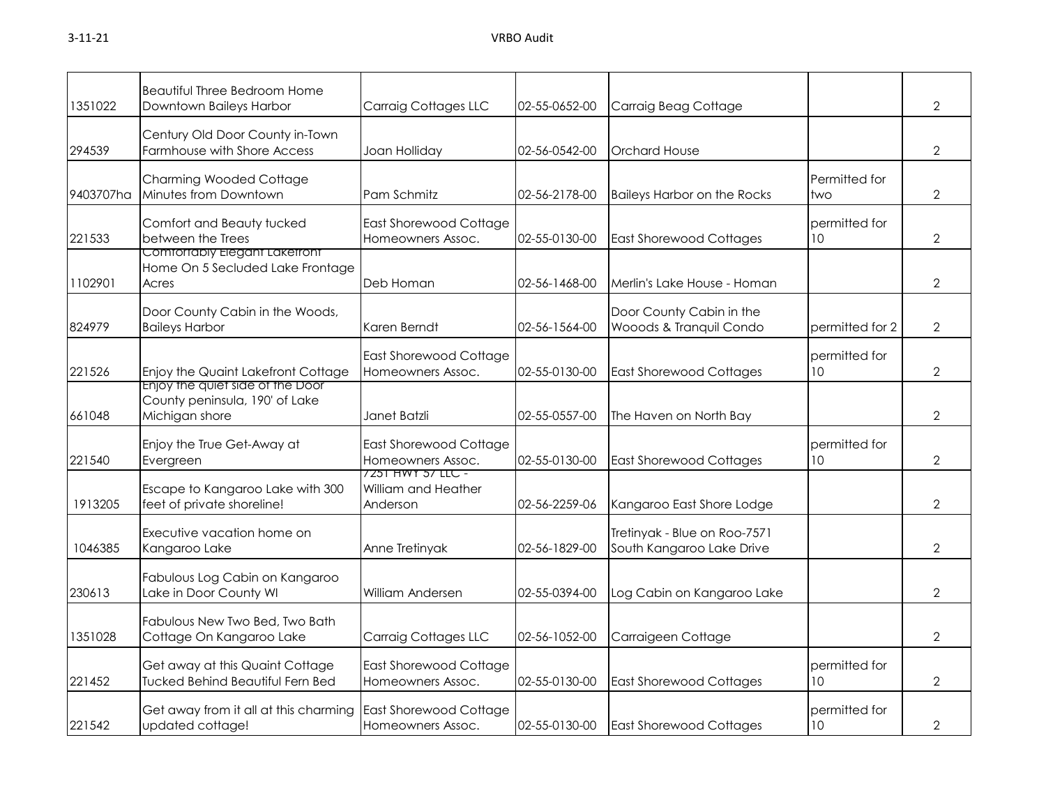| 1351022   | <b>Beautiful Three Bedroom Home</b><br>Downtown Baileys Harbor                       | <b>Carraig Cottages LLC</b>                          | 02-55-0652-00 | Carraig Beag Cottage                                      |                      | $\overline{2}$ |
|-----------|--------------------------------------------------------------------------------------|------------------------------------------------------|---------------|-----------------------------------------------------------|----------------------|----------------|
| 294539    | Century Old Door County in-Town<br>Farmhouse with Shore Access                       | Joan Holliday                                        | 02-56-0542-00 | <b>Orchard House</b>                                      |                      | $\overline{2}$ |
| 9403707ha | <b>Charming Wooded Cottage</b><br>Minutes from Downtown                              | Pam Schmitz                                          | 02-56-2178-00 | <b>Baileys Harbor on the Rocks</b>                        | Permitted for<br>two | $\overline{2}$ |
| 221533    | Comfort and Beauty tucked<br>between the Trees                                       | East Shorewood Cottage<br>Homeowners Assoc.          | 02-55-0130-00 | <b>East Shorewood Cottages</b>                            | permitted for<br>10  | $\overline{2}$ |
| 1102901   | Comfortably Elegant Laketront<br>Home On 5 Secluded Lake Frontage<br>Acres           | Deb Homan                                            | 02-56-1468-00 | Merlin's Lake House - Homan                               |                      | $\overline{2}$ |
| 824979    | Door County Cabin in the Woods,<br><b>Baileys Harbor</b>                             | Karen Berndt                                         | 02-56-1564-00 | Door County Cabin in the<br>Wooods & Tranquil Condo       | permitted for 2      | $\overline{2}$ |
| 221526    | Enjoy the Quaint Lakefront Cottage                                                   | <b>East Shorewood Cottage</b><br>Homeowners Assoc.   | 02-55-0130-00 | <b>East Shorewood Cottages</b>                            | permitted for<br>10  | 2              |
| 661048    | Enjoy the quiet side of the Door<br>County peninsula, 190' of Lake<br>Michigan shore | Janet Batzli                                         | 02-55-0557-00 | The Haven on North Bay                                    |                      | $\overline{2}$ |
| 221540    | Enjoy the True Get-Away at<br>Evergreen                                              | <b>East Shorewood Cottage</b><br>Homeowners Assoc.   | 02-55-0130-00 | <b>East Shorewood Cottages</b>                            | permitted for<br>10  | 2              |
| 1913205   | Escape to Kangaroo Lake with 300<br>feet of private shoreline!                       | 7251 HWY 57 LLC -<br>William and Heather<br>Anderson | 02-56-2259-06 | Kangaroo East Shore Lodge                                 |                      | $\overline{2}$ |
| 1046385   | Executive vacation home on<br>Kangaroo Lake                                          | Anne Tretinyak                                       | 02-56-1829-00 | Tretinyak - Blue on Roo-7571<br>South Kangaroo Lake Drive |                      | $\overline{2}$ |
| 230613    | Fabulous Log Cabin on Kangaroo<br>Lake in Door County WI                             | William Andersen                                     | 02-55-0394-00 | Log Cabin on Kangaroo Lake                                |                      | $\overline{2}$ |
| 1351028   | Fabulous New Two Bed, Two Bath<br>Cottage On Kangaroo Lake                           | <b>Carraig Cottages LLC</b>                          | 02-56-1052-00 | Carraigeen Cottage                                        |                      | $\overline{2}$ |
| 221452    | Get away at this Quaint Cottage<br><b>Tucked Behind Beautiful Fern Bed</b>           | <b>East Shorewood Cottage</b><br>Homeowners Assoc.   | 02-55-0130-00 | <b>East Shorewood Cottages</b>                            | permitted for<br>10  | $\mathbf{2}$   |
| 221542    | Get away from it all at this charming<br>updated cottage!                            | <b>East Shorewood Cottage</b><br>Homeowners Assoc.   | 02-55-0130-00 | <b>East Shorewood Cottages</b>                            | permitted for<br>10  | $\overline{2}$ |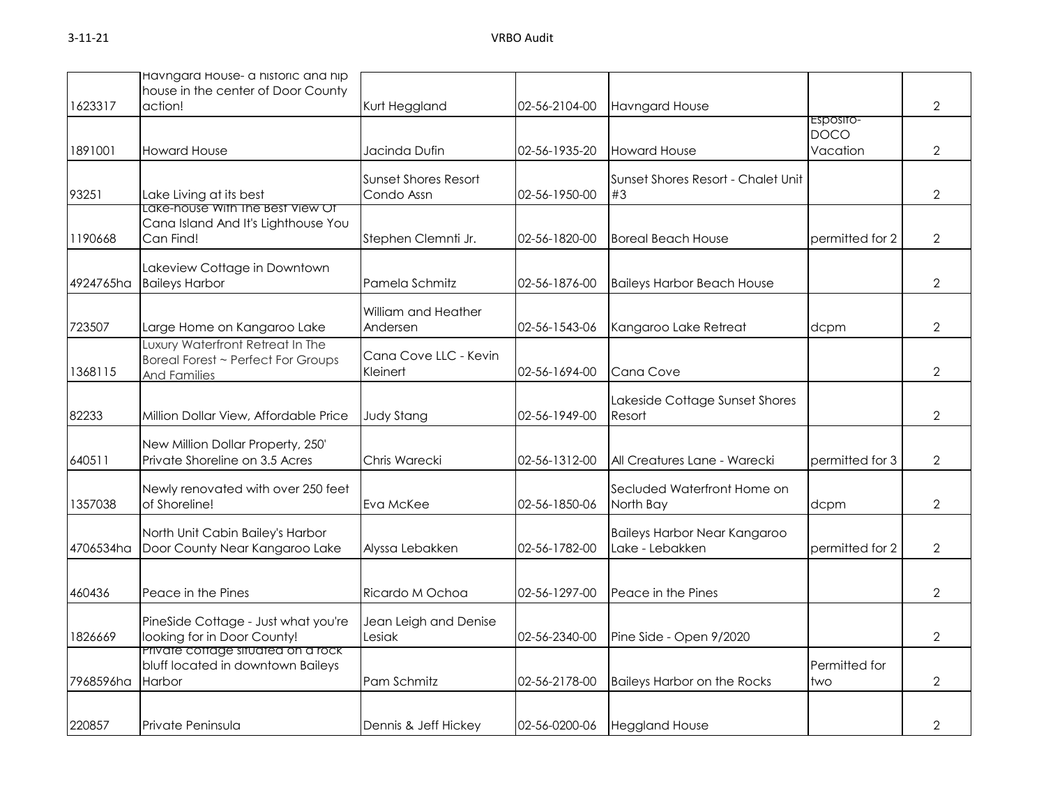|           | Havngard House- a historic and hip<br>house in the center of Door County                      |                                           |               |                                                 |                                      |                |
|-----------|-----------------------------------------------------------------------------------------------|-------------------------------------------|---------------|-------------------------------------------------|--------------------------------------|----------------|
| 1623317   | action!                                                                                       | Kurt Heggland                             | 02-56-2104-00 | <b>Havngard House</b>                           |                                      | 2              |
| 1891001   | <b>Howard House</b>                                                                           | Jacinda Dufin                             | 02-56-1935-20 | <b>Howard House</b>                             | Esposito-<br><b>DOCO</b><br>Vacation | $\overline{2}$ |
| 93251     | Lake Living at its best                                                                       | <b>Sunset Shores Resort</b><br>Condo Assn | 02-56-1950-00 | Sunset Shores Resort - Chalet Unit<br>#3        |                                      | 2              |
| 1190668   | Lake-house With The Best View Of<br>Cana Island And It's Lighthouse You<br>Can Find!          | Stephen Clemnti Jr.                       | 02-56-1820-00 | <b>Boreal Beach House</b>                       | permitted for 2                      | $\overline{2}$ |
| 4924765ha | Lakeview Cottage in Downtown<br><b>Baileys Harbor</b>                                         | Pamela Schmitz                            | 02-56-1876-00 | <b>Baileys Harbor Beach House</b>               |                                      | 2              |
| 723507    | Large Home on Kangaroo Lake                                                                   | William and Heather<br>Andersen           | 02-56-1543-06 | Kangaroo Lake Retreat                           | dcpm                                 | $\overline{2}$ |
| 1368115   | Luxury Waterfront Retreat In The<br>Boreal Forest ~ Perfect For Groups<br><b>And Families</b> | Cana Cove LLC - Kevin<br>Kleinert         | 02-56-1694-00 | Cana Cove                                       |                                      | $\mathcal{P}$  |
| 82233     | Million Dollar View, Affordable Price                                                         | <b>Judy Stang</b>                         | 02-56-1949-00 | Lakeside Cottage Sunset Shores<br>Resort        |                                      | $\overline{2}$ |
| 640511    | New Million Dollar Property, 250'<br>Private Shoreline on 3.5 Acres                           | Chris Warecki                             | 02-56-1312-00 | All Creatures Lane - Warecki                    | permitted for 3                      | $\overline{2}$ |
| 1357038   | Newly renovated with over 250 feet<br>of Shoreline!                                           | Eva McKee                                 | 02-56-1850-06 | Secluded Waterfront Home on<br>North Bay        | dcpm                                 | $\overline{2}$ |
| 4706534ha | North Unit Cabin Bailey's Harbor<br>Door County Near Kangaroo Lake                            | Alyssa Lebakken                           | 02-56-1782-00 | Baileys Harbor Near Kangaroo<br>Lake - Lebakken | permitted for 2                      | $\overline{2}$ |
| 460436    | Peace in the Pines                                                                            | Ricardo M Ochoa                           | 02-56-1297-00 | Peace in the Pines                              |                                      | $\overline{2}$ |
| 1826669   | PineSide Cottage - Just what you're<br>looking for in Door County!                            | Jean Leigh and Denise<br>Lesiak           | 02-56-2340-00 | Pine Side - Open 9/2020                         |                                      | $\overline{2}$ |
| 7968596ha | Private cottage situated on a rock<br>bluff located in downtown Baileys<br>Harbor             | Pam Schmitz                               | 02-56-2178-00 | <b>Baileys Harbor on the Rocks</b>              | Permitted for<br>two                 | $\mathbf{2}$   |
| 220857    | Private Peninsula                                                                             | Dennis & Jeff Hickey                      | 02-56-0200-06 | <b>Heggland House</b>                           |                                      | 2              |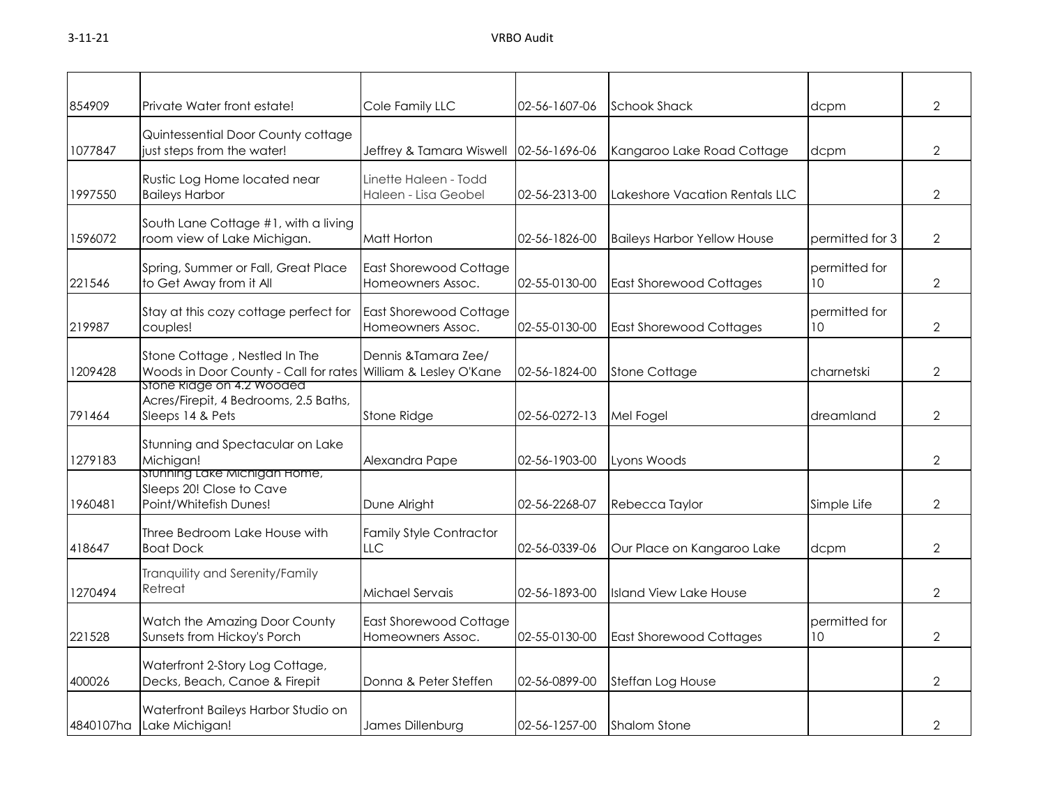| 854909    | Private Water front estate!                                                                    | Cole Family LLC                                    | 02-56-1607-06 | <b>Schook Shack</b>                | dcpm                             | $\overline{2}$ |
|-----------|------------------------------------------------------------------------------------------------|----------------------------------------------------|---------------|------------------------------------|----------------------------------|----------------|
| 1077847   | Quintessential Door County cottage<br>just steps from the water!                               | Jeffrey & Tamara Wiswell                           | 02-56-1696-06 | Kangaroo Lake Road Cottage         | dcpm                             | $\overline{2}$ |
| 1997550   | Rustic Log Home located near<br><b>Baileys Harbor</b>                                          | Linette Haleen - Todd<br>Haleen - Lisa Geobel      | 02-56-2313-00 | Lakeshore Vacation Rentals LLC     |                                  | $\overline{2}$ |
| 1596072   | South Lane Cottage #1, with a living<br>room view of Lake Michigan.                            | <b>Matt Horton</b>                                 | 02-56-1826-00 | <b>Baileys Harbor Yellow House</b> | permitted for 3                  | $\overline{2}$ |
| 221546    | Spring, Summer or Fall, Great Place<br>to Get Away from it All                                 | <b>East Shorewood Cottage</b><br>Homeowners Assoc. | 02-55-0130-00 | <b>East Shorewood Cottages</b>     | permitted for<br>10 <sup>°</sup> | $\overline{2}$ |
| 219987    | Stay at this cozy cottage perfect for<br>couples!                                              | <b>East Shorewood Cottage</b><br>Homeowners Assoc. | 02-55-0130-00 | <b>East Shorewood Cottages</b>     | permitted for<br>10              | $\overline{2}$ |
| 1209428   | Stone Cottage, Nestled In The<br>Woods in Door County - Call for rates William & Lesley O'Kane | Dennis & Tamara Zee/                               | 02-56-1824-00 | <b>Stone Cottage</b>               | charnetski                       | $\overline{2}$ |
| 791464    | stone kidge on 4.2 wooded<br>Acres/Firepit, 4 Bedrooms, 2.5 Baths,<br>Sleeps 14 & Pets         | <b>Stone Ridge</b>                                 | 02-56-0272-13 | Mel Fogel                          | dreamland                        | $\overline{2}$ |
| 1279183   | Stunning and Spectacular on Lake<br>Michigan!                                                  | Alexandra Pape                                     | 02-56-1903-00 | Lyons Woods                        |                                  | $\overline{2}$ |
| 1960481   | stunning Lake Michigan Home,<br>Sleeps 20! Close to Cave<br>Point/Whitefish Dunes!             | Dune Alright                                       | 02-56-2268-07 | Rebecca Taylor                     | Simple Life                      | $\overline{2}$ |
| 418647    | Three Bedroom Lake House with<br><b>Boat Dock</b>                                              | <b>Family Style Contractor</b><br><b>LLC</b>       | 02-56-0339-06 | Our Place on Kangaroo Lake         | dcpm                             | $\overline{2}$ |
| 1270494   | Tranquility and Serenity/Family<br>Retreat                                                     | Michael Servais                                    | 02-56-1893-00 | <b>Island View Lake House</b>      |                                  | $\overline{2}$ |
| 221528    | Watch the Amazing Door County<br>Sunsets from Hickoy's Porch                                   | <b>East Shorewood Cottage</b><br>Homeowners Assoc. | 02-55-0130-00 | <b>East Shorewood Cottages</b>     | permitted for<br>10              | $\mathbf{2}$   |
| 400026    | Waterfront 2-Story Log Cottage,<br>Decks, Beach, Canoe & Firepit                               | Donna & Peter Steffen                              | 02-56-0899-00 | Steffan Log House                  |                                  | $\overline{2}$ |
| 4840107ha | Waterfront Baileys Harbor Studio on<br>Lake Michigan!                                          | James Dillenburg                                   | 02-56-1257-00 | <b>Shalom Stone</b>                |                                  | $\overline{2}$ |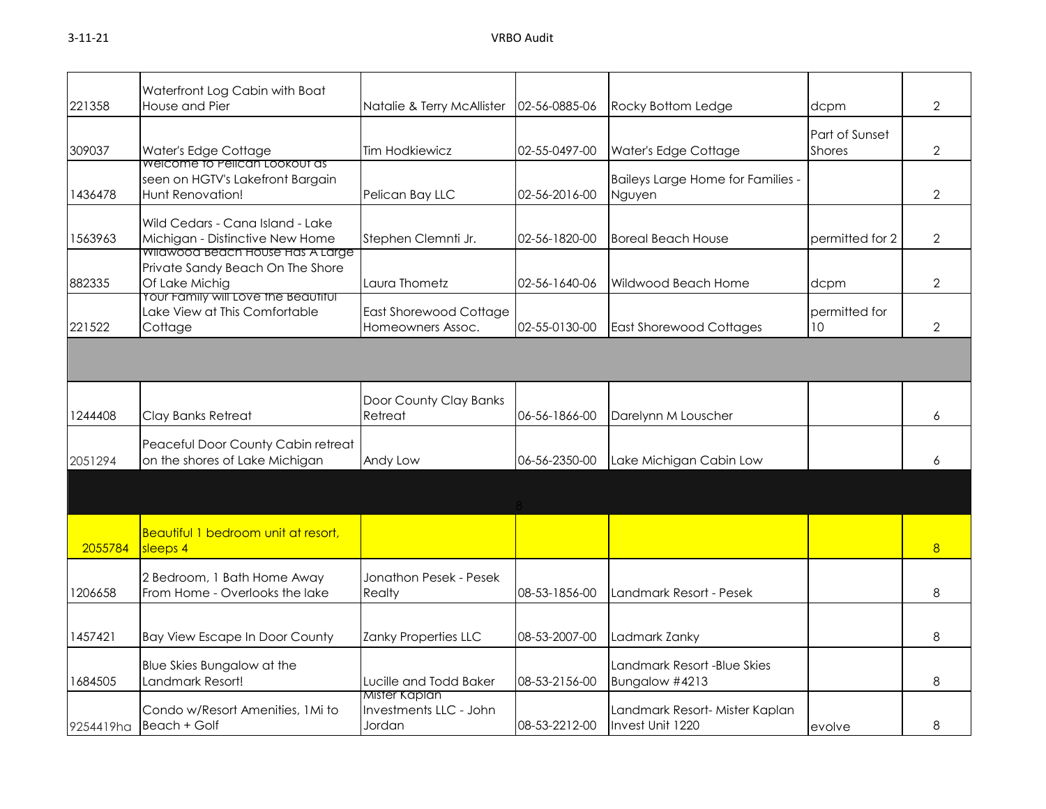|           | Waterfront Log Cabin with Boat                                                                          |                                                   |               |                                                    |                                 |                |
|-----------|---------------------------------------------------------------------------------------------------------|---------------------------------------------------|---------------|----------------------------------------------------|---------------------------------|----------------|
| 221358    | House and Pier                                                                                          | Natalie & Terry McAllister                        | 02-56-0885-06 | Rocky Bottom Ledge                                 | dcpm                            | $\overline{2}$ |
| 309037    | Water's Edge Cottage<br>weicome to Pelican Lookout as                                                   | <b>Tim Hodkiewicz</b>                             | 02-55-0497-00 | Water's Edge Cottage                               | Part of Sunset<br><b>Shores</b> | $\overline{2}$ |
| 1436478   | seen on HGTV's Lakefront Bargain<br>Hunt Renovation!                                                    | Pelican Bay LLC                                   | 02-56-2016-00 | Baileys Large Home for Families -<br>Nguyen        |                                 | $\overline{2}$ |
| 1563963   | Wild Cedars - Cana Island - Lake<br>Michigan - Distinctive New Home<br>Wildwood Beach House Has A Large | Stephen Clemnti Jr.                               | 02-56-1820-00 | <b>Boreal Beach House</b>                          | permitted for 2                 | $\overline{2}$ |
| 882335    | Private Sandy Beach On The Shore<br>Of Lake Michig<br>Your Family will Love the Beautitul               | Laura Thometz                                     | 02-56-1640-06 | Wildwood Beach Home                                | dcpm                            | $\overline{2}$ |
| 221522    | Lake View at This Comfortable<br>Cottage                                                                | East Shorewood Cottage<br>Homeowners Assoc.       | 02-55-0130-00 | <b>East Shorewood Cottages</b>                     | permitted for<br>10             | $\overline{2}$ |
|           |                                                                                                         |                                                   |               |                                                    |                                 |                |
| 1244408   | Clay Banks Retreat                                                                                      | Door County Clay Banks<br>Retreat                 | 06-56-1866-00 | Darelynn M Louscher                                |                                 | 6              |
| 2051294   | Peaceful Door County Cabin retreat<br>on the shores of Lake Michigan                                    | Andy Low                                          | 06-56-2350-00 | Lake Michigan Cabin Low                            |                                 | 6              |
|           |                                                                                                         |                                                   |               |                                                    |                                 |                |
| 2055784   | Beautiful 1 bedroom unit at resort,<br>sleeps 4                                                         |                                                   |               |                                                    |                                 | 8              |
| 1206658   | 2 Bedroom, 1 Bath Home Away<br>From Home - Overlooks the lake                                           | Jonathon Pesek - Pesek<br>Realty                  | 08-53-1856-00 | Landmark Resort - Pesek                            |                                 | 8              |
| 1457421   | <b>Bay View Escape In Door County</b>                                                                   | Zanky Properties LLC                              | 08-53-2007-00 | Ladmark Zanky                                      |                                 | 8              |
| 1684505   | Blue Skies Bungalow at the<br>Landmark Resort!                                                          | Lucille and Todd Baker                            | 08-53-2156-00 | Landmark Resort -Blue Skies<br>Bungalow #4213      |                                 | 8              |
| 9254419ha | Condo w/Resort Amenities, 1Mi to<br>Beach + Golf                                                        | Mister Kaplan<br>Investments LLC - John<br>Jordan | 08-53-2212-00 | Landmark Resort- Mister Kaplan<br>Invest Unit 1220 | evolve                          | 8              |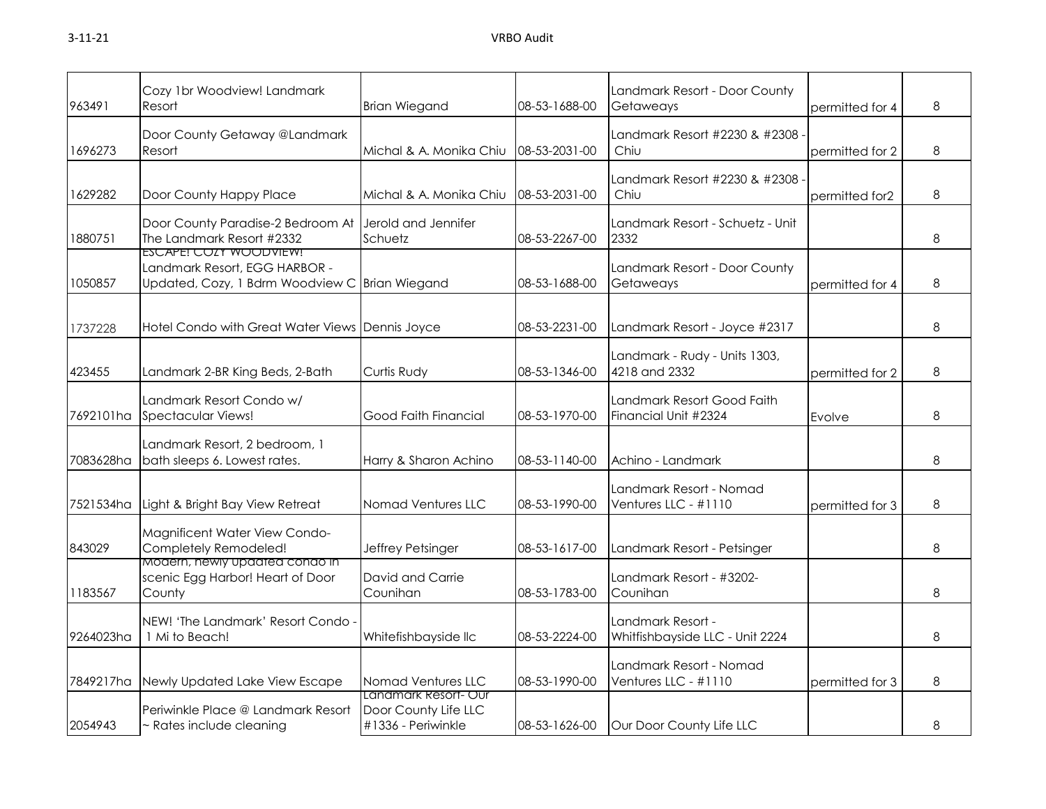| 963491    | Cozy 1br Woodview! Landmark<br>Resort                                                                     | <b>Brian Wiegand</b>                                               | 08-53-1688-00 | Landmark Resort - Door County<br>Getaweays           | permitted for 4 | 8 |
|-----------|-----------------------------------------------------------------------------------------------------------|--------------------------------------------------------------------|---------------|------------------------------------------------------|-----------------|---|
| 1696273   | Door County Getaway @Landmark<br>Resort                                                                   | Michal & A. Monika Chiu                                            | 08-53-2031-00 | Landmark Resort #2230 & #2308<br>Chiu                | permitted for 2 | 8 |
| 1629282   | Door County Happy Place                                                                                   | Michal & A. Monika Chiu                                            | 08-53-2031-00 | Landmark Resort #2230 & #2308<br>Chiu                | permitted for2  | 8 |
| 1880751   | Door County Paradise-2 Bedroom At<br>The Landmark Resort #2332                                            | Jerold and Jennifer<br>Schuetz                                     | 08-53-2267-00 | Landmark Resort - Schuetz - Unit<br>2332             |                 | 8 |
| 1050857   | ESCAPE! COZY WOODVIEW!<br>Landmark Resort, EGG HARBOR -<br>Updated, Cozy, 1 Bdrm Woodview C Brian Wiegand |                                                                    | 08-53-1688-00 | Landmark Resort - Door County<br>Getaweays           | permitted for 4 | 8 |
| 1737228   | Hotel Condo with Great Water Views Dennis Joyce                                                           |                                                                    | 08-53-2231-00 | Landmark Resort - Joyce #2317                        |                 | 8 |
| 423455    | Landmark 2-BR King Beds, 2-Bath                                                                           | Curtis Rudy                                                        | 08-53-1346-00 | Landmark - Rudy - Units 1303,<br>4218 and 2332       | permitted for 2 | 8 |
| 7692101ha | Landmark Resort Condo w/<br>Spectacular Views!                                                            | Good Faith Financial                                               | 08-53-1970-00 | Landmark Resort Good Faith<br>Financial Unit #2324   | Evolve          | 8 |
| 7083628ha | Landmark Resort, 2 bedroom, 1<br>bath sleeps 6. Lowest rates.                                             | Harry & Sharon Achino                                              | 08-53-1140-00 | Achino - Landmark                                    |                 | 8 |
| 7521534ha | Light & Bright Bay View Retreat                                                                           | Nomad Ventures LLC                                                 | 08-53-1990-00 | Landmark Resort - Nomad<br>Ventures LLC - $\#1110$   | permitted for 3 | 8 |
| 843029    | Magnificent Water View Condo-<br>Completely Remodeled!                                                    | Jeffrey Petsinger                                                  | 08-53-1617-00 | Landmark Resort - Petsinger                          |                 | 8 |
| 1183567   | Modern, newly updated condo in<br>scenic Egg Harbor! Heart of Door<br>County                              | David and Carrie<br>Counihan                                       | 08-53-1783-00 | Landmark Resort - #3202-<br>Counihan                 |                 | 8 |
| 9264023ha | NEW! 'The Landmark' Resort Condo<br>1 Mi to Beach!                                                        | Whitefishbayside llc                                               | 08-53-2224-00 | Landmark Resort -<br>Whitfishbayside LLC - Unit 2224 |                 | 8 |
| 7849217ha | Newly Updated Lake View Escape                                                                            | Nomad Ventures LLC                                                 | 08-53-1990-00 | Landmark Resort - Nomad<br>Ventures LLC - #1110      | permitted for 3 | 8 |
| 2054943   | Periwinkle Place @ Landmark Resort<br>~ Rates include cleaning                                            | Landmark Resort- Our<br>Door County Life LLC<br>#1336 - Periwinkle | 08-53-1626-00 | Our Door County Life LLC                             |                 | 8 |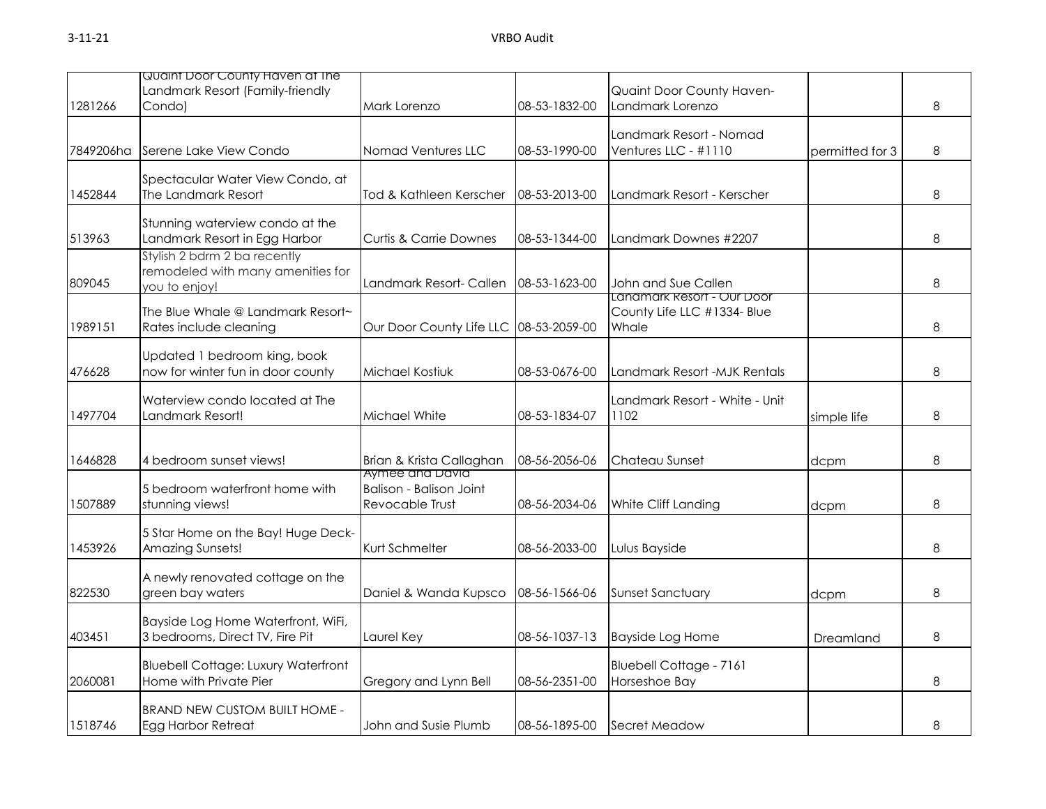|           | Quaint Door County Haven at The                                                    |                                                                      |               |                                                   |                 |   |
|-----------|------------------------------------------------------------------------------------|----------------------------------------------------------------------|---------------|---------------------------------------------------|-----------------|---|
|           | Landmark Resort (Family-friendly                                                   |                                                                      |               | Quaint Door County Haven-                         |                 |   |
| 1281266   | Condo)                                                                             | Mark Lorenzo                                                         | 08-53-1832-00 | Landmark Lorenzo                                  |                 | 8 |
| 7849206ha | Serene Lake View Condo                                                             | Nomad Ventures LLC                                                   | 08-53-1990-00 | Landmark Resort - Nomad<br>Ventures LLC - #1110   | permitted for 3 | 8 |
| 1452844   | Spectacular Water View Condo, at<br>The Landmark Resort                            | Tod & Kathleen Kerscher                                              | 08-53-2013-00 | Landmark Resort - Kerscher                        |                 | 8 |
| 513963    | Stunning waterview condo at the<br>Landmark Resort in Egg Harbor                   | <b>Curtis &amp; Carrie Downes</b>                                    | 08-53-1344-00 | Landmark Downes #2207                             |                 | 8 |
| 809045    | Stylish 2 bdrm 2 ba recently<br>remodeled with many amenities for<br>you to enjoy! | Landmark Resort- Callen                                              | 08-53-1623-00 | John and Sue Callen<br>Landmark Resort - Our Door |                 | 8 |
| 1989151   | The Blue Whale @ Landmark Resort~<br>Rates include cleaning                        | Our Door County Life LLC 08-53-2059-00                               |               | County Life LLC #1334- Blue<br>Whale              |                 | 8 |
| 476628    | Updated 1 bedroom king, book<br>now for winter fun in door county                  | Michael Kostiuk                                                      | 08-53-0676-00 | Landmark Resort - MJK Rentals                     |                 | 8 |
| 1497704   | Waterview condo located at The<br>Landmark Resort!                                 | Michael White                                                        | 08-53-1834-07 | Landmark Resort - White - Unit<br>1102            | simple life     | 8 |
| 1646828   | 4 bedroom sunset views!                                                            | Brian & Krista Callaghan                                             | 08-56-2056-06 | Chateau Sunset                                    | dcpm            | 8 |
| 1507889   | 5 bedroom waterfront home with<br>stunning views!                                  | Aymee ana Davia<br><b>Balison - Balison Joint</b><br>Revocable Trust | 08-56-2034-06 | White Cliff Landing                               | dcpm            | 8 |
| 1453926   | 5 Star Home on the Bay! Huge Deck-<br>Amazing Sunsets!                             | Kurt Schmelter                                                       | 08-56-2033-00 | Lulus Bayside                                     |                 | 8 |
| 822530    | A newly renovated cottage on the<br>green bay waters                               | Daniel & Wanda Kupsco                                                | 08-56-1566-06 | <b>Sunset Sanctuary</b>                           | dcpm            | 8 |
| 403451    | Bayside Log Home Waterfront, WiFi,<br>3 bedrooms, Direct TV, Fire Pit              | Laurel Key                                                           | 08-56-1037-13 | <b>Bayside Log Home</b>                           | Dreamland       | 8 |
| 2060081   | <b>Bluebell Cottage: Luxury Waterfront</b><br>Home with Private Pier               | Gregory and Lynn Bell                                                | 08-56-2351-00 | <b>Bluebell Cottage - 7161</b><br>Horseshoe Bay   |                 | 8 |
| 1518746   | <b>BRAND NEW CUSTOM BUILT HOME -</b><br>Egg Harbor Retreat                         | John and Susie Plumb                                                 | 08-56-1895-00 | Secret Meadow                                     |                 | 8 |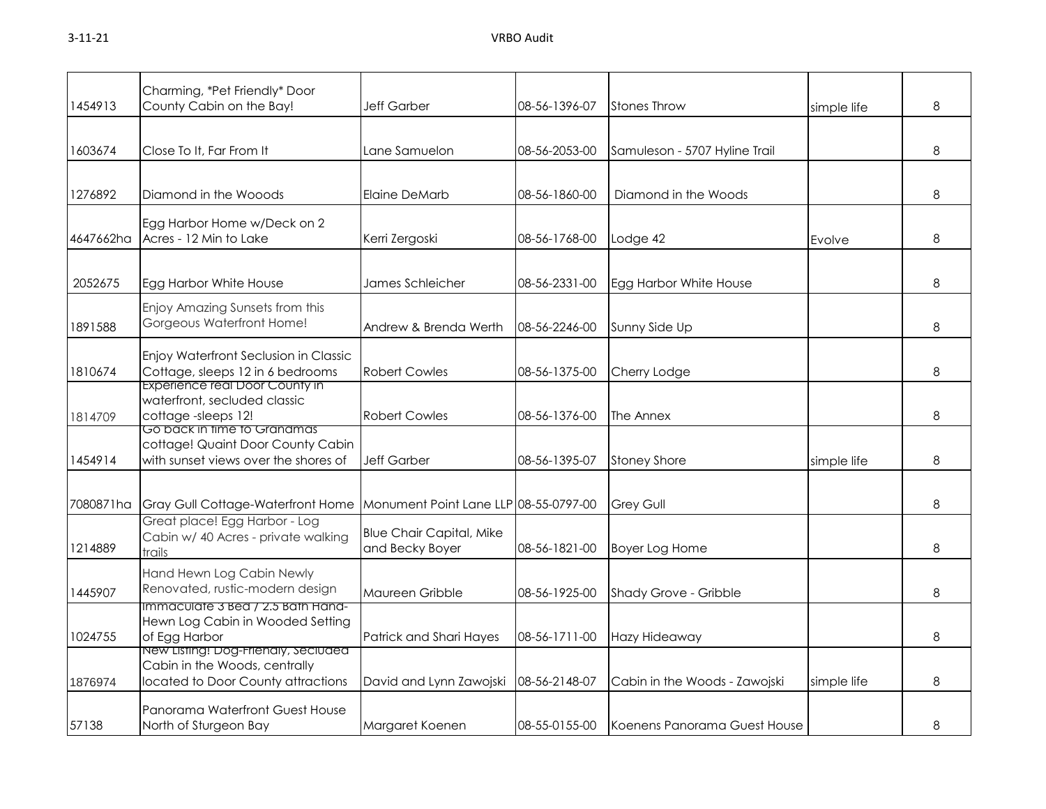| 1454913   | Charming, *Pet Friendly* Door<br>County Cabin on the Bay!                                                   | Jeff Garber                                        | 08-56-1396-07 | <b>Stones Throw</b>           | simple life | 8 |
|-----------|-------------------------------------------------------------------------------------------------------------|----------------------------------------------------|---------------|-------------------------------|-------------|---|
| 1603674   | Close To It, Far From It                                                                                    | Lane Samuelon                                      | 08-56-2053-00 | Samuleson - 5707 Hyline Trail |             | 8 |
| 1276892   | Diamond in the Wooods                                                                                       | <b>Elaine DeMarb</b>                               | 08-56-1860-00 | Diamond in the Woods          |             | 8 |
| 4647662ha | Egg Harbor Home w/Deck on 2<br>Acres - 12 Min to Lake                                                       | Kerri Zergoski                                     | 08-56-1768-00 | Lodge 42                      | Evolve      | 8 |
| 2052675   | Egg Harbor White House                                                                                      | James Schleicher                                   | 08-56-2331-00 | Egg Harbor White House        |             | 8 |
| 1891588   | Enjoy Amazing Sunsets from this<br>Gorgeous Waterfront Home!                                                | Andrew & Brenda Werth                              | 08-56-2246-00 | Sunny Side Up                 |             | 8 |
| 1810674   | Enjoy Waterfront Seclusion in Classic<br>Cottage, sleeps 12 in 6 bedrooms<br>Experience real Door County in | <b>Robert Cowles</b>                               | 08-56-1375-00 | Cherry Lodge                  |             | 8 |
| 1814709   | waterfront, secluded classic<br>cottage-sleeps 12!                                                          | <b>Robert Cowles</b>                               | 08-56-1376-00 | The Annex                     |             | 8 |
| 1454914   | Go back in time to Granamas<br>cottage! Quaint Door County Cabin<br>with sunset views over the shores of    | <b>Jeff Garber</b>                                 | 08-56-1395-07 | <b>Stoney Shore</b>           | simple life | 8 |
| 7080871ha | <b>Gray Gull Cottage-Waterfront Home</b>                                                                    | Monument Point Lane LLP 08-55-0797-00              |               | <b>Grey Gull</b>              |             | 8 |
| 1214889   | Great place! Egg Harbor - Log<br>Cabin w/ 40 Acres - private walking<br>trails                              | <b>Blue Chair Capital, Mike</b><br>and Becky Boyer | 08-56-1821-00 | <b>Boyer Log Home</b>         |             | 8 |
| 1445907   | Hand Hewn Log Cabin Newly<br>Renovated, rustic-modern design                                                | Maureen Gribble                                    | 08-56-1925-00 | Shady Grove - Gribble         |             | 8 |
| 1024755   | immaculate 3 Bea / 2.5 Bath Hana-<br>Hewn Log Cabin in Wooded Setting<br>of Egg Harbor                      | Patrick and Shari Hayes                            | 08-56-1711-00 | Hazy Hideaway                 |             | 8 |
| 1876974   | New Listing! Dog-Friendly, Secluded<br>Cabin in the Woods, centrally<br>located to Door County attractions  | David and Lynn Zawojski                            | 08-56-2148-07 | Cabin in the Woods - Zawojski | simple life | 8 |
| 57138     | Panorama Waterfront Guest House<br>North of Sturgeon Bay                                                    | Margaret Koenen                                    | 08-55-0155-00 | Koenens Panorama Guest House  |             | 8 |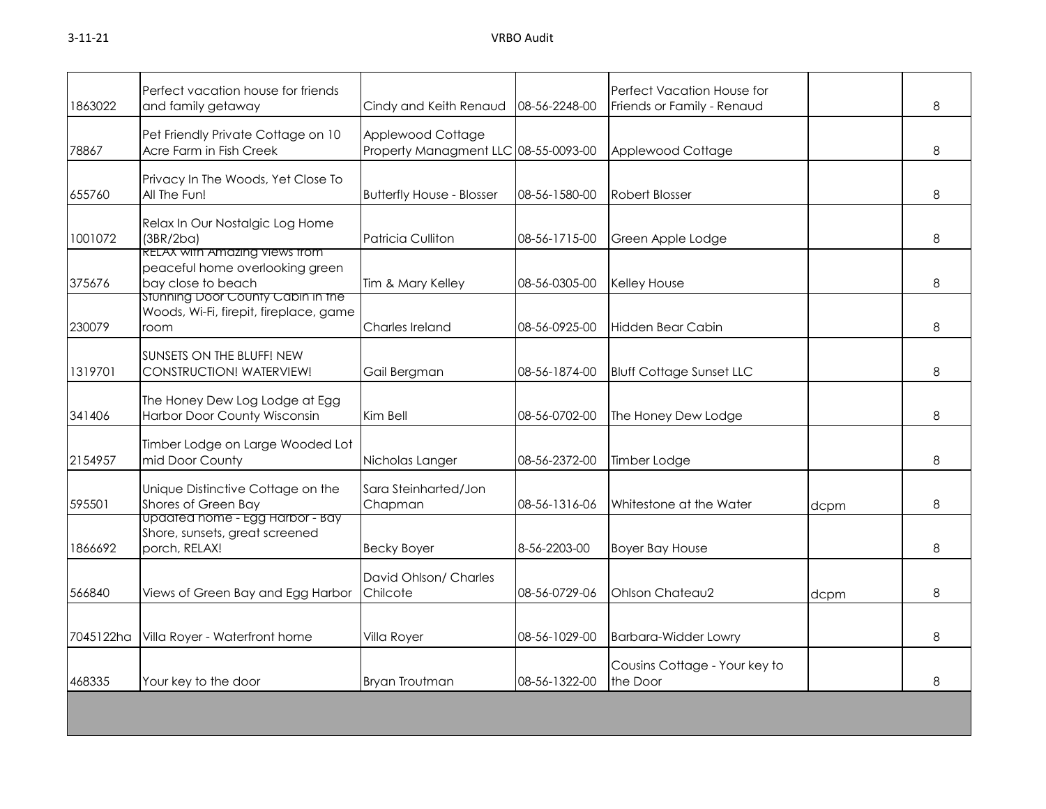| 1863022   | Perfect vacation house for friends<br>and family getaway                                   | Cindy and Keith Renaud                                    | 08-56-2248-00 | Perfect Vacation House for<br>Friends or Family - Renaud |      | 8             |
|-----------|--------------------------------------------------------------------------------------------|-----------------------------------------------------------|---------------|----------------------------------------------------------|------|---------------|
| 78867     | Pet Friendly Private Cottage on 10<br>Acre Farm in Fish Creek                              | Applewood Cottage<br>Property Managment LLC 08-55-0093-00 |               | Applewood Cottage                                        |      | 8             |
| 655760    | Privacy In The Woods, Yet Close To<br>All The Fun!                                         | <b>Butterfly House - Blosser</b>                          | 08-56-1580-00 | Robert Blosser                                           |      | 8             |
| 1001072   | Relax In Our Nostalgic Log Home<br>(3BR/2ba)<br><b>RELAX with Amazing views from</b>       | <b>Patricia Culliton</b>                                  | 08-56-1715-00 | Green Apple Lodge                                        |      | 8             |
| 375676    | peaceful home overlooking green<br>bay close to beach<br>Stunning Door County Cabin in the | Tim & Mary Kelley                                         | 08-56-0305-00 | Kelley House                                             |      | $\mathcal{B}$ |
| 230079    | Woods, Wi-Fi, firepit, fireplace, game<br>room                                             | Charles Ireland                                           | 08-56-0925-00 | Hidden Bear Cabin                                        |      | 8             |
| 1319701   | SUNSETS ON THE BLUFF! NEW<br>CONSTRUCTION! WATERVIEW!                                      | Gail Bergman                                              | 08-56-1874-00 | <b>Bluff Cottage Sunset LLC</b>                          |      | 8             |
| 341406    | The Honey Dew Log Lodge at Egg<br>Harbor Door County Wisconsin                             | Kim Bell                                                  | 08-56-0702-00 | The Honey Dew Lodge                                      |      | 8             |
| 2154957   | Timber Lodge on Large Wooded Lot<br>mid Door County                                        | Nicholas Langer                                           | 08-56-2372-00 | Timber Lodge                                             |      | 8             |
| 595501    | Unique Distinctive Cottage on the<br>Shores of Green Bay                                   | Sara Steinharted/Jon<br>Chapman                           | 08-56-1316-06 | Whitestone at the Water                                  | dcpm | 8             |
| 1866692   | Updated home - Egg Harbor - Bay<br>Shore, sunsets, great screened<br>porch, RELAX!         | <b>Becky Boyer</b>                                        | 8-56-2203-00  | <b>Boyer Bay House</b>                                   |      | 8             |
| 566840    | Views of Green Bay and Egg Harbor                                                          | David Ohlson/ Charles<br>Chilcote                         | 08-56-0729-06 | Ohlson Chateau2                                          | dcpm | $\mathcal{B}$ |
| 7045122ha | Villa Royer - Waterfront home                                                              | Villa Royer                                               | 08-56-1029-00 | <b>Barbara-Widder Lowry</b>                              |      | 8             |
| 468335    | Your key to the door                                                                       | <b>Bryan Troutman</b>                                     | 08-56-1322-00 | Cousins Cottage - Your key to<br>the Door                |      | 8             |
|           |                                                                                            |                                                           |               |                                                          |      |               |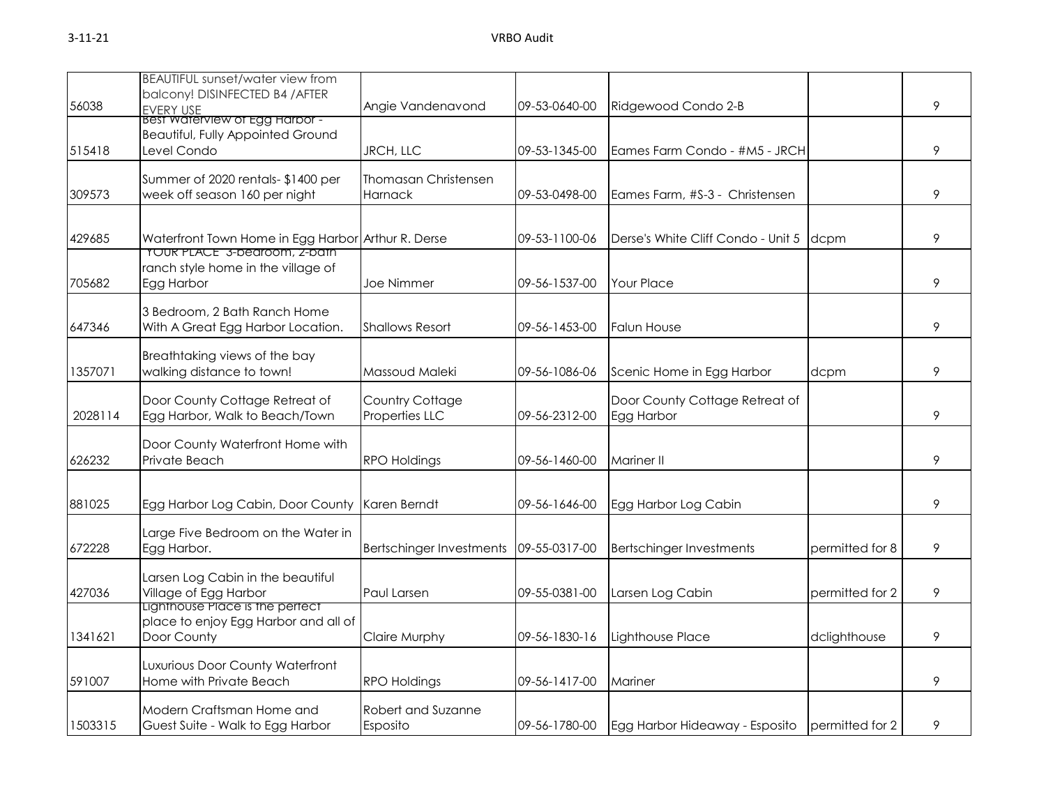|         | <b>BEAUTIFUL sunset/water view from</b>            |                                 |               |                                    |                 |   |
|---------|----------------------------------------------------|---------------------------------|---------------|------------------------------------|-----------------|---|
|         | balcony! DISINFECTED B4 / AFTER                    |                                 |               |                                    |                 |   |
| 56038   | <b>EVERY USE</b>                                   | Angie Vandenavond               | 09-53-0640-00 | Ridgewood Condo 2-B                |                 | 9 |
|         | Best Waterview of Egg Harbor -                     |                                 |               |                                    |                 |   |
|         | <b>Beautiful, Fully Appointed Ground</b>           |                                 |               |                                    |                 |   |
| 515418  | Level Condo                                        | JRCH, LLC                       | 09-53-1345-00 | Eames Farm Condo - #M5 - JRCH      |                 | 9 |
|         |                                                    | Thomasan Christensen            |               |                                    |                 |   |
|         | Summer of 2020 rentals- \$1400 per                 |                                 |               |                                    |                 |   |
| 309573  | week off season 160 per night                      | <b>Harnack</b>                  | 09-53-0498-00 | Eames Farm, #S-3 - Christensen     |                 | 9 |
|         |                                                    |                                 |               |                                    |                 |   |
| 429685  | Waterfront Town Home in Egg Harbor Arthur R. Derse |                                 | 09-53-1100-06 | Derse's White Cliff Condo - Unit 5 | dcpm            | 9 |
|         | <b>YOUR PLACE" 3-bearoom, 2-bath</b>               |                                 |               |                                    |                 |   |
|         | ranch style home in the village of                 |                                 |               |                                    |                 |   |
| 705682  | Egg Harbor                                         | Joe Nimmer                      | 09-56-1537-00 | <b>Your Place</b>                  |                 | 9 |
|         |                                                    |                                 |               |                                    |                 |   |
|         | 3 Bedroom, 2 Bath Ranch Home                       |                                 |               |                                    |                 |   |
| 647346  | With A Great Egg Harbor Location.                  | <b>Shallows Resort</b>          | 09-56-1453-00 | <b>Falun House</b>                 |                 | 9 |
|         |                                                    |                                 |               |                                    |                 |   |
|         | Breathtaking views of the bay                      |                                 |               |                                    |                 |   |
| 1357071 | walking distance to town!                          | Massoud Maleki                  | 09-56-1086-06 | Scenic Home in Egg Harbor          | dcpm            | 9 |
|         |                                                    |                                 |               |                                    |                 |   |
|         | Door County Cottage Retreat of                     | Country Cottage                 |               | Door County Cottage Retreat of     |                 |   |
| 2028114 | Egg Harbor, Walk to Beach/Town                     | Properties LLC                  | 09-56-2312-00 | Egg Harbor                         |                 | 9 |
|         | Door County Waterfront Home with                   |                                 |               |                                    |                 |   |
| 626232  | Private Beach                                      | <b>RPO Holdings</b>             | 09-56-1460-00 | <b>Mariner II</b>                  |                 | 9 |
|         |                                                    |                                 |               |                                    |                 |   |
|         |                                                    |                                 |               |                                    |                 |   |
| 881025  | Egg Harbor Log Cabin, Door County Karen Berndt     |                                 | 09-56-1646-00 | Egg Harbor Log Cabin               |                 | 9 |
|         |                                                    |                                 |               |                                    |                 |   |
|         | Large Five Bedroom on the Water in                 |                                 |               |                                    |                 |   |
| 672228  | Egg Harbor.                                        | <b>Bertschinger Investments</b> | 09-55-0317-00 | <b>Bertschinger Investments</b>    | permitted for 8 | 9 |
|         |                                                    |                                 |               |                                    |                 |   |
|         | Larsen Log Cabin in the beautiful                  |                                 |               |                                    |                 |   |
| 427036  | Village of Egg Harbor                              | Paul Larsen                     | 09-55-0381-00 | Larsen Log Cabin                   | permitted for 2 | 9 |
|         | Ligninouse Piace is the perfect                    |                                 |               |                                    |                 |   |
|         | place to enjoy Egg Harbor and all of               |                                 |               |                                    |                 |   |
| 1341621 | Door County                                        | Claire Murphy                   | 09-56-1830-16 | Lighthouse Place                   | dclighthouse    | 9 |
|         | Luxurious Door County Waterfront                   |                                 |               |                                    |                 |   |
| 591007  | Home with Private Beach                            | <b>RPO Holdings</b>             | 09-56-1417-00 | Mariner                            |                 | 9 |
|         |                                                    |                                 |               |                                    |                 |   |
|         | Modern Craftsman Home and                          | Robert and Suzanne              |               |                                    |                 |   |
| 1503315 | Guest Suite - Walk to Egg Harbor                   | Esposito                        | 09-56-1780-00 | Egg Harbor Hideaway - Esposito     | permitted for 2 | 9 |
|         |                                                    |                                 |               |                                    |                 |   |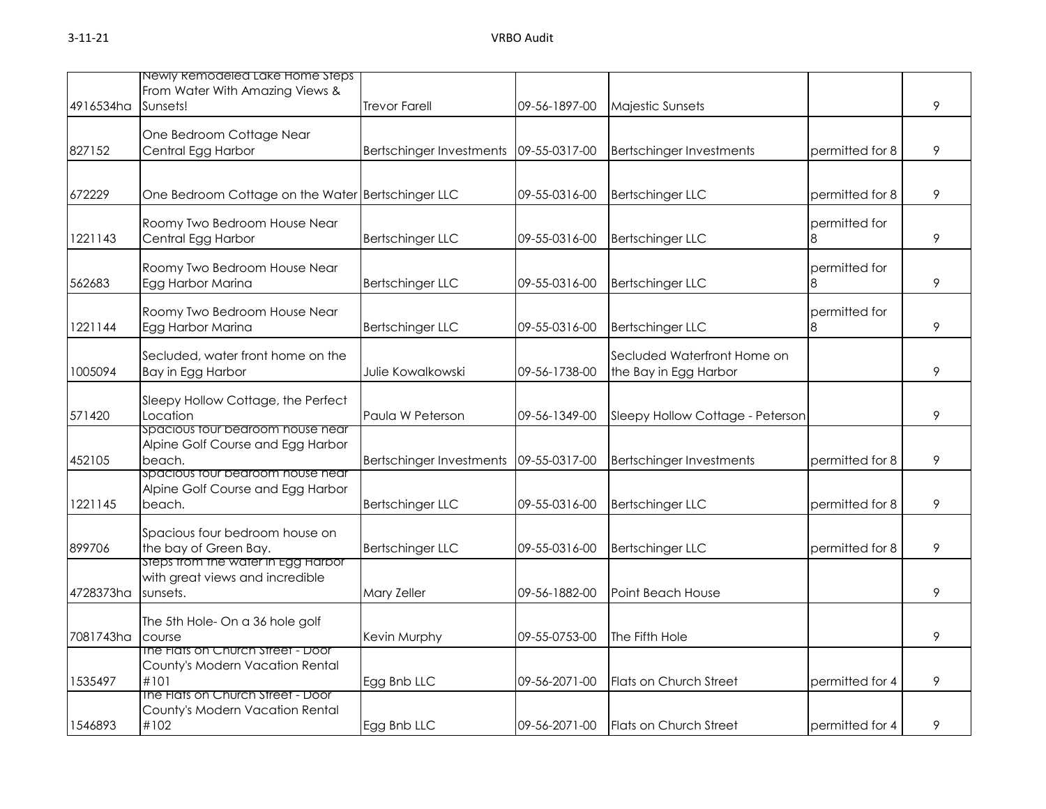|           | Newly Remodeled Lake Home Steps                                                   |                                        |               |                                                      |                    |   |
|-----------|-----------------------------------------------------------------------------------|----------------------------------------|---------------|------------------------------------------------------|--------------------|---|
|           | From Water With Amazing Views &                                                   |                                        |               |                                                      |                    |   |
| 4916534ha | Sunsets!                                                                          | <b>Trevor Farell</b>                   | 09-56-1897-00 | Majestic Sunsets                                     |                    | 9 |
|           | One Bedroom Cottage Near                                                          |                                        |               |                                                      |                    |   |
| 827152    | Central Egg Harbor                                                                | Bertschinger Investments 09-55-0317-00 |               | <b>Bertschinger Investments</b>                      | permitted for 8    | 9 |
|           |                                                                                   |                                        |               |                                                      |                    |   |
| 672229    | One Bedroom Cottage on the Water Bertschinger LLC                                 |                                        | 09-55-0316-00 | <b>Bertschinger LLC</b>                              | permitted for 8    | 9 |
| 1221143   | Roomy Two Bedroom House Near<br>Central Egg Harbor                                | <b>Bertschinger LLC</b>                | 09-55-0316-00 | <b>Bertschinger LLC</b>                              | permitted for      | 9 |
|           |                                                                                   |                                        |               |                                                      |                    |   |
| 562683    | Roomy Two Bedroom House Near<br>Egg Harbor Marina                                 | <b>Bertschinger LLC</b>                | 09-55-0316-00 | <b>Bertschinger LLC</b>                              | permitted for<br>8 | 9 |
|           |                                                                                   |                                        |               |                                                      |                    |   |
|           | Roomy Two Bedroom House Near                                                      |                                        |               |                                                      | permitted for      |   |
| 1221144   | Egg Harbor Marina                                                                 | <b>Bertschinger LLC</b>                | 09-55-0316-00 | <b>Bertschinger LLC</b>                              | 8                  | 9 |
| 1005094   | Secluded, water front home on the<br>Bay in Egg Harbor                            | Julie Kowalkowski                      | 09-56-1738-00 | Secluded Waterfront Home on<br>the Bay in Egg Harbor |                    | 9 |
| 571420    | Sleepy Hollow Cottage, the Perfect<br>Location                                    | Paula W Peterson                       | 09-56-1349-00 | Sleepy Hollow Cottage - Peterson                     |                    | 9 |
| 452105    | spacious tour bedroom house near<br>Alpine Golf Course and Egg Harbor<br>beach.   | <b>Bertschinger Investments</b>        | 09-55-0317-00 | <b>Bertschinger Investments</b>                      | permitted for 8    | 9 |
| 1221145   | spacious four bearoom nouse near<br>Alpine Golf Course and Egg Harbor<br>beach.   | <b>Bertschinger LLC</b>                | 09-55-0316-00 | <b>Bertschinger LLC</b>                              | permitted for 8    | 9 |
| 899706    | Spacious four bedroom house on<br>the bay of Green Bay.                           | <b>Bertschinger LLC</b>                | 09-55-0316-00 | <b>Bertschinger LLC</b>                              | permitted for 8    | 9 |
| 4728373ha | Steps from the water in Egg Harbor<br>with great views and incredible<br>sunsets. | Mary Zeller                            | 09-56-1882-00 | Point Beach House                                    |                    | 9 |
|           | The 5th Hole- On a 36 hole golf                                                   |                                        |               |                                                      |                    |   |
| 7081743ha | course                                                                            | Kevin Murphy                           | 09-55-0753-00 | The Fifth Hole                                       |                    | 9 |
| 1535497   | The Flats on Church Street - Door<br>County's Modern Vacation Rental<br>#101      | Egg Bnb LLC                            | 09-56-2071-00 | Flats on Church Street                               | permitted for 4    | 9 |
| 1546893   | The Flats on Church Street - Door<br>County's Modern Vacation Rental<br>#102      | Egg Bnb LLC                            | 09-56-2071-00 | <b>Flats on Church Street</b>                        | permitted for 4    | 9 |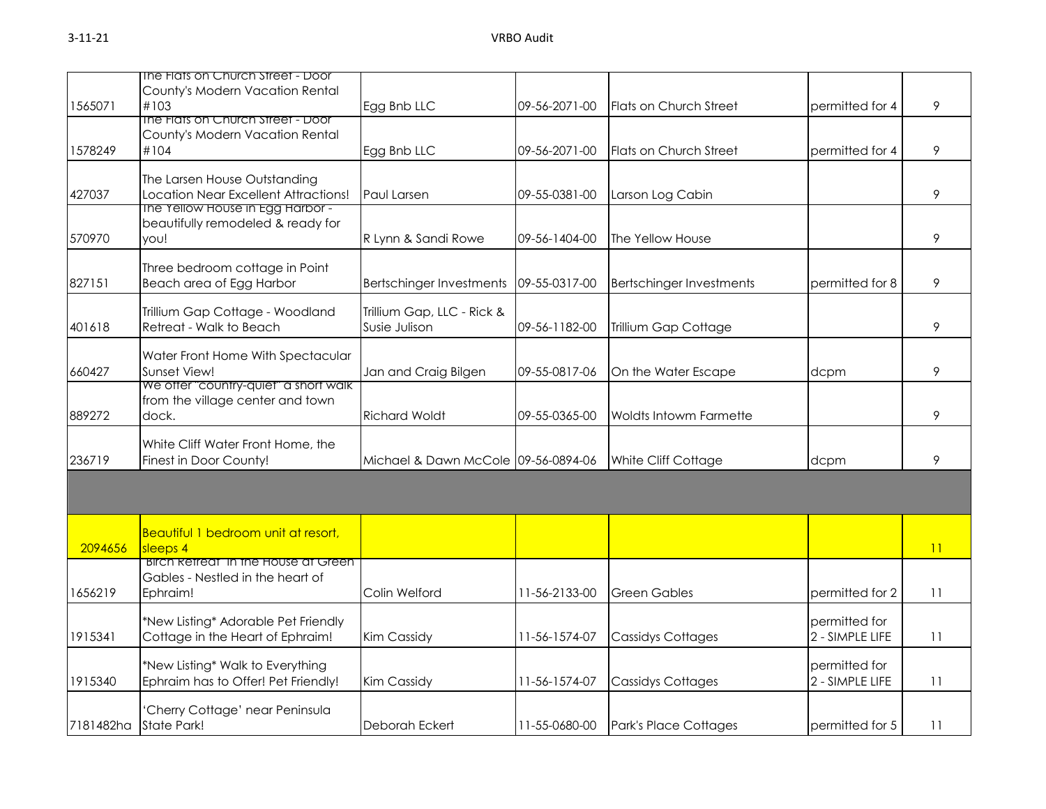|           | The Flats on Church Street - Door           |                                     |               |                                 |                 |    |
|-----------|---------------------------------------------|-------------------------------------|---------------|---------------------------------|-----------------|----|
| 1565071   | County's Modern Vacation Rental<br>#103     | Egg Bnb LLC                         | 09-56-2071-00 | Flats on Church Street          | permitted for 4 | 9  |
|           | The Flats on Church Street - Door           |                                     |               |                                 |                 |    |
|           | County's Modern Vacation Rental             |                                     |               |                                 |                 |    |
| 1578249   | #104                                        | Egg Bnb LLC                         | 09-56-2071-00 | Flats on Church Street          | permitted for 4 | 9  |
|           | The Larsen House Outstanding                |                                     |               |                                 |                 |    |
| 427037    | Location Near Excellent Attractions!        | Paul Larsen                         | 09-55-0381-00 | Larson Log Cabin                |                 | 9  |
|           | The Yellow House in Egg Harbor -            |                                     |               |                                 |                 |    |
|           | beautifully remodeled & ready for           |                                     |               |                                 |                 |    |
| 570970    | you!                                        | R Lynn & Sandi Rowe                 | 09-56-1404-00 | The Yellow House                |                 | 9  |
|           | Three bedroom cottage in Point              |                                     |               |                                 |                 |    |
| 827151    | Beach area of Egg Harbor                    | <b>Bertschinger Investments</b>     | 09-55-0317-00 | <b>Bertschinger Investments</b> | permitted for 8 | 9  |
|           |                                             |                                     |               |                                 |                 |    |
|           | Trillium Gap Cottage - Woodland             | Trillium Gap, LLC - Rick &          |               |                                 |                 |    |
| 401618    | Retreat - Walk to Beach                     | Susie Julison                       | 09-56-1182-00 | Trillium Gap Cottage            |                 | 9  |
|           | Water Front Home With Spectacular           |                                     |               |                                 |                 |    |
| 660427    | Sunset View!                                | Jan and Craig Bilgen                | 09-55-0817-06 | On the Water Escape             | dcpm            | 9  |
|           | We offer "country-quiet" a short walk       |                                     |               |                                 |                 |    |
|           | from the village center and town            |                                     |               |                                 |                 |    |
| 889272    | dock.                                       | <b>Richard Woldt</b>                | 09-55-0365-00 | <b>Woldts Intowm Farmette</b>   |                 | 9  |
|           | White Cliff Water Front Home, the           |                                     |               |                                 |                 |    |
| 236719    | Finest in Door County!                      | Michael & Dawn McCole 09-56-0894-06 |               | White Cliff Cottage             | dcpm            | 9  |
|           |                                             |                                     |               |                                 |                 |    |
|           |                                             |                                     |               |                                 |                 |    |
|           |                                             |                                     |               |                                 |                 |    |
|           | <b>Beautiful 1 bedroom unit at resort,</b>  |                                     |               |                                 |                 |    |
| 2094656   | sleeps 4                                    |                                     |               |                                 |                 | 11 |
|           | <b>Birch Retreat" in the House at Green</b> |                                     |               |                                 |                 |    |
|           | Gables - Nestled in the heart of            |                                     |               |                                 |                 |    |
| 1656219   | Ephraim!                                    | Colin Welford                       | 11-56-2133-00 | <b>Green Gables</b>             | permitted for 2 | 11 |
|           | *New Listing* Adorable Pet Friendly         |                                     |               |                                 | permitted for   |    |
| 1915341   | Cottage in the Heart of Ephraim!            | Kim Cassidy                         | 11-56-1574-07 | <b>Cassidys Cottages</b>        | 2 - SIMPLE LIFE | 11 |
|           |                                             |                                     |               |                                 |                 |    |
|           | *New Listing* Walk to Everything            |                                     |               |                                 | permitted for   |    |
| 1915340   | Ephraim has to Offer! Pet Friendly!         | Kim Cassidy                         | 11-56-1574-07 | <b>Cassidys Cottages</b>        | 2 - SIMPLE LIFE | 11 |
|           | 'Cherry Cottage' near Peninsula             |                                     |               |                                 |                 |    |
| 7181482ha | State Park!                                 | Deborah Eckert                      | 11-55-0680-00 | Park's Place Cottages           | permitted for 5 | 11 |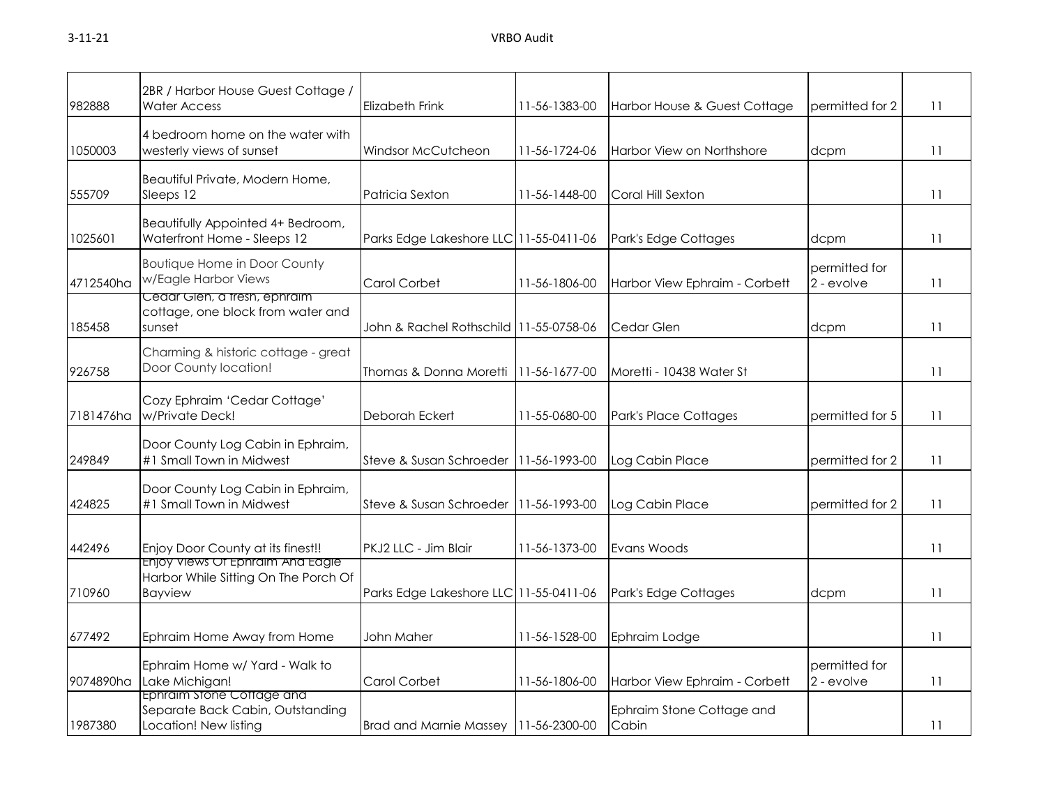| 982888    | 2BR / Harbor House Guest Cottage /<br><b>Water Access</b>                                  | Elizabeth Frink                         | 11-56-1383-00         | Harbor House & Guest Cottage       | permitted for 2             | 11 |
|-----------|--------------------------------------------------------------------------------------------|-----------------------------------------|-----------------------|------------------------------------|-----------------------------|----|
| 1050003   | 4 bedroom home on the water with<br>westerly views of sunset                               | Windsor McCutcheon                      | 11-56-1724-06         | <b>Harbor View on Northshore</b>   | dcpm                        | 11 |
| 555709    | Beautiful Private, Modern Home,<br>Sleeps 12                                               | Patricia Sexton                         | 11-56-1448-00         | Coral Hill Sexton                  |                             | 11 |
| 1025601   | Beautifully Appointed 4+ Bedroom,<br>Waterfront Home - Sleeps 12                           | Parks Edge Lakeshore LLC 11-55-0411-06  |                       | Park's Edge Cottages               | dcpm                        | 11 |
| 4712540ha | <b>Boutique Home in Door County</b><br>w/Eagle Harbor Views                                | Carol Corbet                            | 11-56-1806-00         | Harbor View Ephraim - Corbett      | permitted for<br>2 - evolve | 11 |
| 185458    | Cedar Glen, a tresh, ephraim<br>cottage, one block from water and<br>sunset                | John & Rachel Rothschild 111-55-0758-06 |                       | Cedar Glen                         | dcpm                        | 11 |
| 926758    | Charming & historic cottage - great<br>Door County location!                               | Thomas & Donna Moretti                  | 11-56-1677-00         | Moretti - 10438 Water St           |                             | 11 |
| 7181476ha | Cozy Ephraim 'Cedar Cottage'<br>w/Private Deck!                                            | Deborah Eckert                          | 11-55-0680-00         | Park's Place Cottages              | permitted for 5             | 11 |
| 249849    | Door County Log Cabin in Ephraim,<br>#1 Small Town in Midwest                              | Steve & Susan Schroeder                 | 11-56-1993-00         | Log Cabin Place                    | permitted for 2             | 11 |
| 424825    | Door County Log Cabin in Ephraim,<br>#1 Small Town in Midwest                              | Steve & Susan Schroeder                 | 11-56-1993-00         | Log Cabin Place                    | permitted for 2             | 11 |
| 442496    | Enjoy Door County at its finest!!                                                          | PKJ2 LLC - Jim Blair                    | 11-56-1373-00         | Evans Woods                        |                             | 11 |
| 710960    | Enjoy Views Of Ephraim And Eagle<br>Harbor While Sitting On The Porch Of<br><b>Bayview</b> | Parks Edge Lakeshore LLC 11-55-0411-06  |                       | Park's Edge Cottages               | dcpm                        | 11 |
| 677492    | Ephraim Home Away from Home                                                                | John Maher                              | 11-56-1528-00         | Ephraim Lodge                      |                             | 11 |
| 9074890ha | Ephraim Home w/ Yard - Walk to<br>Lake Michigan!                                           | Carol Corbet                            | 11-56-1806-00         | Harbor View Ephraim - Corbett      | permitted for<br>2 - evolve | 11 |
| 1987380   | Ephraim Stone Cottage and<br>Separate Back Cabin, Outstanding<br>Location! New listing     | Brad and Marnie Massey                  | $11 - 56 - 2300 - 00$ | Ephraim Stone Cottage and<br>Cabin |                             | 11 |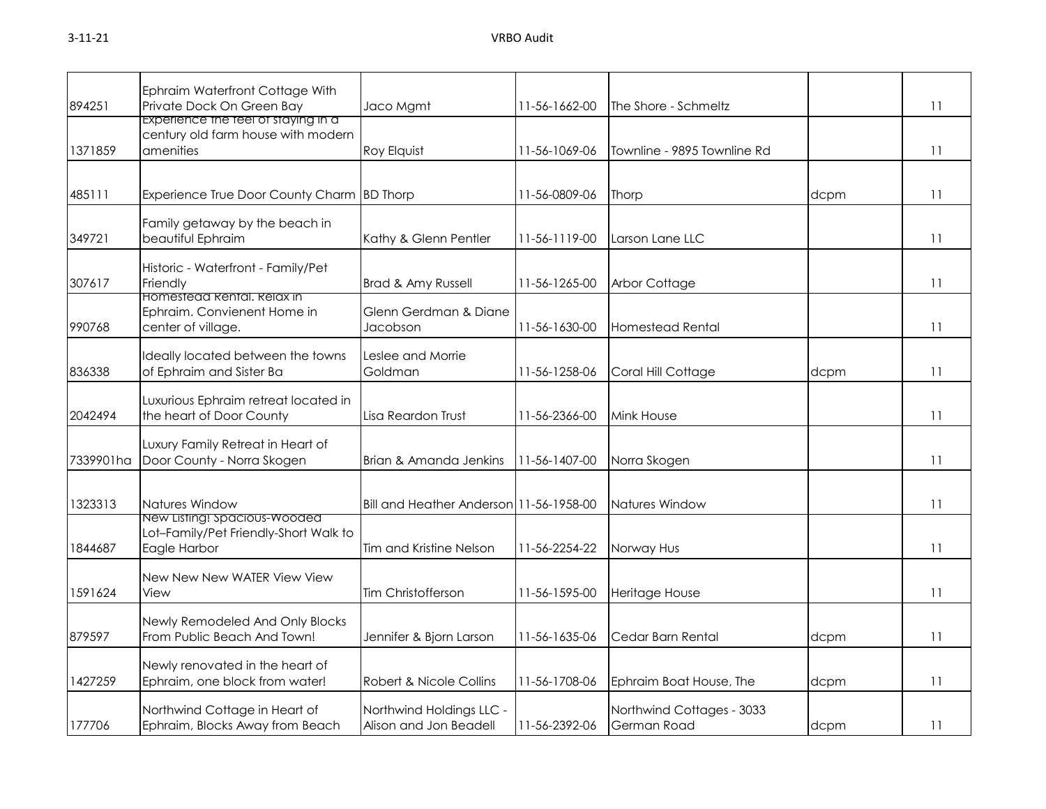| 894251    | Ephraim Waterfront Cottage With<br>Private Dock On Green Bay                           | Jaco Mgmt                                          | 11-56-1662-00 | The Shore - Schmeltz                     |      | 11 |
|-----------|----------------------------------------------------------------------------------------|----------------------------------------------------|---------------|------------------------------------------|------|----|
| 1371859   | Experience the teel of staying in a<br>century old farm house with modern<br>amenities | Roy Elquist                                        | 11-56-1069-06 | Townline - 9895 Townline Rd              |      | 11 |
| 485111    | Experience True Door County Charm BD Thorp                                             |                                                    | 11-56-0809-06 | Thorp                                    | dcpm | 11 |
| 349721    | Family getaway by the beach in<br>beautiful Ephraim                                    | Kathy & Glenn Pentler                              | 11-56-1119-00 | Larson Lane LLC                          |      | 11 |
| 307617    | Historic - Waterfront - Family/Pet<br>Friendly                                         | Brad & Amy Russell                                 | 11-56-1265-00 | Arbor Cottage                            |      | 11 |
| 990768    | Homestead Kental, Kelax in<br>Ephraim. Convienent Home in<br>center of village.        | Glenn Gerdman & Diane<br>Jacobson                  | 11-56-1630-00 | <b>Homestead Rental</b>                  |      | 11 |
| 836338    | Ideally located between the towns<br>of Ephraim and Sister Ba                          | eslee and Morrie.<br>Goldman                       | 11-56-1258-06 | Coral Hill Cottage                       | dcpm | 11 |
| 2042494   | Luxurious Ephraim retreat located in<br>the heart of Door County                       | Lisa Reardon Trust                                 | 11-56-2366-00 | <b>Mink House</b>                        |      | 11 |
| 7339901ha | Luxury Family Retreat in Heart of<br>Door County - Norra Skogen                        | Brian & Amanda Jenkins                             | 11-56-1407-00 | Norra Skogen                             |      | 11 |
| 1323313   | Natures Window                                                                         | Bill and Heather Anderson 11-56-1958-00            |               | Natures Window                           |      | 11 |
| 1844687   | New Listing! Spacious-Wooded<br>Lot-Family/Pet Friendly-Short Walk to<br>Eagle Harbor  | Tim and Kristine Nelson                            | 11-56-2254-22 | Norway Hus                               |      | 11 |
| 1591624   | New New New WATER View View<br>View                                                    | Tim Christofferson                                 | 11-56-1595-00 | Heritage House                           |      | 11 |
| 879597    | Newly Remodeled And Only Blocks<br>From Public Beach And Town!                         | Jennifer & Bjorn Larson                            | 11-56-1635-06 | Cedar Barn Rental                        | dcpm | 11 |
| 1427259   | Newly renovated in the heart of<br>Ephraim, one block from water!                      | Robert & Nicole Collins                            | 11-56-1708-06 | Ephraim Boat House, The                  | dcpm | 11 |
| 177706    | Northwind Cottage in Heart of<br>Ephraim, Blocks Away from Beach                       | Northwind Holdings LLC -<br>Alison and Jon Beadell | 11-56-2392-06 | Northwind Cottages - 3033<br>German Road | dcpm | 11 |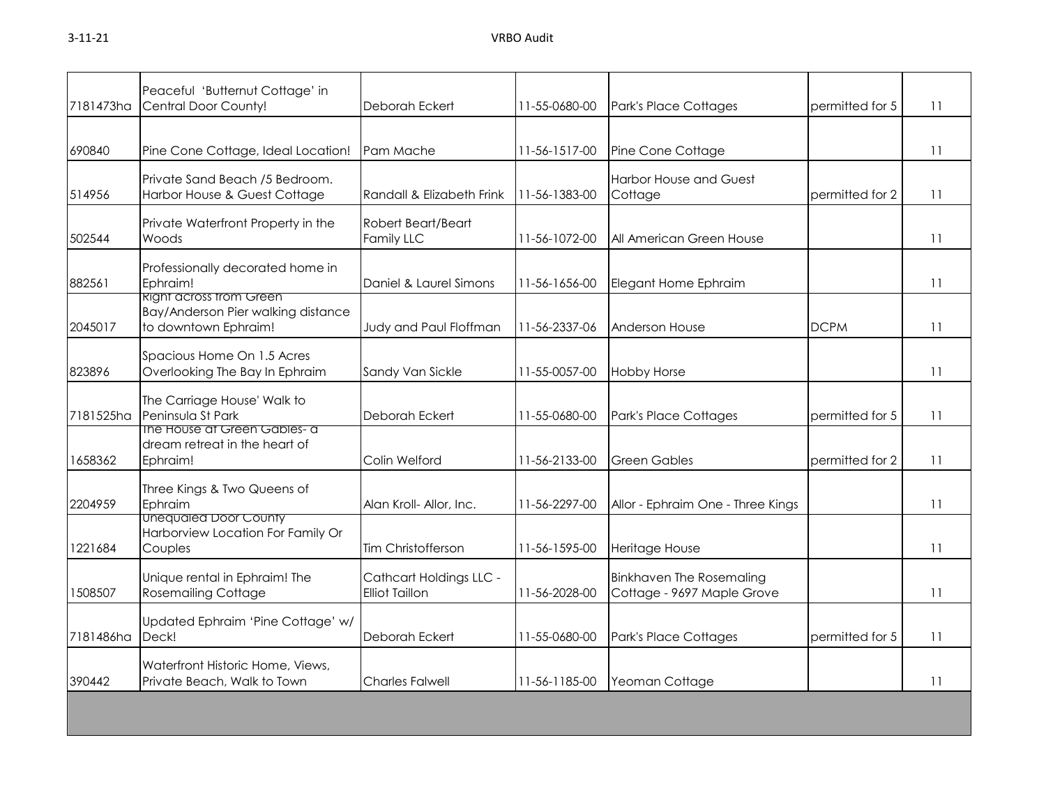| 7181473ha | Peaceful 'Butternut Cottage' in<br>Central Door County!                                      | Deborah Eckert                                   | 11-55-0680-00 | Park's Place Cottages                                         | permitted for 5 | 11 |
|-----------|----------------------------------------------------------------------------------------------|--------------------------------------------------|---------------|---------------------------------------------------------------|-----------------|----|
| 690840    | Pine Cone Cottage, Ideal Location!                                                           | Pam Mache                                        | 11-56-1517-00 | Pine Cone Cottage                                             |                 | 11 |
| 514956    | Private Sand Beach /5 Bedroom.<br>Harbor House & Guest Cottage                               | Randall & Elizabeth Frink                        | 11-56-1383-00 | <b>Harbor House and Guest</b><br>Cottage                      | permitted for 2 | 11 |
| 502544    | Private Waterfront Property in the<br>Woods                                                  | Robert Beart/Beart<br><b>Family LLC</b>          | 11-56-1072-00 | All American Green House                                      |                 | 11 |
| 882561    | Professionally decorated home in<br>Ephraim!                                                 | Daniel & Laurel Simons                           | 11-56-1656-00 | Elegant Home Ephraim                                          |                 | 11 |
| 2045017   | <b>Right across trom Green</b><br>Bay/Anderson Pier walking distance<br>to downtown Ephraim! | Judy and Paul Floffman                           | 11-56-2337-06 | Anderson House                                                | <b>DCPM</b>     | 11 |
| 823896    | Spacious Home On 1.5 Acres<br>Overlooking The Bay In Ephraim                                 | Sandy Van Sickle                                 | 11-55-0057-00 | <b>Hobby Horse</b>                                            |                 | 11 |
| 7181525ha | The Carriage House' Walk to<br>Peninsula St Park                                             | Deborah Eckert                                   | 11-55-0680-00 | Park's Place Cottages                                         | permitted for 5 | 11 |
| 1658362   | The House at Green Gables- a<br>dream retreat in the heart of<br>Ephraim!                    | Colin Welford                                    | 11-56-2133-00 | <b>Green Gables</b>                                           | permitted for 2 | 11 |
| 2204959   | Three Kings & Two Queens of<br>Ephraim                                                       | Alan Kroll- Allor, Inc.                          | 11-56-2297-00 | Allor - Ephraim One - Three Kings                             |                 | 11 |
| 1221684   | Unequaled Door County<br>Harborview Location For Family Or<br>Couples                        | Tim Christofferson                               | 11-56-1595-00 | Heritage House                                                |                 | 11 |
| 1508507   | Unique rental in Ephraim! The<br><b>Rosemailing Cottage</b>                                  | Cathcart Holdings LLC -<br><b>Elliot Taillon</b> | 11-56-2028-00 | <b>Binkhaven The Rosemaling</b><br>Cottage - 9697 Maple Grove |                 | 11 |
| 7181486ha | Updated Ephraim 'Pine Cottage' w/<br>Deck!                                                   | Deborah Eckert                                   | 11-55-0680-00 | Park's Place Cottages                                         | permitted for 5 | 11 |
| 390442    | Waterfront Historic Home, Views,<br>Private Beach, Walk to Town                              | <b>Charles Falwell</b>                           | 11-56-1185-00 | Yeoman Cottage                                                |                 | 11 |
|           |                                                                                              |                                                  |               |                                                               |                 |    |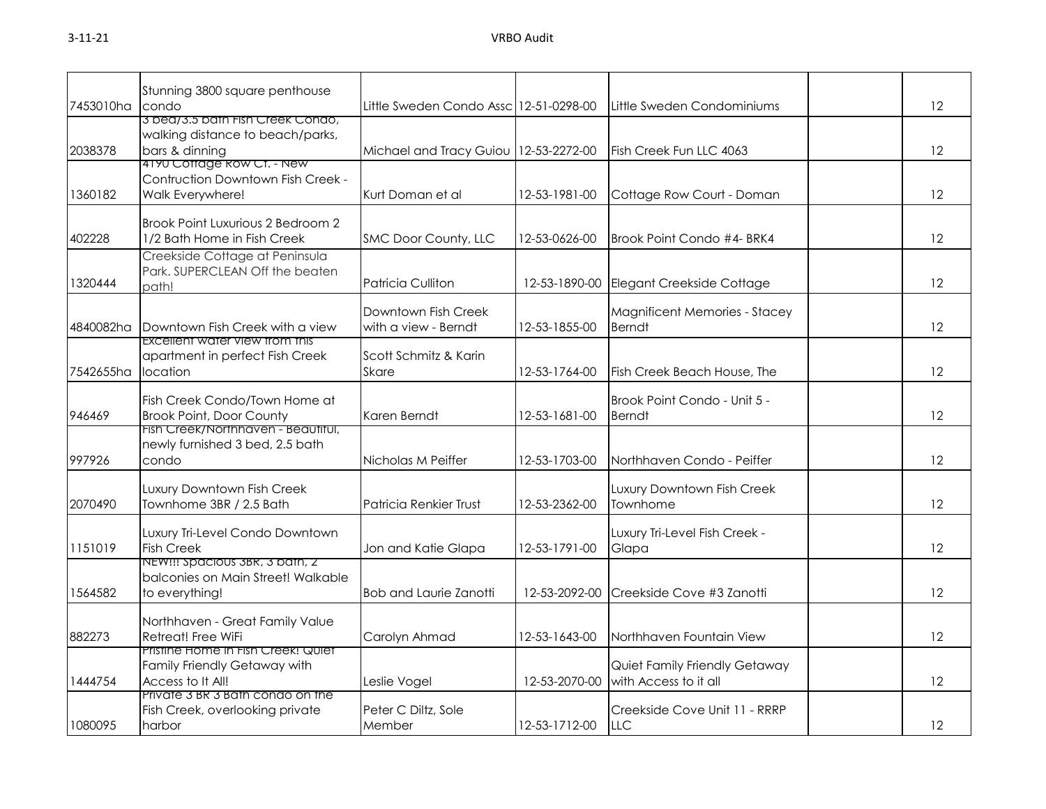| 7453010ha | Stunning 3800 square penthouse<br>condo                                                 | Little Sweden Condo Assc 12-51-0298-00      |               | Little Sweden Condominiums                             | 12 |
|-----------|-----------------------------------------------------------------------------------------|---------------------------------------------|---------------|--------------------------------------------------------|----|
| 2038378   | 3 bed/3.5 bath Fish Creek Condo,<br>walking distance to beach/parks,<br>bars & dinning  | Michael and Tracy Guiou   12-53-2272-00     |               | Fish Creek Fun LLC 4063                                | 12 |
| 1360182   | 4190 Coffage Row CT. - New<br>Contruction Downtown Fish Creek -<br>Walk Everywhere!     | Kurt Doman et al                            | 12-53-1981-00 | Cottage Row Court - Doman                              | 12 |
| 402228    | Brook Point Luxurious 2 Bedroom 2<br>1/2 Bath Home in Fish Creek                        | SMC Door County, LLC                        | 12-53-0626-00 | Brook Point Condo #4- BRK4                             | 12 |
| 1320444   | Creekside Cottage at Peninsula<br>Park. SUPERCLEAN Off the beaten<br>path!              | Patricia Culliton                           | 12-53-1890-00 | Elegant Creekside Cottage                              | 12 |
| 4840082ha | Downtown Fish Creek with a view                                                         | Downtown Fish Creek<br>with a view - Berndt | 12-53-1855-00 | Magnificent Memories - Stacey<br><b>Berndt</b>         | 12 |
| 7542655ha | <b>EXCEILENT WATER VIEW TROM THIS</b><br>apartment in perfect Fish Creek<br>location    | Scott Schmitz & Karin<br><b>Skare</b>       | 12-53-1764-00 | Fish Creek Beach House, The                            | 12 |
| 946469    | Fish Creek Condo/Town Home at<br><b>Brook Point, Door County</b>                        | Karen Berndt                                | 12-53-1681-00 | Brook Point Condo - Unit 5 -<br><b>Berndt</b>          | 12 |
| 997926    | Fish Creek/Northhaven - Beautitul,<br>newly furnished 3 bed, 2.5 bath<br>condo          | Nicholas M Peiffer                          | 12-53-1703-00 | Northhaven Condo - Peiffer                             | 12 |
| 2070490   | Luxury Downtown Fish Creek<br>Townhome 3BR / 2.5 Bath                                   | Patricia Renkier Trust                      | 12-53-2362-00 | Luxury Downtown Fish Creek<br>Townhome                 | 12 |
| 1151019   | Luxury Tri-Level Condo Downtown<br><b>Fish Creek</b>                                    | Jon and Katie Glapa                         | 12-53-1791-00 | Luxury Tri-Level Fish Creek -<br>Glapa                 | 12 |
| 1564582   | NEW!!! Spacious 3BR, 3 bath, 2<br>balconies on Main Street! Walkable<br>to everything!  | <b>Bob and Laurie Zanotti</b>               | 12-53-2092-00 | Creekside Cove #3 Zanotti                              | 12 |
| 882273    | Northhaven - Great Family Value<br>Retreat! Free WiFi                                   | Carolyn Ahmad                               | 12-53-1643-00 | Northhaven Fountain View                               | 12 |
| 1444754   | Pristine Home in Fish Creek! Quiet<br>Family Friendly Getaway with<br>Access to It All! | Leslie Vogel                                | 12-53-2070-00 | Quiet Family Friendly Getaway<br>with Access to it all | 12 |
| 1080095   | Private 3 BR 3 Bath condo on the<br>Fish Creek, overlooking private<br>harbor           | Peter C Diltz, Sole<br>Member               | 12-53-1712-00 | Creekside Cove Unit 11 - RRRP<br><b>LLC</b>            | 12 |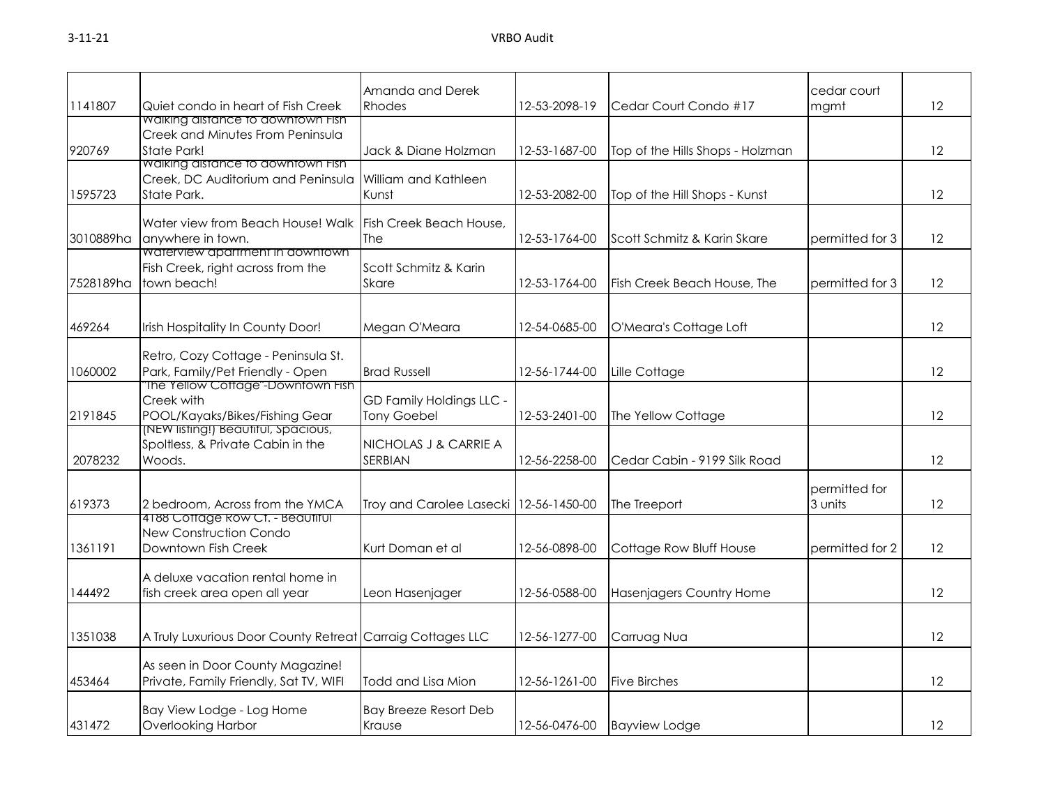|           |                                                                                               | Amanda and Derek                               |               |                                  | cedar court              |                   |
|-----------|-----------------------------------------------------------------------------------------------|------------------------------------------------|---------------|----------------------------------|--------------------------|-------------------|
| 1141807   | Quiet condo in heart of Fish Creek                                                            | <b>Rhodes</b>                                  | 12-53-2098-19 | Cedar Court Condo #17            | mgmt                     | 12                |
| 920769    | Walking distance to downtown Fish<br>Creek and Minutes From Peninsula<br>State Park!          | Jack & Diane Holzman                           | 12-53-1687-00 | Top of the Hills Shops - Holzman |                          | 12                |
| 1595723   | <b>Waiking aistance to downtown Fish</b><br>Creek, DC Auditorium and Peninsula<br>State Park. | William and Kathleen<br>Kunst                  | 12-53-2082-00 | Top of the Hill Shops - Kunst    |                          | 12                |
| 3010889ha | Water view from Beach House! Walk<br>anywhere in town.                                        | Fish Creek Beach House,<br>The                 | 12-53-1764-00 | Scott Schmitz & Karin Skare      | permitted for 3          | 12                |
| 7528189ha | Waterview apartment in downtown<br>Fish Creek, right across from the<br>town beach!           | Scott Schmitz & Karin<br>Skare                 | 12-53-1764-00 | Fish Creek Beach House, The      | permitted for 3          | $12 \overline{ }$ |
| 469264    | Irish Hospitality In County Door!                                                             | Megan O'Meara                                  | 12-54-0685-00 | O'Meara's Cottage Loft           |                          | 12                |
| 1060002   | Retro, Cozy Cottage - Peninsula St.<br>Park, Family/Pet Friendly - Open                       | <b>Brad Russell</b>                            | 12-56-1744-00 | Lille Cottage                    |                          | 12                |
| 2191845   | The Yellow Cottage"-Downtown Fish<br>Creek with<br>POOL/Kayaks/Bikes/Fishing Gear             | GD Family Holdings LLC -<br><b>Tony Goebel</b> | 12-53-2401-00 | The Yellow Cottage               |                          | 12                |
| 2078232   | (NEW listing!) Beautiful, Spacious,<br>Spoltless, & Private Cabin in the<br>Woods.            | NICHOLAS J & CARRIE A<br>SERBIAN               | 12-56-2258-00 | Cedar Cabin - 9199 Silk Road     |                          | 12                |
| 619373    | 2 bedroom, Across from the YMCA                                                               | Troy and Carolee Lasecki   12-56-1450-00       |               | The Treeport                     | permitted for<br>3 units | 12                |
| 1361191   | 4188 Cottage Row Ct. - Beautiful<br>New Construction Condo<br>Downtown Fish Creek             | Kurt Doman et al                               | 12-56-0898-00 | Cottage Row Bluff House          | permitted for 2          | 12                |
| 144492    | A deluxe vacation rental home in<br>fish creek area open all year                             | Leon Hasenjager                                | 12-56-0588-00 | Hasenjagers Country Home         |                          | 12                |
| 1351038   | A Truly Luxurious Door County Retreat Carraig Cottages LLC                                    |                                                | 12-56-1277-00 | Carruag Nua                      |                          | 12                |
| 453464    | As seen in Door County Magazine!<br>Private, Family Friendly, Sat TV, WIFI                    | Todd and Lisa Mion                             | 12-56-1261-00 | <b>Five Birches</b>              |                          | 12                |
| 431472    | Bay View Lodge - Log Home<br><b>Overlooking Harbor</b>                                        | <b>Bay Breeze Resort Deb</b><br>Krause         | 12-56-0476-00 | <b>Bayview Lodge</b>             |                          | 12                |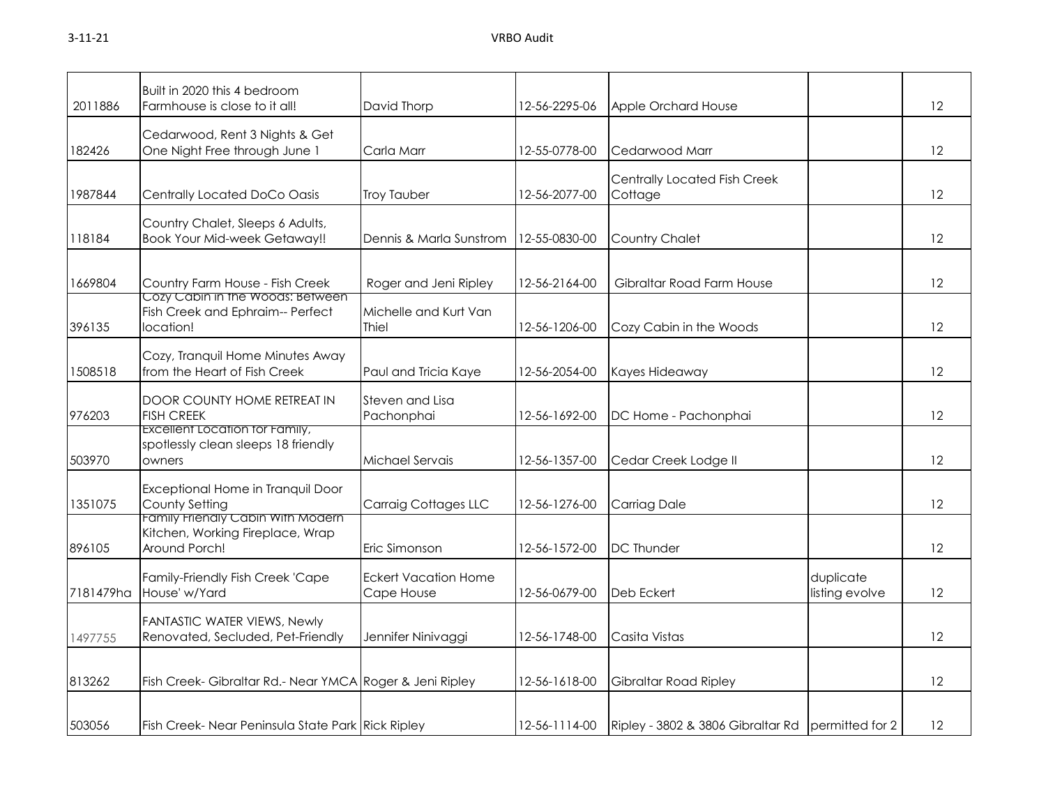| 2011886   | Built in 2020 this 4 bedroom<br>Farmhouse is close to it all!                          | David Thorp                               | 12-56-2295-06 | Apple Orchard House                               |                             | 12                |
|-----------|----------------------------------------------------------------------------------------|-------------------------------------------|---------------|---------------------------------------------------|-----------------------------|-------------------|
| 182426    | Cedarwood, Rent 3 Nights & Get<br>One Night Free through June 1                        | Carla Marr                                | 12-55-0778-00 | Cedarwood Marr                                    |                             | $12 \,$           |
| 1987844   | Centrally Located DoCo Oasis                                                           | <b>Troy Tauber</b>                        | 12-56-2077-00 | Centrally Located Fish Creek<br>Cottage           |                             | 12                |
| 118184    | Country Chalet, Sleeps 6 Adults,<br><b>Book Your Mid-week Getaway!!</b>                | Dennis & Marla Sunstrom                   | 12-55-0830-00 | Country Chalet                                    |                             | 12                |
| 1669804   | Country Farm House - Fish Creek<br>Cozy Cabin in the Woods: Between                    | Roger and Jeni Ripley                     | 12-56-2164-00 | Gibraltar Road Farm House                         |                             | 12                |
| 396135    | Fish Creek and Ephraim-- Perfect<br>location!                                          | Michelle and Kurt Van<br>Thiel            | 12-56-1206-00 | Cozy Cabin in the Woods                           |                             | 12                |
| 1508518   | Cozy, Tranquil Home Minutes Away<br>from the Heart of Fish Creek                       | Paul and Tricia Kaye                      | 12-56-2054-00 | Kayes Hideaway                                    |                             | 12                |
| 976203    | DOOR COUNTY HOME RETREAT IN<br><b>FISH CREEK</b>                                       | Steven and Lisa<br>Pachonphai             | 12-56-1692-00 | DC Home - Pachonphai                              |                             | 12                |
| 503970    | Excellent Location for Family,<br>spotlessly clean sleeps 18 friendly<br>owners        | Michael Servais                           | 12-56-1357-00 | Cedar Creek Lodge II                              |                             | 12                |
| 1351075   | Exceptional Home in Tranquil Door<br>County Setting                                    | <b>Carraig Cottages LLC</b>               | 12-56-1276-00 | Carriag Dale                                      |                             | 12                |
| 896105    | Family Friendly Cabin With Modern<br>Kitchen, Working Fireplace, Wrap<br>Around Porch! | Eric Simonson                             | 12-56-1572-00 | <b>DC Thunder</b>                                 |                             | 12                |
| 7181479ha | Family-Friendly Fish Creek 'Cape<br>House' w/Yard                                      | <b>Eckert Vacation Home</b><br>Cape House | 12-56-0679-00 | Deb Eckert                                        | duplicate<br>listing evolve | 12                |
| 1497755   | FANTASTIC WATER VIEWS, Newly<br>Renovated, Secluded, Pet-Friendly                      | Jennifer Ninivaggi                        | 12-56-1748-00 | Casita Vistas                                     |                             | 12                |
| 813262    | Fish Creek- Gibraltar Rd.- Near YMCA Roger & Jeni Ripley                               |                                           | 12-56-1618-00 | Gibraltar Road Ripley                             |                             | 12                |
| 503056    | Fish Creek-Near Peninsula State Park Rick Ripley                                       |                                           | 12-56-1114-00 | Ripley - 3802 & 3806 Gibraltar Rd permitted for 2 |                             | $12 \overline{ }$ |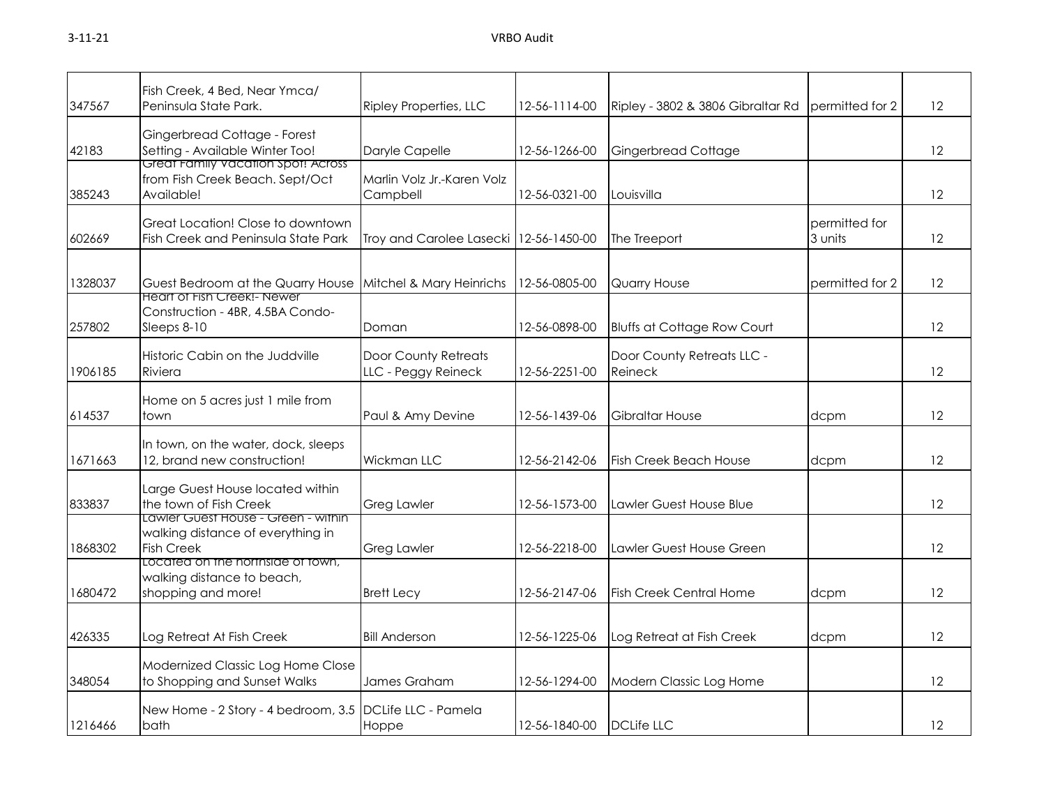| 347567  | Fish Creek, 4 Bed, Near Ymca/<br>Peninsula State Park.                                            | <b>Ripley Properties, LLC</b>               | 12-56-1114-00              | Ripley - 3802 & 3806 Gibraltar Rd     | permitted for 2          | 12                |
|---------|---------------------------------------------------------------------------------------------------|---------------------------------------------|----------------------------|---------------------------------------|--------------------------|-------------------|
| 42183   | Gingerbread Cottage - Forest<br>Setting - Available Winter Too!                                   | Daryle Capelle                              | 12-56-1266-00              | <b>Gingerbread Cottage</b>            |                          | 12                |
| 385243  | Great Family vacation spot! Across<br>from Fish Creek Beach. Sept/Oct<br>Available!               | Marlin Volz Jr.-Karen Volz<br>Campbell      | 12-56-0321-00              | Louisvilla                            |                          | 12                |
| 602669  | Great Location! Close to downtown<br>Fish Creek and Peninsula State Park                          | Troy and Carolee Lasecki 12-56-1450-00      |                            | The Treeport                          | permitted for<br>3 units | 12                |
| 1328037 | Guest Bedroom at the Quarry House<br>Heart of Fish Creek!- Newer                                  | Mitchel & Mary Heinrichs                    | 12-56-0805-00              | Quarry House                          | permitted for 2          | 12                |
| 257802  | Construction - 4BR, 4.5BA Condo-<br>Sleeps 8-10                                                   | Doman                                       | 12-56-0898-00              | <b>Bluffs at Cottage Row Court</b>    |                          | 12                |
| 1906185 | Historic Cabin on the Juddville<br>Riviera                                                        | Door County Retreats<br>LLC - Peggy Reineck | 12-56-2251-00              | Door County Retreats LLC -<br>Reineck |                          | $12 \overline{ }$ |
| 614537  | Home on 5 acres just 1 mile from<br>town                                                          | Paul & Amy Devine                           | 12-56-1439-06              | Gibraltar House                       | dcpm                     | 12                |
| 1671663 | In town, on the water, dock, sleeps<br>12, brand new construction!                                | Wickman LLC                                 | 12-56-2142-06              | <b>Fish Creek Beach House</b>         | dcpm                     | 12                |
| 833837  | Large Guest House located within<br>the town of Fish Creek<br>Lawler Guest House - Green - within | <b>Greg Lawler</b>                          | 12-56-1573-00              | Lawler Guest House Blue               |                          | 12                |
| 1868302 | walking distance of everything in<br><b>Fish Creek</b><br>Located on the northside of town,       | <b>Greg Lawler</b>                          | 12-56-2218-00              | Lawler Guest House Green              |                          | 12                |
| 1680472 | walking distance to beach,<br>shopping and more!                                                  | <b>Brett Lecy</b>                           | 12-56-2147-06              | <b>Fish Creek Central Home</b>        | dcpm                     | 12                |
| 426335  | Log Retreat At Fish Creek                                                                         | <b>Bill Anderson</b>                        | 12-56-1225-06              | Log Retreat at Fish Creek             | dcpm                     | 12                |
| 348054  | Modernized Classic Log Home Close<br>to Shopping and Sunset Walks                                 | James Graham                                | 12-56-1294-00              | Modern Classic Log Home               |                          | 12                |
| 1216466 | New Home - 2 Story - 4 bedroom, 3.5 DCLife LLC - Pamela<br>bath                                   | Hoppe                                       | 12-56-1840-00   DCLife LLC |                                       |                          | $12 \overline{ }$ |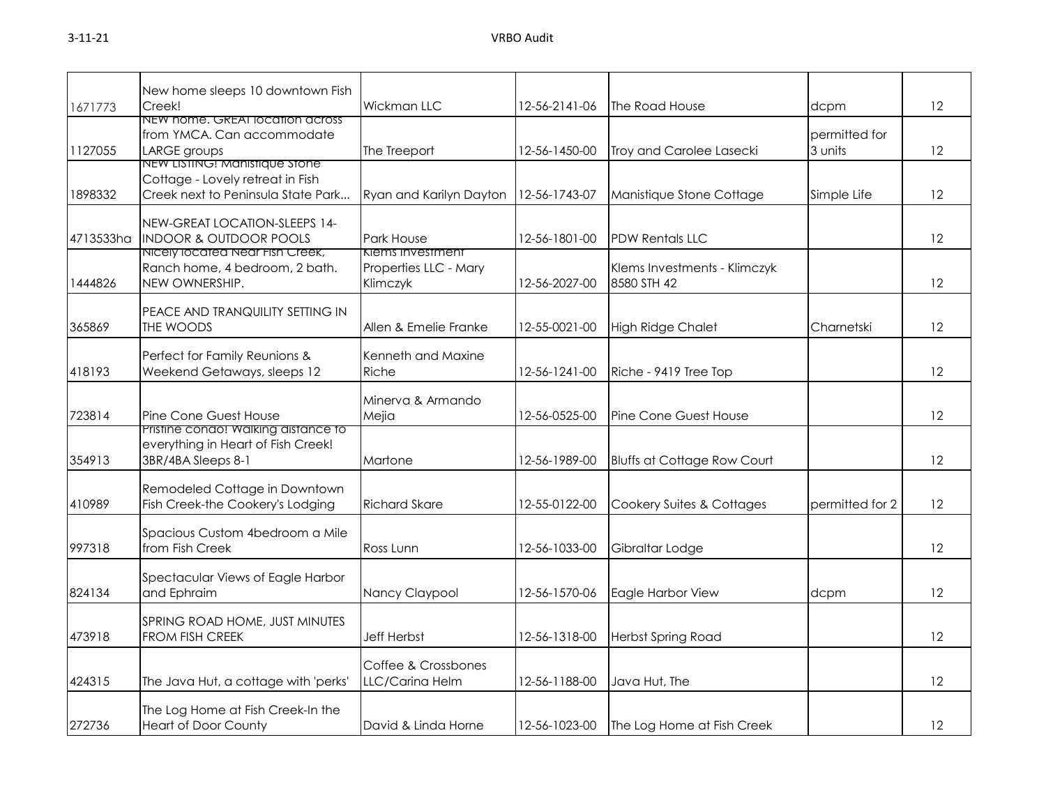| New home sleeps 10 downtown Fish<br>Creek!<br>Wickman LLC<br>12-56-2141-06<br>The Road House<br>dcpm<br>1671773<br>NEW home, GREAT location across<br>from YMCA. Can accommodate<br>permitted for | 12<br>12 |
|---------------------------------------------------------------------------------------------------------------------------------------------------------------------------------------------------|----------|
|                                                                                                                                                                                                   |          |
|                                                                                                                                                                                                   |          |
|                                                                                                                                                                                                   |          |
| 1127055<br>LARGE groups<br>The Treeport<br>Troy and Carolee Lasecki<br>3 units<br>12-56-1450-00                                                                                                   |          |
| NEW LISTING: Manistique stone                                                                                                                                                                     |          |
| Cottage - Lovely retreat in Fish                                                                                                                                                                  |          |
| 1898332<br>Creek next to Peninsula State Park<br>Manistique Stone Cottage<br>Ryan and Karilyn Dayton<br>12-56-1743-07<br>Simple Life                                                              | 12       |
| NEW-GREAT LOCATION-SLEEPS 14-                                                                                                                                                                     |          |
| <b>INDOOR &amp; OUTDOOR POOLS</b><br>4713533ha<br>Park House<br>12-56-1801-00<br><b>PDW Rentals LLC</b>                                                                                           | 12       |
| Nicely located Near Fish Creek,<br>Klems Investment                                                                                                                                               |          |
| Ranch home, 4 bedroom, 2 bath.<br>Properties LLC - Mary<br>Klems Investments - Klimczyk                                                                                                           |          |
| NEW OWNERSHIP.<br>1444826<br>12-56-2027-00<br>8580 STH 42<br>Klimczyk                                                                                                                             | 12       |
|                                                                                                                                                                                                   |          |
| PEACE AND TRANQUILITY SETTING IN<br>THE WOODS<br>365869<br>Allen & Emelie Franke<br>12-55-0021-00<br>Charnetski                                                                                   | 12       |
| <b>High Ridge Chalet</b>                                                                                                                                                                          |          |
| Perfect for Family Reunions &<br>Kenneth and Maxine                                                                                                                                               |          |
| Weekend Getaways, sleeps 12<br>Riche<br>418193<br>12-56-1241-00<br>Riche - 9419 Tree Top                                                                                                          | 12       |
|                                                                                                                                                                                                   |          |
| Minerva & Armando                                                                                                                                                                                 |          |
| 723814<br>Pine Cone Guest House<br>Mejia<br>12-56-0525-00<br>Pine Cone Guest House                                                                                                                | 12       |
| Pristine condo! Walking distance to<br>everything in Heart of Fish Creek!                                                                                                                         |          |
| 354913<br>3BR/4BA Sleeps 8-1<br>Martone<br>12-56-1989-00<br><b>Bluffs at Cottage Row Court</b>                                                                                                    | 12       |
|                                                                                                                                                                                                   |          |
| Remodeled Cottage in Downtown                                                                                                                                                                     |          |
| 410989<br>Fish Creek-the Cookery's Lodging<br><b>Richard Skare</b><br>12-55-0122-00<br>Cookery Suites & Cottages<br>permitted for 2                                                               | 12       |
|                                                                                                                                                                                                   |          |
| Spacious Custom 4bedroom a Mile                                                                                                                                                                   |          |
| 997318<br>from Fish Creek<br>Ross Lunn<br>12-56-1033-00<br>Gibraltar Lodge                                                                                                                        | 12       |
| Spectacular Views of Eagle Harbor                                                                                                                                                                 |          |
| 824134<br>and Ephraim<br>Nancy Claypool<br>12-56-1570-06<br>Eagle Harbor View<br>dcpm                                                                                                             | 12       |
|                                                                                                                                                                                                   |          |
| SPRING ROAD HOME, JUST MINUTES                                                                                                                                                                    |          |
| 473918<br><b>FROM FISH CREEK</b><br><b>Jeff Herbst</b><br>12-56-1318-00<br><b>Herbst Spring Road</b>                                                                                              | 12       |
|                                                                                                                                                                                                   |          |
| Coffee & Crossbones                                                                                                                                                                               |          |
| 424315<br>The Java Hut, a cottage with 'perks'<br>LLC/Carina Helm<br>12-56-1188-00<br>Java Hut, The                                                                                               | 12       |
| The Log Home at Fish Creek-In the                                                                                                                                                                 |          |
| 272736<br><b>Heart of Door County</b><br>David & Linda Horne<br>12-56-1023-00<br>The Log Home at Fish Creek                                                                                       | 12       |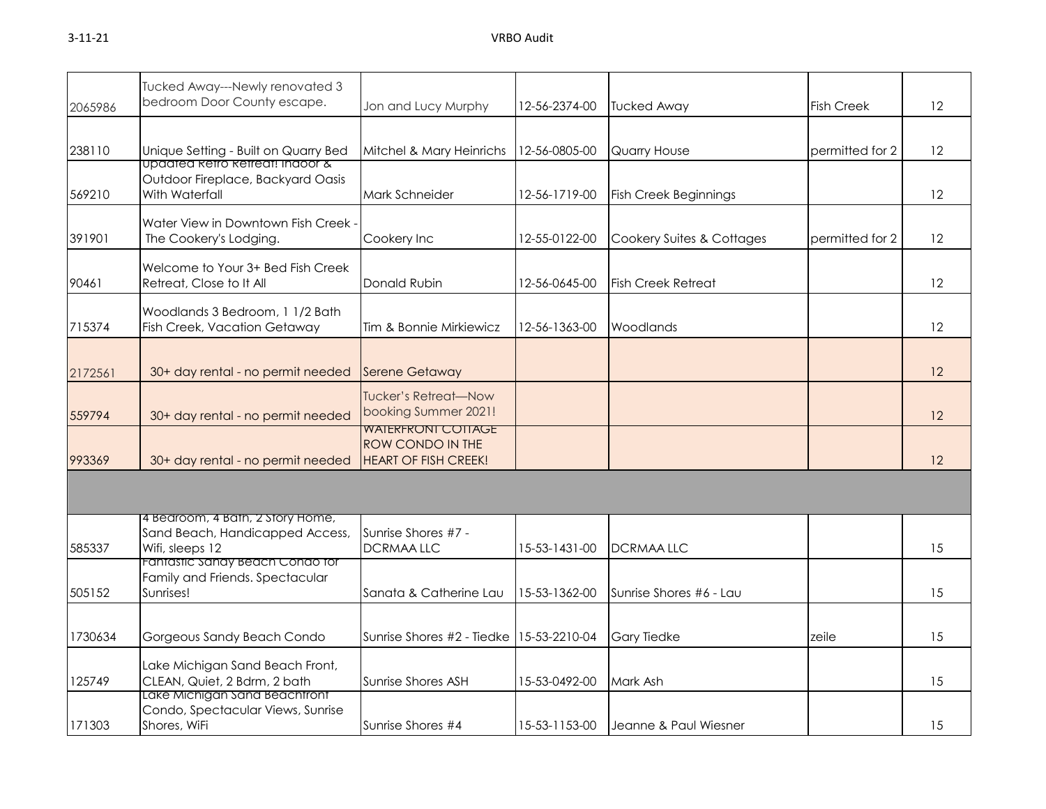| $3 - 11 - 21$ | VRBO Audit |
|---------------|------------|
|               |            |

| 2065986 | Tucked Away---Newly renovated 3<br>bedroom Door County escape.                                    | Jon and Lucy Murphy                                                          | 12-56-2374-00 | <b>Tucked Away</b>           | <b>Fish Creek</b> | 12 |
|---------|---------------------------------------------------------------------------------------------------|------------------------------------------------------------------------------|---------------|------------------------------|-------------------|----|
| 238110  | Unique Setting - Built on Quarry Bed                                                              | Mitchel & Mary Heinrichs                                                     | 12-56-0805-00 | Quarry House                 | permitted for 2   | 12 |
| 569210  | <u>upaatea ketro ketreat: inaoor &amp;</u><br>Outdoor Fireplace, Backyard Oasis<br>With Waterfall | Mark Schneider                                                               | 12-56-1719-00 | <b>Fish Creek Beginnings</b> |                   | 12 |
| 391901  | Water View in Downtown Fish Creek -<br>The Cookery's Lodging.                                     | Cookery Inc                                                                  | 12-55-0122-00 | Cookery Suites & Cottages    | permitted for 2   | 12 |
| 90461   | Welcome to Your 3+ Bed Fish Creek<br>Retreat, Close to It All                                     | Donald Rubin                                                                 | 12-56-0645-00 | <b>Fish Creek Retreat</b>    |                   | 12 |
| 715374  | Woodlands 3 Bedroom, 1 1/2 Bath<br>Fish Creek, Vacation Getaway                                   | Tim & Bonnie Mirkiewicz                                                      | 12-56-1363-00 | Woodlands                    |                   | 12 |
| 2172561 | 30+ day rental - no permit needed                                                                 | <b>Serene Getaway</b>                                                        |               |                              |                   | 12 |
| 559794  | 30+ day rental - no permit needed                                                                 | <b>Tucker's Retreat-Now</b><br>booking Summer 2021!                          |               |                              |                   | 12 |
| 993369  | 30+ day rental - no permit needed                                                                 | <b>WAIERFRONI COTIAGE</b><br>ROW CONDO IN THE<br><b>HEART OF FISH CREEK!</b> |               |                              |                   | 12 |
|         |                                                                                                   |                                                                              |               |                              |                   |    |
| 585337  | 4 Bedroom, 4 Bath, 2 Story Home,<br>Sand Beach, Handicapped Access,<br>Wifi, sleeps 12            | Sunrise Shores #7 -<br><b>DCRMAALLC</b>                                      | 15-53-1431-00 | <b>DCRMAA LLC</b>            |                   | 15 |
| 505152  | Fantastic Sandy Beach Condo for<br>Family and Friends. Spectacular<br>Sunrises!                   | Sanata & Catherine Lau                                                       | 15-53-1362-00 | Sunrise Shores #6 - Lau      |                   | 15 |
| 1730634 | Gorgeous Sandy Beach Condo                                                                        | Sunrise Shores #2 - Tiedke                                                   | 15-53-2210-04 | <b>Gary Tiedke</b>           | zeile             | 15 |
| 125749  | Lake Michigan Sand Beach Front,<br>CLEAN, Quiet, 2 Bdrm, 2 bath                                   | Sunrise Shores ASH                                                           | 15-53-0492-00 | Mark Ash                     |                   | 15 |
| 171303  | Lake Michigan Sand Beachtront<br>Condo, Spectacular Views, Sunrise<br>Shores, WiFi                | Sunrise Shores #4                                                            | 15-53-1153-00 | Jeanne & Paul Wiesner        |                   | 15 |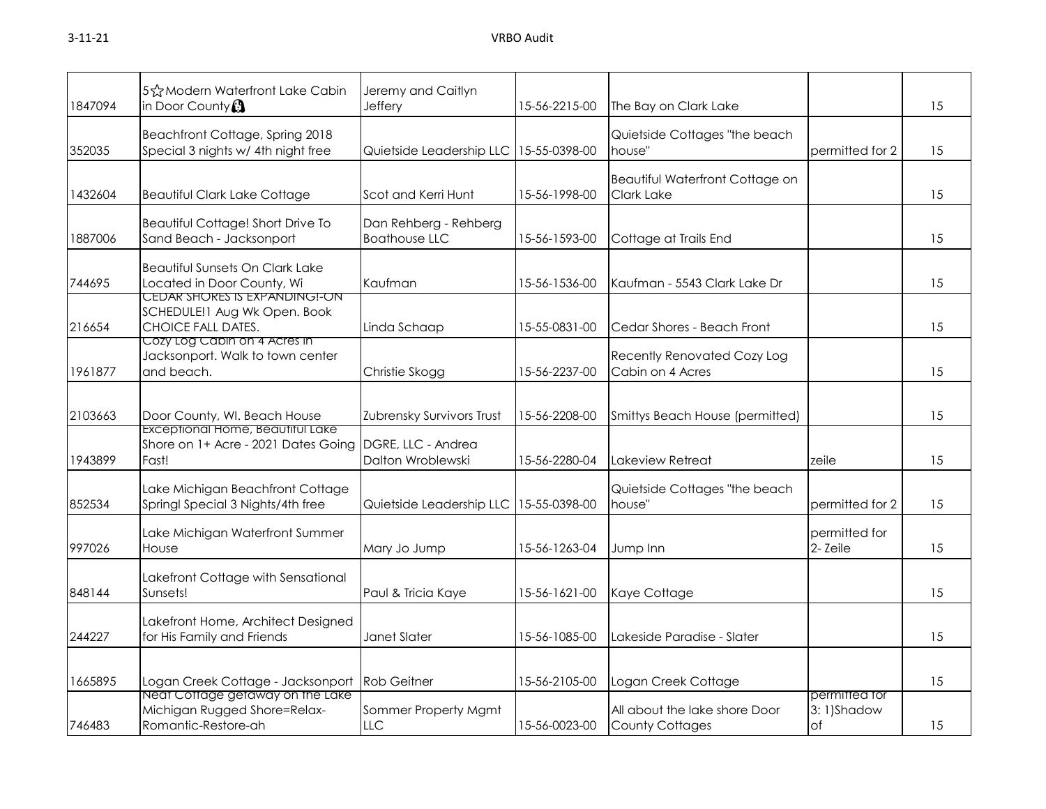| 1847094 | 5 & Modern Waterfront Lake Cabin<br>in Door County $\Omega$                                           | Jeremy and Caitlyn<br>Jeffery                 | 15-56-2215-00 | The Bay on Clark Lake                                       |                                          | 15 |
|---------|-------------------------------------------------------------------------------------------------------|-----------------------------------------------|---------------|-------------------------------------------------------------|------------------------------------------|----|
| 352035  | Beachfront Cottage, Spring 2018<br>Special 3 nights w/ 4th night free                                 | Quietside Leadership LLC                      | 15-55-0398-00 | Quietside Cottages "the beach<br>house"                     | permitted for 2                          | 15 |
| 1432604 | <b>Beautiful Clark Lake Cottage</b>                                                                   | Scot and Kerri Hunt                           | 15-56-1998-00 | <b>Beautiful Waterfront Cottage on</b><br><b>Clark Lake</b> |                                          | 15 |
| 1887006 | Beautiful Cottage! Short Drive To<br>Sand Beach - Jacksonport                                         | Dan Rehberg - Rehberg<br><b>Boathouse LLC</b> | 15-56-1593-00 | Cottage at Trails End                                       |                                          | 15 |
| 744695  | <b>Beautiful Sunsets On Clark Lake</b><br>Located in Door County, Wi<br>CEDAR SHORES IS EXPANDING!-ON | Kaufman                                       | 15-56-1536-00 | Kaufman - 5543 Clark Lake Dr                                |                                          | 15 |
| 216654  | SCHEDULE!1 Aug Wk Open. Book<br>CHOICE FALL DATES.<br>Cozy Log Cabin on 4 Acres in                    | Linda Schaap                                  | 15-55-0831-00 | Cedar Shores - Beach Front                                  |                                          | 15 |
| 1961877 | Jacksonport. Walk to town center<br>and beach.                                                        | Christie Skogg                                | 15-56-2237-00 | Recently Renovated Cozy Log<br>Cabin on 4 Acres             |                                          | 15 |
| 2103663 | Door County, WI. Beach House                                                                          | Zubrensky Survivors Trust                     | 15-56-2208-00 | Smittys Beach House (permitted)                             |                                          | 15 |
| 1943899 | Exceptional Home, Beautitul Lake<br>Shore on 1+ Acre - 2021 Dates Going<br>Fast!                      | DGRE, LLC - Andrea<br>Dalton Wroblewski       | 15-56-2280-04 | Lakeview Retreat                                            | zeile                                    | 15 |
| 852534  | Lake Michigan Beachfront Cottage<br>Springl Special 3 Nights/4th free                                 | Quietside Leadership LLC                      | 15-55-0398-00 | Quietside Cottages "the beach<br>house"                     | permitted for 2                          | 15 |
| 997026  | Lake Michigan Waterfront Summer<br>House                                                              | Mary Jo Jump                                  | 15-56-1263-04 | Jump Inn                                                    | permitted for<br>2-Zeile                 | 15 |
| 848144  | Lakefront Cottage with Sensational<br>Sunsets!                                                        | Paul & Tricia Kaye                            | 15-56-1621-00 | Kaye Cottage                                                |                                          | 15 |
| 244227  | Lakefront Home, Architect Designed<br>for His Family and Friends                                      | Janet Slater                                  | 15-56-1085-00 | Lakeside Paradise - Slater                                  |                                          | 15 |
| 1665895 | Logan Creek Cottage - Jacksonport                                                                     | <b>Rob Geitner</b>                            | 15-56-2105-00 | Logan Creek Cottage                                         |                                          | 15 |
| 746483  | Neat Cottage getaway on the Lake<br>Michigan Rugged Shore=Relax-<br>Romantic-Restore-ah               | Sommer Property Mgmt<br>LLC                   | 15-56-0023-00 | All about the lake shore Door<br><b>County Cottages</b>     | permitted for<br>3:1)Shadow<br>$\circ$ f | 15 |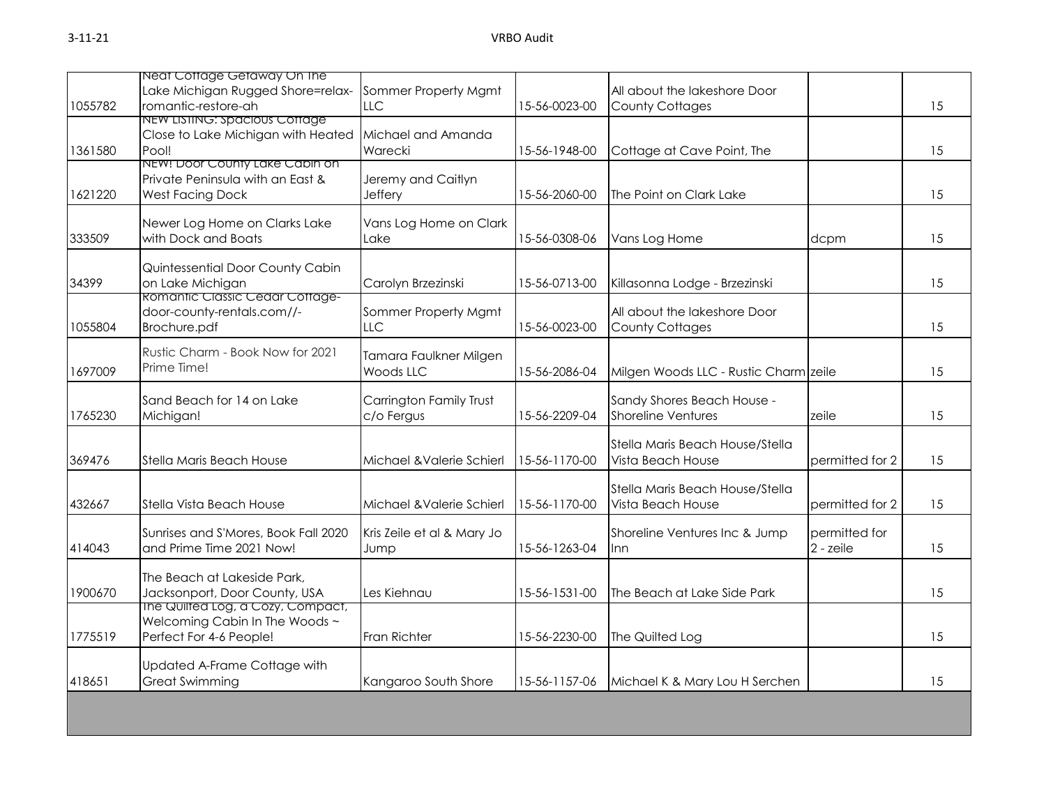|         | Neat Cottage Getaway On The                 |                                            |               |                                       |                 |    |
|---------|---------------------------------------------|--------------------------------------------|---------------|---------------------------------------|-----------------|----|
|         | Lake Michigan Rugged Shore=relax-           | Sommer Property Mgmt                       |               | All about the lakeshore Door          |                 |    |
| 1055782 | romantic-restore-ah                         | <b>LLC</b>                                 | 15-56-0023-00 | <b>County Cottages</b>                |                 | 15 |
|         | NEW LISTING: Spacious Cottage               |                                            |               |                                       |                 |    |
|         | Close to Lake Michigan with Heated<br>Pool! | Michael and Amanda                         |               |                                       |                 |    |
| 1361580 | NEW! Door County Lake Cabin on              | Warecki                                    | 15-56-1948-00 | Cottage at Cave Point, The            |                 | 15 |
|         | Private Peninsula with an East &            | Jeremy and Caitlyn                         |               |                                       |                 |    |
| 1621220 | <b>West Facing Dock</b>                     | Jeffery                                    | 15-56-2060-00 | The Point on Clark Lake               |                 | 15 |
|         |                                             |                                            |               |                                       |                 |    |
|         | Newer Log Home on Clarks Lake               | Vans Log Home on Clark                     |               |                                       |                 |    |
| 333509  | with Dock and Boats                         | Lake                                       | 15-56-0308-06 | Vans Log Home                         | dcpm            | 15 |
|         |                                             |                                            |               |                                       |                 |    |
|         | Quintessential Door County Cabin            |                                            |               |                                       |                 |    |
| 34399   | on Lake Michigan                            | Carolyn Brzezinski                         | 15-56-0713-00 | Killasonna Lodge - Brzezinski         |                 | 15 |
|         | <b>Romantic Classic Cedar Cottage-</b>      |                                            |               |                                       |                 |    |
|         | door-county-rentals.com//-                  | Sommer Property Mgmt                       |               | All about the lakeshore Door          |                 |    |
| 1055804 | Brochure.pdf                                | <b>LLC</b>                                 | 15-56-0023-00 | <b>County Cottages</b>                |                 | 15 |
|         | Rustic Charm - Book Now for 2021            |                                            |               |                                       |                 |    |
| 1697009 | Prime Time!                                 | Tamara Faulkner Milgen<br><b>Woods LLC</b> | 15-56-2086-04 |                                       |                 | 15 |
|         |                                             |                                            |               | Milgen Woods LLC - Rustic Charm zeile |                 |    |
|         | Sand Beach for 14 on Lake                   | Carrington Family Trust                    |               | Sandy Shores Beach House -            |                 |    |
| 1765230 | Michigan!                                   | c/o Fergus                                 | 15-56-2209-04 | <b>Shoreline Ventures</b>             | zeile           | 15 |
|         |                                             |                                            |               |                                       |                 |    |
|         |                                             |                                            |               | Stella Maris Beach House/Stella       |                 |    |
| 369476  | Stella Maris Beach House                    | Michael & Valerie Schierl                  | 15-56-1170-00 | Vista Beach House                     | permitted for 2 | 15 |
|         |                                             |                                            |               |                                       |                 |    |
|         |                                             |                                            |               | Stella Maris Beach House/Stella       |                 |    |
| 432667  | Stella Vista Beach House                    | Michael & Valerie Schierl                  | 15-56-1170-00 | Vista Beach House                     | permitted for 2 | 15 |
|         |                                             |                                            |               |                                       |                 |    |
|         | Sunrises and S'Mores, Book Fall 2020        | Kris Zeile et al & Mary Jo                 |               | Shoreline Ventures Inc & Jump         | permitted for   |    |
| 414043  | and Prime Time 2021 Now!                    | Jump                                       | 15-56-1263-04 | Inn                                   | 2 - zeile       | 15 |
|         | The Beach at Lakeside Park,                 |                                            |               |                                       |                 |    |
| 1900670 | Jacksonport, Door County, USA               | Les Kiehnau                                | 15-56-1531-00 | The Beach at Lake Side Park           |                 | 15 |
|         | The Quilted Log, a Cozy, Compact,           |                                            |               |                                       |                 |    |
|         | Welcoming Cabin In The Woods ~              |                                            |               |                                       |                 |    |
| 1775519 | Perfect For 4-6 People!                     | Fran Richter                               | 15-56-2230-00 | The Quilted Log                       |                 | 15 |
|         |                                             |                                            |               |                                       |                 |    |
|         | Updated A-Frame Cottage with                |                                            |               |                                       |                 |    |
| 418651  | <b>Great Swimming</b>                       | Kangaroo South Shore                       | 15-56-1157-06 | Michael K & Mary Lou H Serchen        |                 | 15 |
|         |                                             |                                            |               |                                       |                 |    |
|         |                                             |                                            |               |                                       |                 |    |
|         |                                             |                                            |               |                                       |                 |    |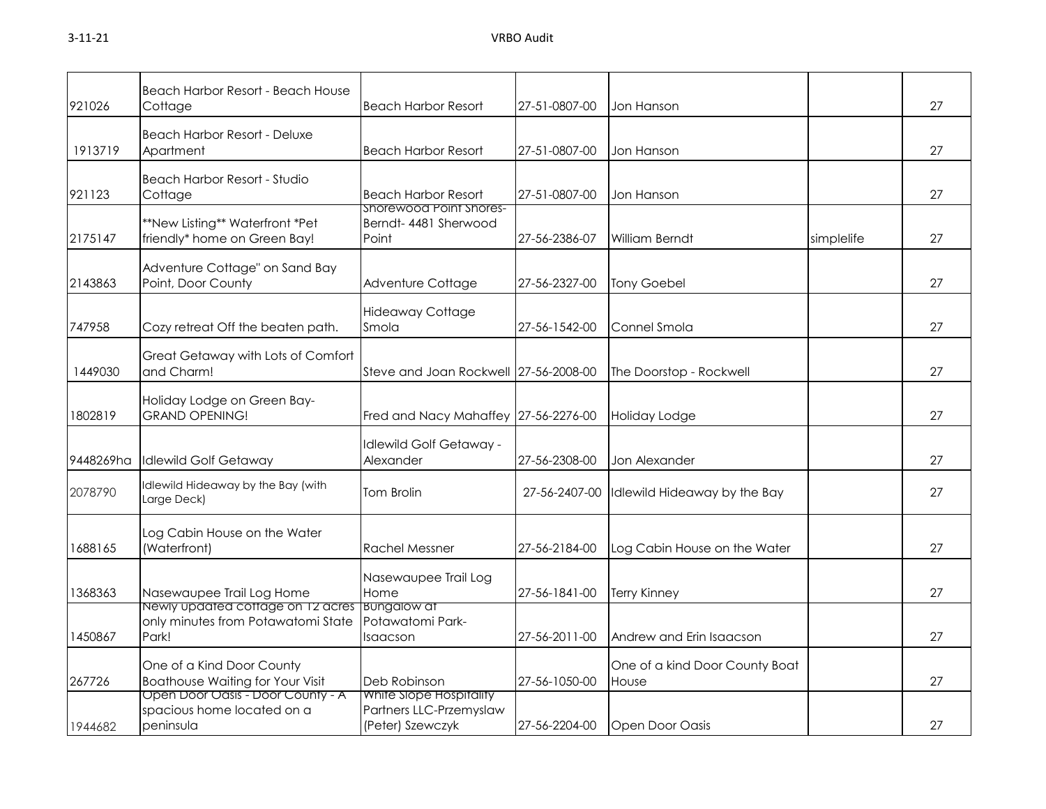| 921026    | Beach Harbor Resort - Beach House<br>Cottage                                                   | <b>Beach Harbor Resort</b>                                             | 27-51-0807-00 | Jon Hanson                              |            | 27 |
|-----------|------------------------------------------------------------------------------------------------|------------------------------------------------------------------------|---------------|-----------------------------------------|------------|----|
| 1913719   | <b>Beach Harbor Resort - Deluxe</b><br>Apartment                                               | <b>Beach Harbor Resort</b>                                             | 27-51-0807-00 | Jon Hanson                              |            | 27 |
| 921123    | Beach Harbor Resort - Studio<br>Cottage                                                        | <b>Beach Harbor Resort</b>                                             | 27-51-0807-00 | Jon Hanson                              |            | 27 |
| 2175147   | **New Listing** Waterfront *Pet<br>friendly* home on Green Bay!                                | Shorewood Point Shores-<br>Berndt-4481 Sherwood<br>Point               | 27-56-2386-07 | William Berndt                          | simplelife | 27 |
| 2143863   | Adventure Cottage" on Sand Bay<br>Point, Door County                                           | Adventure Cottage                                                      | 27-56-2327-00 | <b>Tony Goebel</b>                      |            | 27 |
| 747958    | Cozy retreat Off the beaten path.                                                              | <b>Hideaway Cottage</b><br>Smola                                       | 27-56-1542-00 | Connel Smola                            |            | 27 |
| 1449030   | Great Getaway with Lots of Comfort<br>and Charm!                                               | Steve and Joan Rockwell 27-56-2008-00                                  |               | The Doorstop - Rockwell                 |            | 27 |
| 1802819   | Holiday Lodge on Green Bay-<br><b>GRAND OPENING!</b>                                           | Fred and Nacy Mahaffey 27-56-2276-00                                   |               | Holiday Lodge                           |            | 27 |
| 9448269ha | <b>Idlewild Golf Getaway</b>                                                                   | dlewild Golf Getaway -<br>Alexander                                    | 27-56-2308-00 | Jon Alexander                           |            | 27 |
| 2078790   | Idlewild Hideaway by the Bay (with<br>Large Deck)                                              | <b>Tom Brolin</b>                                                      | 27-56-2407-00 | Idlewild Hideaway by the Bay            |            | 27 |
| 1688165   | Log Cabin House on the Water<br>(Waterfront)                                                   | <b>Rachel Messner</b>                                                  | 27-56-2184-00 | Log Cabin House on the Water            |            | 27 |
| 1368363   | Nasewaupee Trail Log Home                                                                      | Nasewaupee Trail Log<br>Home                                           | 27-56-1841-00 | <b>Terry Kinney</b>                     |            | 27 |
| 1450867   | Newly updated cottage on 12 acres   Bungalow at<br>only minutes from Potawatomi State<br>Park! | Potawatomi Park-<br>Isaacson                                           | 27-56-2011-00 | Andrew and Erin Isaacson                |            | 27 |
| 267726    | One of a Kind Door County<br><b>Boathouse Waiting for Your Visit</b>                           | Deb Robinson                                                           | 27-56-1050-00 | One of a kind Door County Boat<br>House |            | 27 |
| 1944682   | Open Door Oasis - Door County - A<br>spacious home located on a<br>peninsula                   | White Slope Hospitality<br>Partners LLC-Przemyslaw<br>(Peter) Szewczyk | 27-56-2204-00 | <b>Open Door Oasis</b>                  |            | 27 |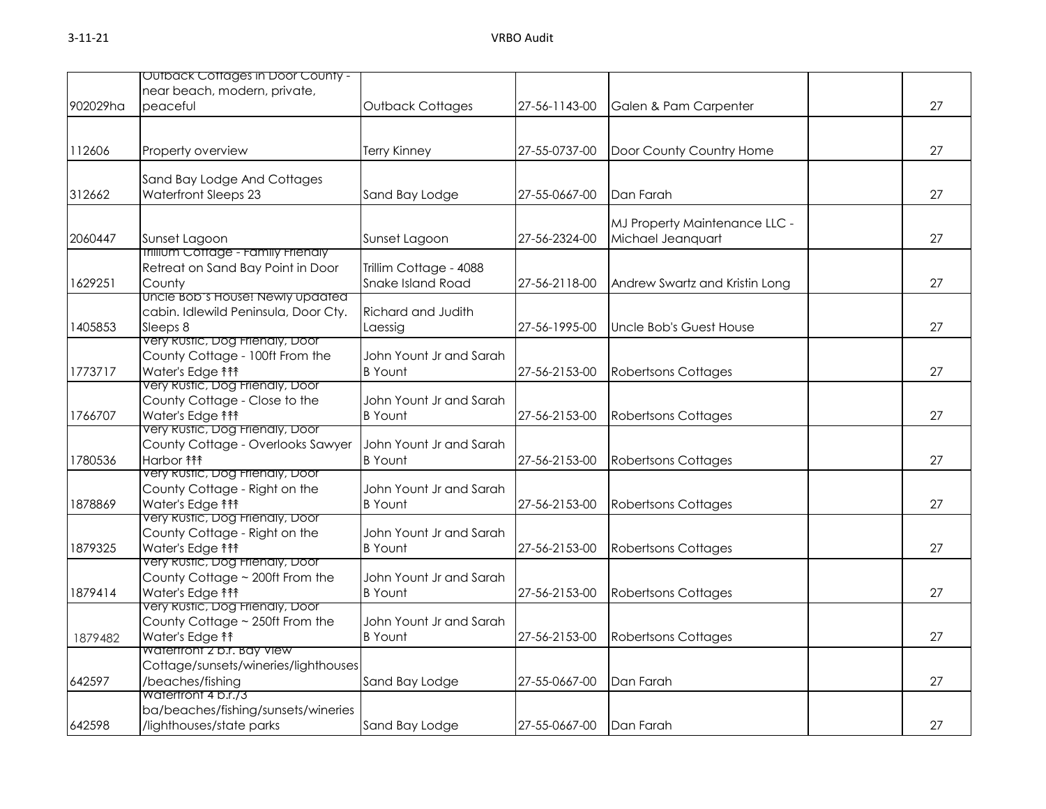| near beach, modern, private,<br>902029ha<br>peaceful<br>Outback Cottages<br>27-56-1143-00<br>Galen & Pam Carpenter<br>112606<br>Property overview<br>Terry Kinney<br>27-55-0737-00<br>Door County Country Home<br>Sand Bay Lodge And Cottages<br><b>Waterfront Sleeps 23</b><br>312662<br>Sand Bay Lodge<br>27-55-0667-00<br>Dan Farah<br>MJ Property Maintenance LLC -<br>Michael Jeanquart<br>2060447<br>Sunset Lagoon<br>Sunset Lagoon<br>27-56-2324-00<br><b>Inilium Cottage - Family Friendly</b><br>Retreat on Sand Bay Point in Door<br>Trillim Cottage - 4088<br>Snake Island Road<br>1629251<br>County<br>27-56-2118-00<br>Andrew Swartz and Kristin Long<br>Uncle Bob's House! Newly updated<br>cabin. Idlewild Peninsula, Door Cty.<br>Richard and Judith<br>Sleeps 8<br>1405853<br>27-56-1995-00<br>Uncle Bob's Guest House<br>Laessig<br>very Rustic, Dog Frienaly, Door<br>County Cottage - 100ft From the<br>John Yount Jr and Sarah<br>Water's Edge <sup>11</sup><br>1773717<br><b>B</b> Yount<br>27-56-2153-00<br><b>Robertsons Cottages</b><br>Very Rustic, Dog Friendly, Door |    |
|--------------------------------------------------------------------------------------------------------------------------------------------------------------------------------------------------------------------------------------------------------------------------------------------------------------------------------------------------------------------------------------------------------------------------------------------------------------------------------------------------------------------------------------------------------------------------------------------------------------------------------------------------------------------------------------------------------------------------------------------------------------------------------------------------------------------------------------------------------------------------------------------------------------------------------------------------------------------------------------------------------------------------------------------------------------------------------------------------|----|
|                                                                                                                                                                                                                                                                                                                                                                                                                                                                                                                                                                                                                                                                                                                                                                                                                                                                                                                                                                                                                                                                                                  |    |
|                                                                                                                                                                                                                                                                                                                                                                                                                                                                                                                                                                                                                                                                                                                                                                                                                                                                                                                                                                                                                                                                                                  | 27 |
|                                                                                                                                                                                                                                                                                                                                                                                                                                                                                                                                                                                                                                                                                                                                                                                                                                                                                                                                                                                                                                                                                                  |    |
|                                                                                                                                                                                                                                                                                                                                                                                                                                                                                                                                                                                                                                                                                                                                                                                                                                                                                                                                                                                                                                                                                                  | 27 |
|                                                                                                                                                                                                                                                                                                                                                                                                                                                                                                                                                                                                                                                                                                                                                                                                                                                                                                                                                                                                                                                                                                  |    |
|                                                                                                                                                                                                                                                                                                                                                                                                                                                                                                                                                                                                                                                                                                                                                                                                                                                                                                                                                                                                                                                                                                  |    |
|                                                                                                                                                                                                                                                                                                                                                                                                                                                                                                                                                                                                                                                                                                                                                                                                                                                                                                                                                                                                                                                                                                  | 27 |
|                                                                                                                                                                                                                                                                                                                                                                                                                                                                                                                                                                                                                                                                                                                                                                                                                                                                                                                                                                                                                                                                                                  |    |
|                                                                                                                                                                                                                                                                                                                                                                                                                                                                                                                                                                                                                                                                                                                                                                                                                                                                                                                                                                                                                                                                                                  | 27 |
|                                                                                                                                                                                                                                                                                                                                                                                                                                                                                                                                                                                                                                                                                                                                                                                                                                                                                                                                                                                                                                                                                                  |    |
|                                                                                                                                                                                                                                                                                                                                                                                                                                                                                                                                                                                                                                                                                                                                                                                                                                                                                                                                                                                                                                                                                                  |    |
|                                                                                                                                                                                                                                                                                                                                                                                                                                                                                                                                                                                                                                                                                                                                                                                                                                                                                                                                                                                                                                                                                                  | 27 |
|                                                                                                                                                                                                                                                                                                                                                                                                                                                                                                                                                                                                                                                                                                                                                                                                                                                                                                                                                                                                                                                                                                  |    |
|                                                                                                                                                                                                                                                                                                                                                                                                                                                                                                                                                                                                                                                                                                                                                                                                                                                                                                                                                                                                                                                                                                  | 27 |
|                                                                                                                                                                                                                                                                                                                                                                                                                                                                                                                                                                                                                                                                                                                                                                                                                                                                                                                                                                                                                                                                                                  |    |
|                                                                                                                                                                                                                                                                                                                                                                                                                                                                                                                                                                                                                                                                                                                                                                                                                                                                                                                                                                                                                                                                                                  |    |
|                                                                                                                                                                                                                                                                                                                                                                                                                                                                                                                                                                                                                                                                                                                                                                                                                                                                                                                                                                                                                                                                                                  | 27 |
|                                                                                                                                                                                                                                                                                                                                                                                                                                                                                                                                                                                                                                                                                                                                                                                                                                                                                                                                                                                                                                                                                                  |    |
| County Cottage - Close to the<br>John Yount Jr and Sarah                                                                                                                                                                                                                                                                                                                                                                                                                                                                                                                                                                                                                                                                                                                                                                                                                                                                                                                                                                                                                                         |    |
| Water's Edge <sup>11</sup><br>1766707<br><b>B</b> Yount<br>27-56-2153-00<br><b>Robertsons Cottages</b>                                                                                                                                                                                                                                                                                                                                                                                                                                                                                                                                                                                                                                                                                                                                                                                                                                                                                                                                                                                           | 27 |
| Very Rustic, Dog Friendly, Door<br>County Cottage - Overlooks Sawyer<br>John Yount Jr and Sarah                                                                                                                                                                                                                                                                                                                                                                                                                                                                                                                                                                                                                                                                                                                                                                                                                                                                                                                                                                                                  |    |
| Harbor <b>fff</b><br>27-56-2153-00<br>1780536<br><b>B</b> Yount<br><b>Robertsons Cottages</b>                                                                                                                                                                                                                                                                                                                                                                                                                                                                                                                                                                                                                                                                                                                                                                                                                                                                                                                                                                                                    | 27 |
| very Rustic, Dog Frienaly, Door                                                                                                                                                                                                                                                                                                                                                                                                                                                                                                                                                                                                                                                                                                                                                                                                                                                                                                                                                                                                                                                                  |    |
| County Cottage - Right on the<br>John Yount Jr and Sarah                                                                                                                                                                                                                                                                                                                                                                                                                                                                                                                                                                                                                                                                                                                                                                                                                                                                                                                                                                                                                                         |    |
| 1878869<br>Water's Edge <sup>11</sup><br><b>B</b> Yount<br>27-56-2153-00<br><b>Robertsons Cottages</b>                                                                                                                                                                                                                                                                                                                                                                                                                                                                                                                                                                                                                                                                                                                                                                                                                                                                                                                                                                                           | 27 |
| Very Rustic, Dog Friendly, Door                                                                                                                                                                                                                                                                                                                                                                                                                                                                                                                                                                                                                                                                                                                                                                                                                                                                                                                                                                                                                                                                  |    |
| County Cottage - Right on the<br>John Yount Jr and Sarah                                                                                                                                                                                                                                                                                                                                                                                                                                                                                                                                                                                                                                                                                                                                                                                                                                                                                                                                                                                                                                         |    |
| 1879325<br>Water's Edge <sup>11</sup><br><b>B</b> Yount<br>27-56-2153-00<br><b>Robertsons Cottages</b><br>Very Rustic, Dog Friendly, Door                                                                                                                                                                                                                                                                                                                                                                                                                                                                                                                                                                                                                                                                                                                                                                                                                                                                                                                                                        | 27 |
| County Cottage ~ 200ft From the<br>John Yount Jr and Sarah                                                                                                                                                                                                                                                                                                                                                                                                                                                                                                                                                                                                                                                                                                                                                                                                                                                                                                                                                                                                                                       |    |
| Water's Edge <sup>11</sup><br>27-56-2153-00<br>1879414<br><b>B</b> Yount<br><b>Robertsons Cottages</b>                                                                                                                                                                                                                                                                                                                                                                                                                                                                                                                                                                                                                                                                                                                                                                                                                                                                                                                                                                                           | 27 |
| very Rustic, Dog Frienaly, Door                                                                                                                                                                                                                                                                                                                                                                                                                                                                                                                                                                                                                                                                                                                                                                                                                                                                                                                                                                                                                                                                  |    |
| County Cottage ~ 250ft From the<br>John Yount Jr and Sarah                                                                                                                                                                                                                                                                                                                                                                                                                                                                                                                                                                                                                                                                                                                                                                                                                                                                                                                                                                                                                                       |    |
| Water's Edge <sup>11</sup><br><b>B</b> Yount<br>27-56-2153-00<br><b>Robertsons Cottages</b><br>1879482                                                                                                                                                                                                                                                                                                                                                                                                                                                                                                                                                                                                                                                                                                                                                                                                                                                                                                                                                                                           | 27 |
| Watertront 2 b.r. Bay View                                                                                                                                                                                                                                                                                                                                                                                                                                                                                                                                                                                                                                                                                                                                                                                                                                                                                                                                                                                                                                                                       |    |
| Cottage/sunsets/wineries/lighthouses                                                                                                                                                                                                                                                                                                                                                                                                                                                                                                                                                                                                                                                                                                                                                                                                                                                                                                                                                                                                                                                             |    |
| /beaches/fishing<br>27-55-0667-00<br>642597<br>Sand Bay Lodge<br>Dan Farah<br>Watertront 4 b.r./3                                                                                                                                                                                                                                                                                                                                                                                                                                                                                                                                                                                                                                                                                                                                                                                                                                                                                                                                                                                                | 27 |
| ba/beaches/fishing/sunsets/wineries                                                                                                                                                                                                                                                                                                                                                                                                                                                                                                                                                                                                                                                                                                                                                                                                                                                                                                                                                                                                                                                              |    |
| 642598<br>/lighthouses/state parks<br>27<br>Sand Bay Lodge<br>27-55-0667-00<br>Dan Farah                                                                                                                                                                                                                                                                                                                                                                                                                                                                                                                                                                                                                                                                                                                                                                                                                                                                                                                                                                                                         |    |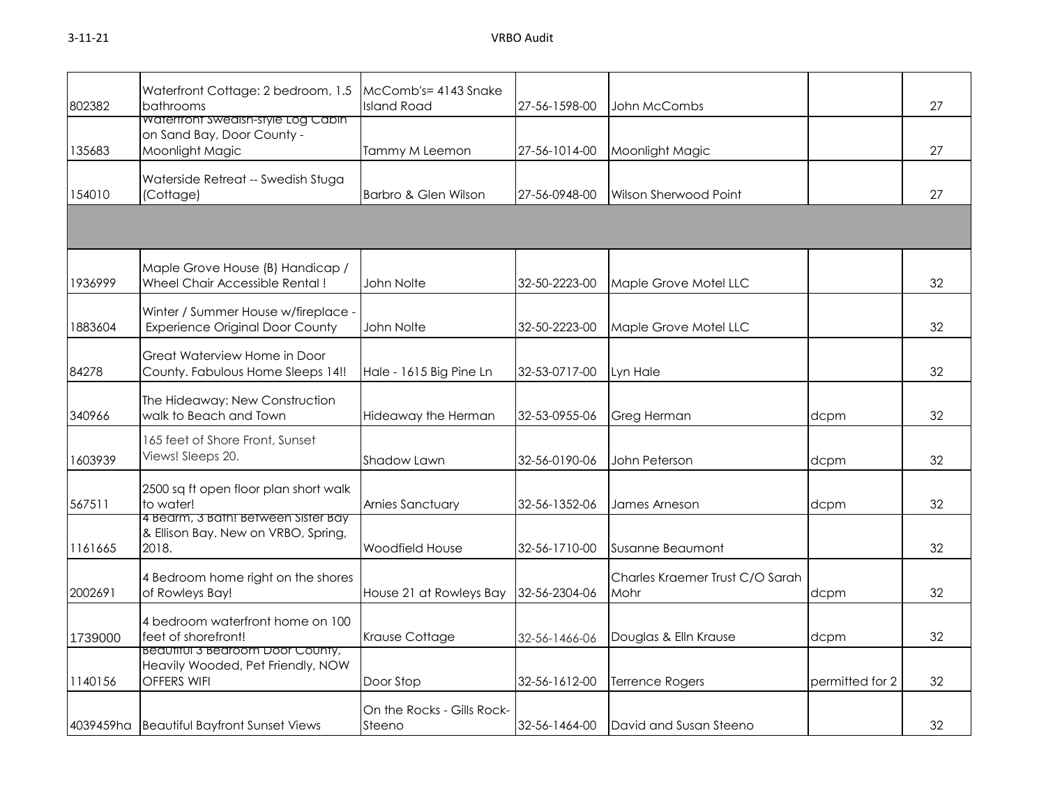## 3-11-21 VRBO Audit

| 802382  | Waterfront Cottage: 2 bedroom, 1.5<br>bathrooms                                             | McComb's=4143 Snake<br><b>Island Road</b> | 27-56-1598-00 | John McCombs                            |                 | 27 |
|---------|---------------------------------------------------------------------------------------------|-------------------------------------------|---------------|-----------------------------------------|-----------------|----|
| 135683  | Watertront Swedish-style Log Cabin<br>on Sand Bay, Door County -<br>Moonlight Magic         | Tammy M Leemon                            | 27-56-1014-00 | Moonlight Magic                         |                 | 27 |
| 154010  | Waterside Retreat -- Swedish Stuga<br>(Cottage)                                             | Barbro & Glen Wilson                      | 27-56-0948-00 | Wilson Sherwood Point                   |                 | 27 |
|         |                                                                                             |                                           |               |                                         |                 |    |
| 1936999 | Maple Grove House (B) Handicap /<br>Wheel Chair Accessible Rental!                          | John Nolte                                | 32-50-2223-00 | Maple Grove Motel LLC                   |                 | 32 |
| 1883604 | Winter / Summer House w/fireplace -<br><b>Experience Original Door County</b>               | John Nolte                                | 32-50-2223-00 | Maple Grove Motel LLC                   |                 | 32 |
| 84278   | Great Waterview Home in Door<br>County. Fabulous Home Sleeps 14!!                           | Hale - 1615 Big Pine Ln                   | 32-53-0717-00 | Lyn Hale                                |                 | 32 |
| 340966  | The Hideaway: New Construction<br>walk to Beach and Town                                    | Hideaway the Herman                       | 32-53-0955-06 | <b>Greg Herman</b>                      | dcpm            | 32 |
| 1603939 | 165 feet of Shore Front, Sunset<br>Views! Sleeps 20.                                        | Shadow Lawn                               | 32-56-0190-06 | John Peterson                           | dcpm            | 32 |
| 567511  | 2500 sq ft open floor plan short walk<br>to water!                                          | Arnies Sanctuary                          | 32-56-1352-06 | James Arneson                           | dcpm            | 32 |
| 1161665 | 4 Bearm, 3 Bath! Between Sister Bay<br>& Ellison Bay. New on VRBO, Spring,<br>2018.         | <b>Woodfield House</b>                    | 32-56-1710-00 | Susanne Beaumont                        |                 | 32 |
| 2002691 | 4 Bedroom home right on the shores<br>of Rowleys Bay!                                       | House 21 at Rowleys Bay                   | 32-56-2304-06 | Charles Kraemer Trust C/O Sarah<br>Mohr | dcpm            | 32 |
| 1739000 | 4 bedroom waterfront home on 100<br>feet of shorefront!                                     | Krause Cottage                            | 32-56-1466-06 | Douglas & Elln Krause                   | dcpm            | 32 |
| 1140156 | Beaufiful 3 Bedroom Door County,<br>Heavily Wooded, Pet Friendly, NOW<br><b>OFFERS WIFI</b> | Door Stop                                 | 32-56-1612-00 | <b>Terrence Rogers</b>                  | permitted for 2 | 32 |
|         | 4039459ha Beautiful Bayfront Sunset Views                                                   | On the Rocks - Gills Rock-<br>Steeno      | 32-56-1464-00 | David and Susan Steeno                  |                 | 32 |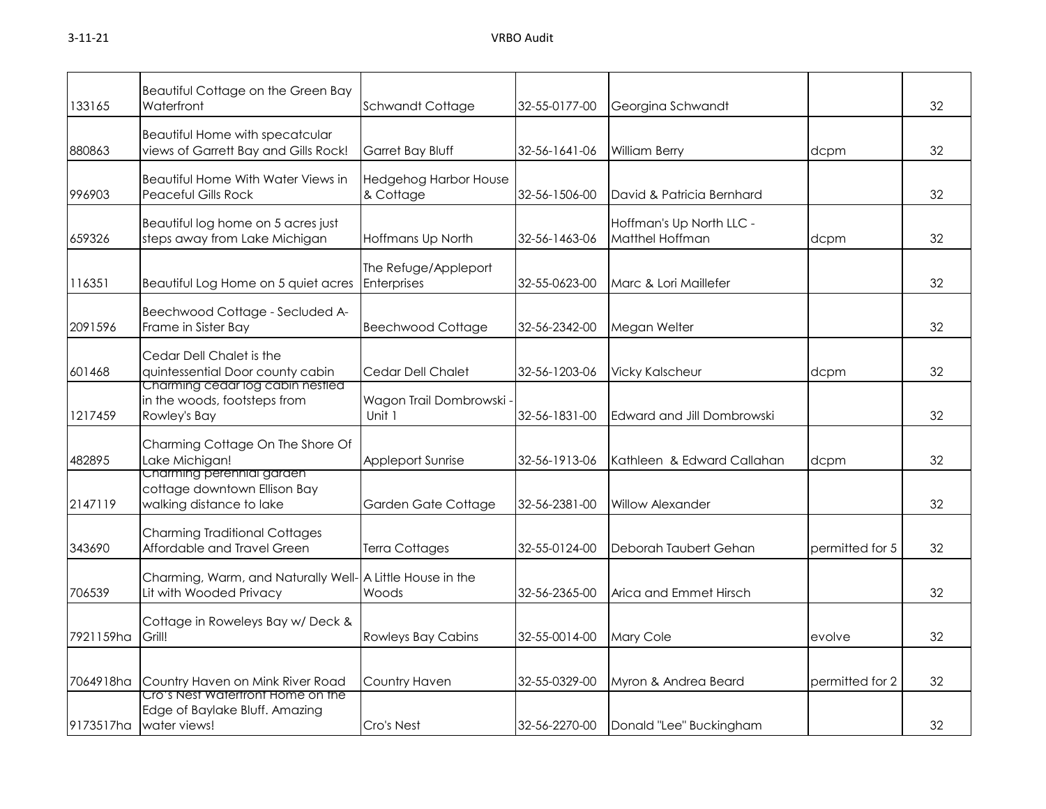| 133165    | Beautiful Cottage on the Green Bay<br>Waterfront                                      | Schwandt Cottage                          | 32-55-0177-00 | Georgina Schwandt                           |                 | 32 |
|-----------|---------------------------------------------------------------------------------------|-------------------------------------------|---------------|---------------------------------------------|-----------------|----|
| 880863    | Beautiful Home with specatcular<br>views of Garrett Bay and Gills Rock!               | Garret Bay Bluff                          | 32-56-1641-06 | <b>William Berry</b>                        | dcpm            | 32 |
| 996903    | Beautiful Home With Water Views in<br>Peaceful Gills Rock                             | <b>Hedgehog Harbor House</b><br>& Cottage | 32-56-1506-00 | David & Patricia Bernhard                   |                 | 32 |
| 659326    | Beautiful log home on 5 acres just<br>steps away from Lake Michigan                   | Hoffmans Up North                         | 32-56-1463-06 | Hoffman's Up North LLC -<br>Matthel Hoffman | dcpm            | 32 |
| 116351    | Beautiful Log Home on 5 quiet acres                                                   | The Refuge/Appleport<br>Enterprises       | 32-55-0623-00 | Marc & Lori Maillefer                       |                 | 32 |
| 2091596   | Beechwood Cottage - Secluded A-<br>Frame in Sister Bay                                | <b>Beechwood Cottage</b>                  | 32-56-2342-00 | Megan Welter                                |                 | 32 |
| 601468    | Cedar Dell Chalet is the<br>quintessential Door county cabin                          | Cedar Dell Chalet                         | 32-56-1203-06 | <b>Vicky Kalscheur</b>                      | dcpm            | 32 |
| 1217459   | Charming cedar log cabin nestled<br>in the woods, footsteps from<br>Rowley's Bay      | Wagon Trail Dombrowski -<br>Unit 1        | 32-56-1831-00 | Edward and Jill Dombrowski                  |                 | 32 |
| 482895    | Charming Cottage On The Shore Of<br>Lake Michigan!                                    | Appleport Sunrise                         | 32-56-1913-06 | Kathleen & Edward Callahan                  | dcpm            | 32 |
| 2147119   | Charming perennial garaen<br>cottage downtown Ellison Bay<br>walking distance to lake | Garden Gate Cottage                       | 32-56-2381-00 | <b>Willow Alexander</b>                     |                 | 32 |
| 343690    | <b>Charming Traditional Cottages</b><br>Affordable and Travel Green                   | <b>Terra Cottages</b>                     | 32-55-0124-00 | Deborah Taubert Gehan                       | permitted for 5 | 32 |
| 706539    | Charming, Warm, and Naturally Well- A Little House in the<br>Lit with Wooded Privacy  | Woods                                     | 32-56-2365-00 | Arica and Emmet Hirsch                      |                 | 32 |
| 7921159ha | Cottage in Roweleys Bay w/ Deck &<br>Grill!                                           | <b>Rowleys Bay Cabins</b>                 | 32-55-0014-00 | Mary Cole                                   | evolve          | 32 |
| 7064918ha | Country Haven on Mink River Road                                                      | Country Haven                             | 32-55-0329-00 | Myron & Andrea Beard                        | permitted for 2 | 32 |
| 9173517ha | Cro's Nest Watertront Home on the<br>Edge of Baylake Bluff. Amazing<br>water views!   | Cro's Nest                                | 32-56-2270-00 | Donald "Lee" Buckingham                     |                 | 32 |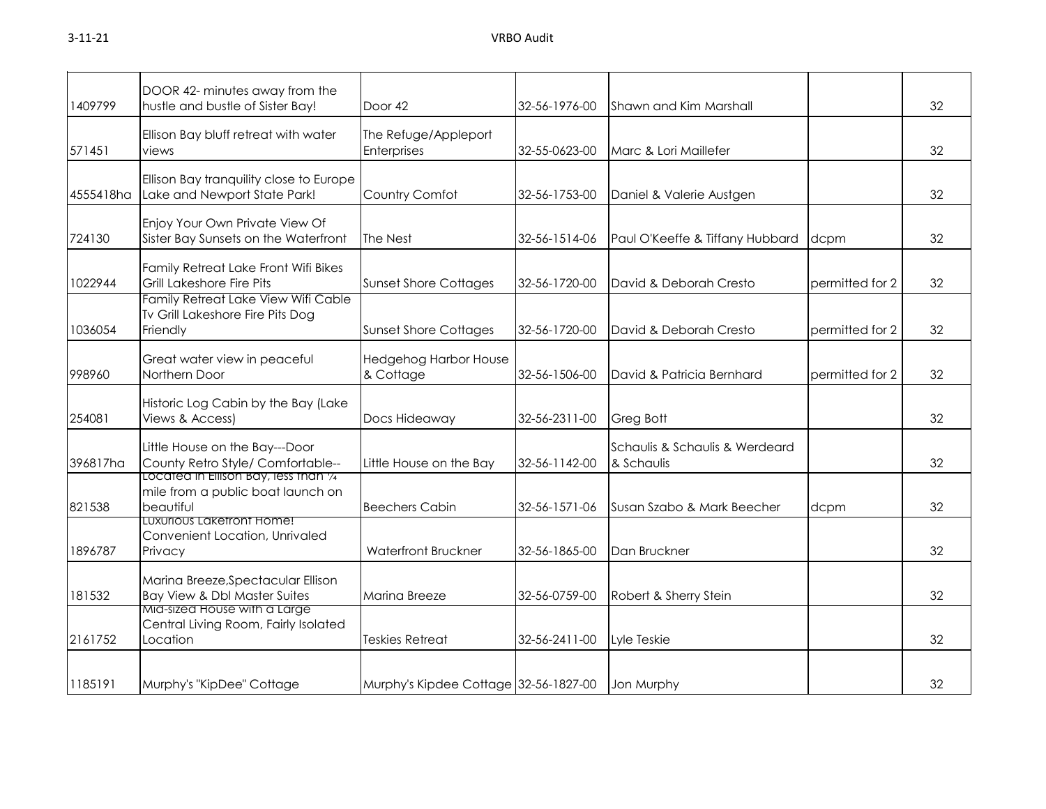| 1409799   | DOOR 42- minutes away from the<br>hustle and bustle of Sister Bay!                      | Door 42                                   | 32-56-1976-00 | Shawn and Kim Marshall                       |                 | 32 |
|-----------|-----------------------------------------------------------------------------------------|-------------------------------------------|---------------|----------------------------------------------|-----------------|----|
| 571451    | Ellison Bay bluff retreat with water<br>views                                           | The Refuge/Appleport<br>Enterprises       | 32-55-0623-00 | Marc & Lori Maillefer                        |                 | 32 |
| 4555418ha | Ellison Bay tranquility close to Europe<br>Lake and Newport State Park!                 | Country Comfot                            | 32-56-1753-00 | Daniel & Valerie Austgen                     |                 | 32 |
| 724130    | Enjoy Your Own Private View Of<br>Sister Bay Sunsets on the Waterfront                  | The Nest                                  | 32-56-1514-06 | Paul O'Keeffe & Tiffany Hubbard              | dcpm            | 32 |
| 1022944   | Family Retreat Lake Front Wifi Bikes<br>Grill Lakeshore Fire Pits                       | <b>Sunset Shore Cottages</b>              | 32-56-1720-00 | David & Deborah Cresto                       | permitted for 2 | 32 |
| 1036054   | Family Retreat Lake View Wifi Cable<br>Tv Grill Lakeshore Fire Pits Dog<br>Friendly     | <b>Sunset Shore Cottages</b>              | 32-56-1720-00 | David & Deborah Cresto                       | permitted for 2 | 32 |
| 998960    | Great water view in peaceful<br>Northern Door                                           | <b>Hedgehog Harbor House</b><br>& Cottage | 32-56-1506-00 | David & Patricia Bernhard                    | permitted for 2 | 32 |
| 254081    | Historic Log Cabin by the Bay (Lake<br>Views & Access)                                  | Docs Hideaway                             | 32-56-2311-00 | Greg Bott                                    |                 | 32 |
| 396817ha  | Little House on the Bay---Door<br>County Retro Style/ Comfortable--                     | Little House on the Bay                   | 32-56-1142-00 | Schaulis & Schaulis & Werdeard<br>& Schaulis |                 | 32 |
| 821538    | Located in Ellison Bay, less than 1/4<br>mile from a public boat launch on<br>beautiful | <b>Beechers Cabin</b>                     | 32-56-1571-06 | Susan Szabo & Mark Beecher                   | dcpm            | 32 |
| 1896787   | LUXUrioUS LAKETront Home!<br>Convenient Location, Unrivaled<br>Privacy                  | <b>Waterfront Bruckner</b>                | 32-56-1865-00 | Dan Bruckner                                 |                 | 32 |
| 181532    | Marina Breeze, Spectacular Ellison<br>Bay View & Dbl Master Suites                      | Marina Breeze                             | 32-56-0759-00 | Robert & Sherry Stein                        |                 | 32 |
| 2161752   | Mid-sized House with a Large<br>Central Living Room, Fairly Isolated<br>Location        | <b>Teskies Retreat</b>                    | 32-56-2411-00 | Lyle Teskie                                  |                 | 32 |
| 1185191   | Murphy's "KipDee" Cottage                                                               | Murphy's Kipdee Cottage 32-56-1827-00     |               | Jon Murphy                                   |                 | 32 |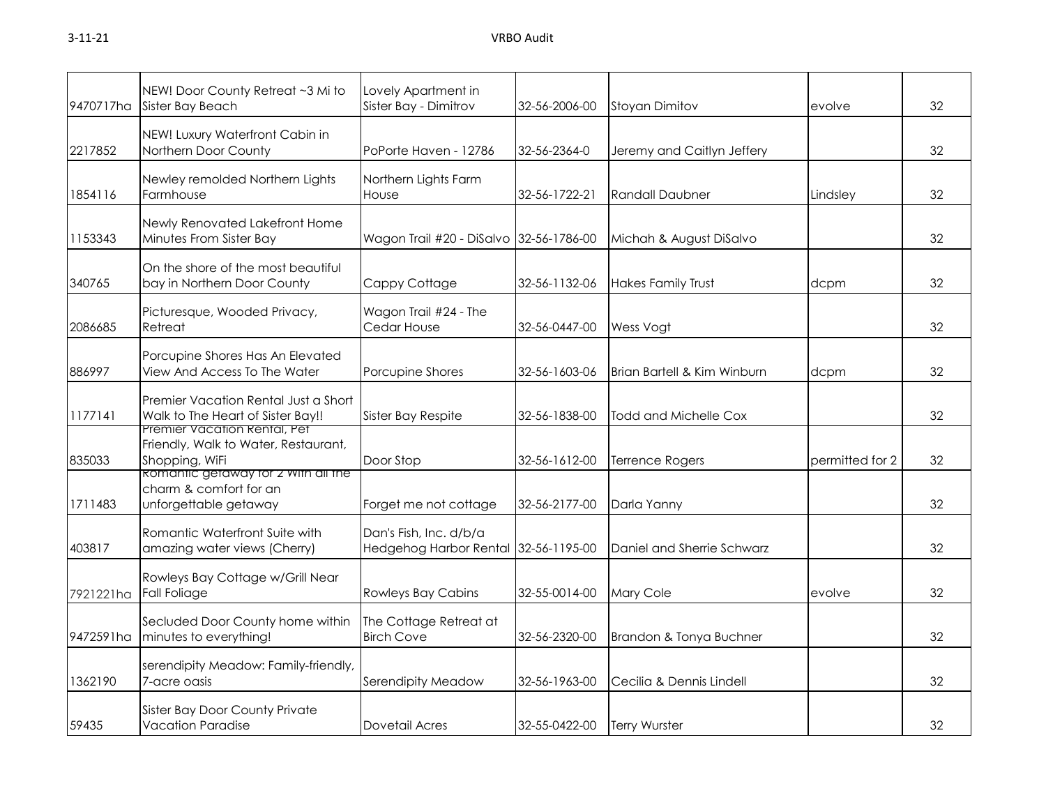| 9470717ha | NEW! Door County Retreat ~3 Mi to<br>Sister Bay Beach                                         | Lovely Apartment in<br>Sister Bay - Dimitrov     | 32-56-2006-00 | <b>Stoyan Dimitov</b>       | evolve          | 32 |
|-----------|-----------------------------------------------------------------------------------------------|--------------------------------------------------|---------------|-----------------------------|-----------------|----|
| 2217852   | NEW! Luxury Waterfront Cabin in<br>Northern Door County                                       | PoPorte Haven - 12786                            | 32-56-2364-0  | Jeremy and Caitlyn Jeffery  |                 | 32 |
| 1854116   | Newley remolded Northern Lights<br>Farmhouse                                                  | Northern Lights Farm<br>House                    | 32-56-1722-21 | <b>Randall Daubner</b>      | Lindsley        | 32 |
| 1153343   | Newly Renovated Lakefront Home<br>Minutes From Sister Bay                                     | Wagon Trail #20 - DiSalvo 32-56-1786-00          |               | Michah & August DiSalvo     |                 | 32 |
| 340765    | On the shore of the most beautiful<br>bay in Northern Door County                             | Cappy Cottage                                    | 32-56-1132-06 | <b>Hakes Family Trust</b>   | dcpm            | 32 |
| 2086685   | Picturesque, Wooded Privacy,<br>Retreat                                                       | Wagon Trail #24 - The<br>Cedar House             | 32-56-0447-00 | Wess Vogt                   |                 | 32 |
| 886997    | Porcupine Shores Has An Elevated<br>View And Access To The Water                              | Porcupine Shores                                 | 32-56-1603-06 | Brian Bartell & Kim Winburn | dcpm            | 32 |
| 1177141   | Premier Vacation Rental Just a Short<br>Walk to The Heart of Sister Bay!!                     | Sister Bay Respite                               | 32-56-1838-00 | Todd and Michelle Cox       |                 | 32 |
| 835033    | Premier Vacation Rental, Pet<br>Friendly, Walk to Water, Restaurant,<br>Shopping, WiFi        | Door Stop                                        | 32-56-1612-00 | Terrence Rogers             | permitted for 2 | 32 |
| 1711483   | <b>ROMANTIC GETAWAY TOT 2 WITH AIL THE</b><br>charm & comfort for an<br>unforgettable getaway | Forget me not cottage                            | 32-56-2177-00 | Darla Yanny                 |                 | 32 |
| 403817    | Romantic Waterfront Suite with<br>amazing water views (Cherry)                                | Dan's Fish, Inc. d/b/a<br>Hedgehog Harbor Rental | 32-56-1195-00 | Daniel and Sherrie Schwarz  |                 | 32 |
| 7921221ha | Rowleys Bay Cottage w/Grill Near<br>Fall Foliage                                              | <b>Rowleys Bay Cabins</b>                        | 32-55-0014-00 | Mary Cole                   | evolve          | 32 |
| 9472591ha | Secluded Door County home within<br>minutes to everything!                                    | The Cottage Retreat at<br><b>Birch Cove</b>      | 32-56-2320-00 | Brandon & Tonya Buchner     |                 | 32 |
| 1362190   | serendipity Meadow: Family-friendly,<br>7-acre oasis                                          | Serendipity Meadow                               | 32-56-1963-00 | Cecilia & Dennis Lindell    |                 | 32 |
| 59435     | Sister Bay Door County Private<br>Vacation Paradise                                           | Dovetail Acres                                   | 32-55-0422-00 | <b>Terry Wurster</b>        |                 | 32 |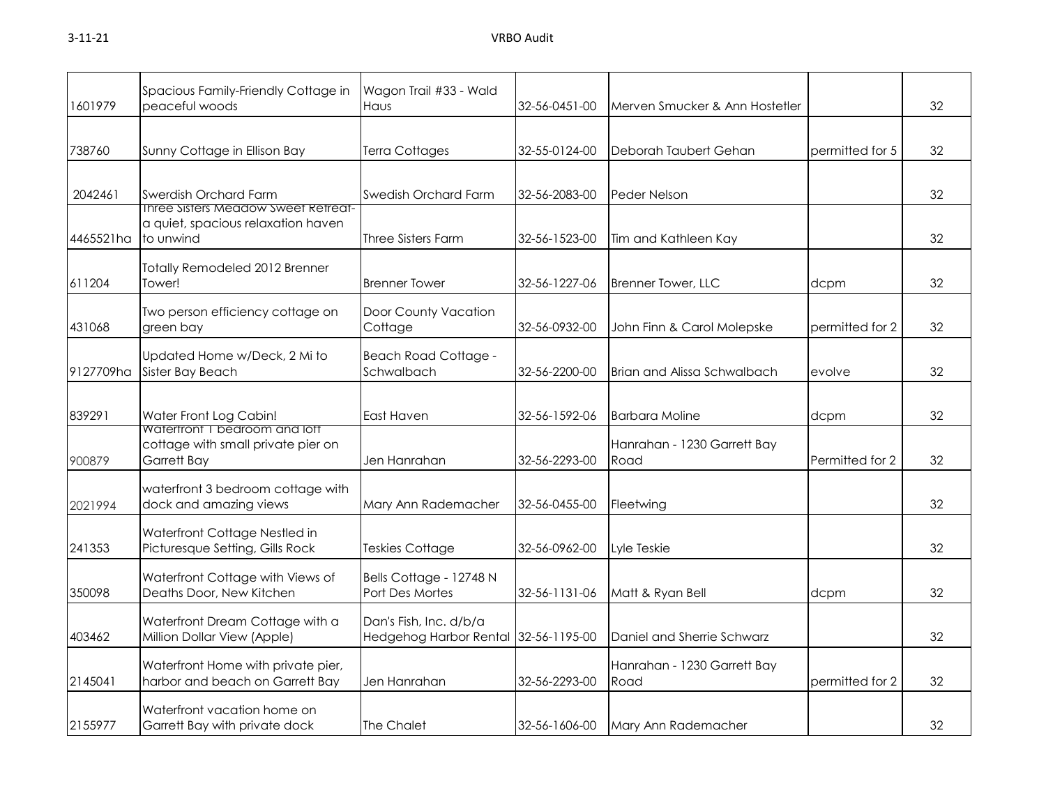| 1601979   | Spacious Family-Friendly Cottage in<br>peaceful woods                                         | Wagon Trail #33 - Wald<br>Haus                                 | 32-56-0451-00 | Merven Smucker & Ann Hostetler      |                 | 32 |
|-----------|-----------------------------------------------------------------------------------------------|----------------------------------------------------------------|---------------|-------------------------------------|-----------------|----|
| 738760    | Sunny Cottage in Ellison Bay                                                                  | <b>Terra Cottages</b>                                          | 32-55-0124-00 | Deborah Taubert Gehan               | permitted for 5 | 32 |
| 2042461   | Swerdish Orchard Farm                                                                         | Swedish Orchard Farm                                           | 32-56-2083-00 | Peder Nelson                        |                 | 32 |
| 4465521ha | <b>Inree Sisters Meadow Sweet Retreat-</b><br>a quiet, spacious relaxation haven<br>to unwind | Three Sisters Farm                                             | 32-56-1523-00 | Tim and Kathleen Kay                |                 | 32 |
| 611204    | Totally Remodeled 2012 Brenner<br>Tower!                                                      | <b>Brenner Tower</b>                                           | 32-56-1227-06 | <b>Brenner Tower, LLC</b>           | dcpm            | 32 |
| 431068    | Two person efficiency cottage on<br>green bay                                                 | Door County Vacation<br>Cottage                                | 32-56-0932-00 | John Finn & Carol Molepske          | permitted for 2 | 32 |
| 9127709ha | Updated Home w/Deck, 2 Mi to<br>Sister Bay Beach                                              | <b>Beach Road Cottage -</b><br>Schwalbach                      | 32-56-2200-00 | Brian and Alissa Schwalbach         | evolve          | 32 |
| 839291    | Water Front Log Cabin!<br>watertront I bearoom and lott                                       | East Haven                                                     | 32-56-1592-06 | <b>Barbara Moline</b>               | dcpm            | 32 |
| 900879    | cottage with small private pier on<br>Garrett Bay                                             | Jen Hanrahan                                                   | 32-56-2293-00 | Hanrahan - 1230 Garrett Bay<br>Road | Permitted for 2 | 32 |
| 2021994   | waterfront 3 bedroom cottage with<br>dock and amazing views                                   | Mary Ann Rademacher                                            | 32-56-0455-00 | Fleetwing                           |                 | 32 |
| 241353    | Waterfront Cottage Nestled in<br>Picturesque Setting, Gills Rock                              | <b>Teskies Cottage</b>                                         | 32-56-0962-00 | Lyle Teskie                         |                 | 32 |
| 350098    | Waterfront Cottage with Views of<br>Deaths Door, New Kitchen                                  | Bells Cottage - 12748 N<br>Port Des Mortes                     | 32-56-1131-06 | Matt & Ryan Bell                    | dcpm            | 32 |
| 403462    | Waterfront Dream Cottage with a<br>Million Dollar View (Apple)                                | Dan's Fish, Inc. d/b/a<br>Hedgehog Harbor Rental 32-56-1195-00 |               | Daniel and Sherrie Schwarz          |                 | 32 |
| 2145041   | Waterfront Home with private pier,<br>harbor and beach on Garrett Bay                         | Jen Hanrahan                                                   | 32-56-2293-00 | Hanrahan - 1230 Garrett Bay<br>Road | permitted for 2 | 32 |
| 2155977   | Waterfront vacation home on<br>Garrett Bay with private dock                                  | The Chalet                                                     | 32-56-1606-00 | Mary Ann Rademacher                 |                 | 32 |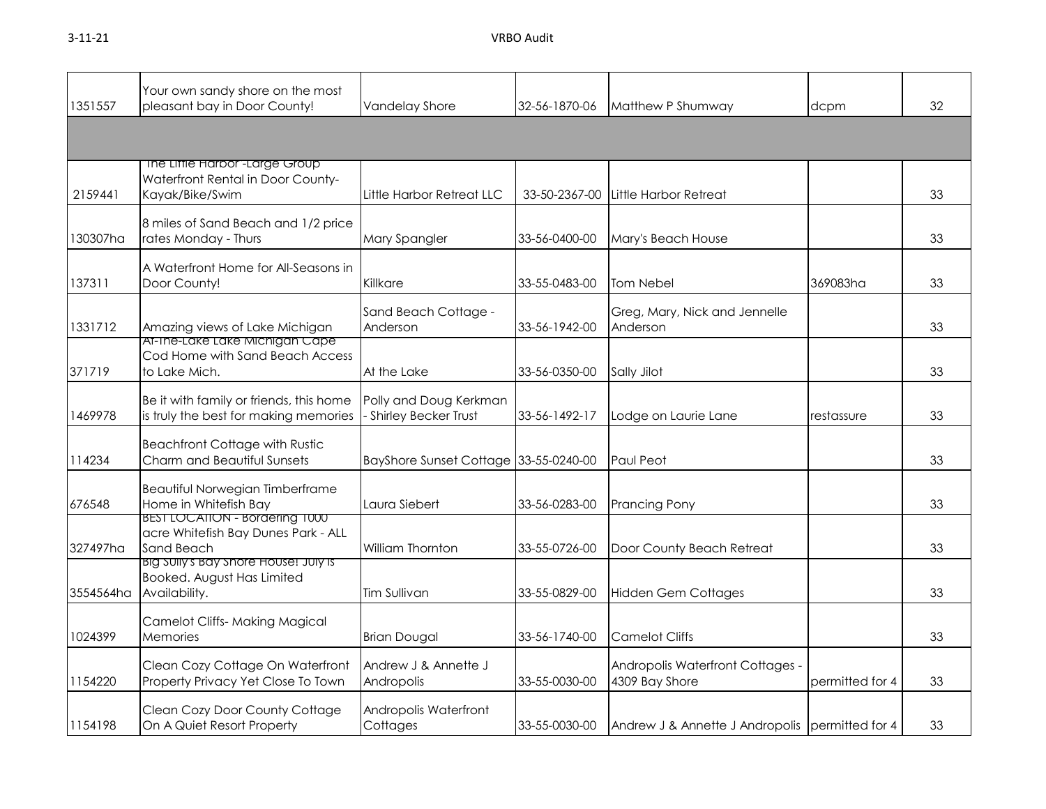3-11-21 VRBO Audit

| 1351557   | Your own sandy shore on the most<br>pleasant bay in Door County!                           | Vandelay Shore                                   | 32-56-1870-06 | Matthew P Shumway                                  | dcpm            | 32 |
|-----------|--------------------------------------------------------------------------------------------|--------------------------------------------------|---------------|----------------------------------------------------|-----------------|----|
|           |                                                                                            |                                                  |               |                                                    |                 |    |
| 2159441   | The Liffle Harbor-Large Group<br>Waterfront Rental in Door County-<br>Kayak/Bike/Swim      | Little Harbor Retreat LLC                        | 33-50-2367-00 | Little Harbor Retreat                              |                 | 33 |
| 130307ha  | 8 miles of Sand Beach and 1/2 price<br>rates Monday - Thurs                                | Mary Spangler                                    | 33-56-0400-00 | Mary's Beach House                                 |                 | 33 |
| 137311    | A Waterfront Home for All-Seasons in<br>Door County!                                       | Killkare                                         | 33-55-0483-00 | Tom Nebel                                          | 369083ha        | 33 |
| 1331712   | Amazing views of Lake Michigan                                                             | Sand Beach Cottage -<br>Anderson                 | 33-56-1942-00 | Greg, Mary, Nick and Jennelle<br>Anderson          |                 | 33 |
| 371719    | At-the-Lake Lake Michigan Cape<br>Cod Home with Sand Beach Access<br>to Lake Mich.         | At the Lake                                      | 33-56-0350-00 | Sally Jilot                                        |                 | 33 |
| 1469978   | Be it with family or friends, this home<br>is truly the best for making memories           | Polly and Doug Kerkman<br>- Shirley Becker Trust | 33-56-1492-17 | Lodge on Laurie Lane                               | restassure      | 33 |
| 114234    | <b>Beachfront Cottage with Rustic</b><br>Charm and Beautiful Sunsets                       | <b>BayShore Sunset Cottage</b>                   | 33-55-0240-00 | Paul Peot                                          |                 | 33 |
| 676548    | Beautiful Norwegian Timberframe<br>Home in Whitefish Bay                                   | Laura Siebert                                    | 33-56-0283-00 | <b>Prancing Pony</b>                               |                 | 33 |
| 327497ha  | <b>BEST LOCATION - Bordering T000</b><br>acre Whitefish Bay Dunes Park - ALL<br>Sand Beach | William Thornton                                 | 33-55-0726-00 | Door County Beach Retreat                          |                 | 33 |
| 3554564ha | Big Sully's Bay Shore House! July is<br>Booked. August Has Limited<br>Availability.        | Tim Sullivan                                     | 33-55-0829-00 | <b>Hidden Gem Cottages</b>                         |                 | 33 |
| 1024399   | <b>Camelot Cliffs- Making Magical</b><br>Memories                                          | <b>Brian Dougal</b>                              | 33-56-1740-00 | <b>Camelot Cliffs</b>                              |                 | 33 |
| 1154220   | Clean Cozy Cottage On Waterfront<br>Property Privacy Yet Close To Town                     | Andrew J & Annette J<br>Andropolis               | 33-55-0030-00 | Andropolis Waterfront Cottages -<br>4309 Bay Shore | permitted for 4 | 33 |
| 1154198   | Clean Cozy Door County Cottage<br>On A Quiet Resort Property                               | Andropolis Waterfront<br>Cottages                | 33-55-0030-00 | Andrew J & Annette J Andropolis permitted for 4    |                 | 33 |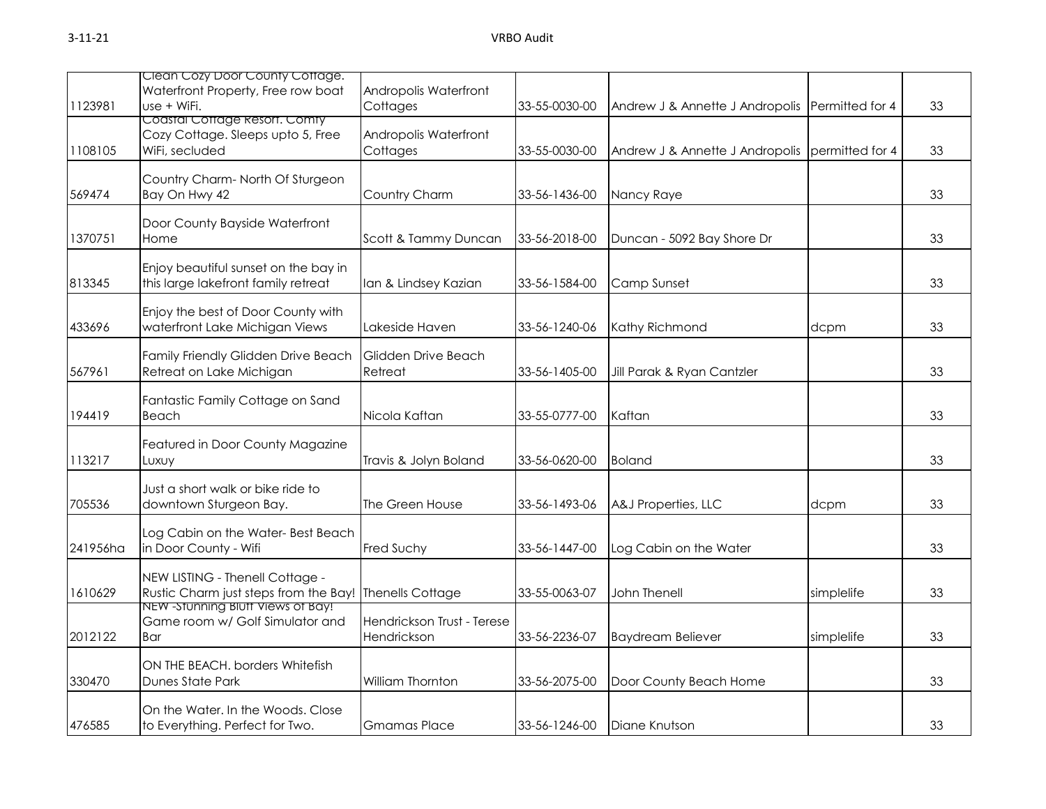|          | Clean Cozy Door County Cottage.                                                           |                                           |               |                                 |                 |    |
|----------|-------------------------------------------------------------------------------------------|-------------------------------------------|---------------|---------------------------------|-----------------|----|
| 1123981  | Waterfront Property, Free row boat<br>use + WiFi.                                         | Andropolis Waterfront<br>Cottages         | 33-55-0030-00 | Andrew J & Annette J Andropolis | Permitted for 4 | 33 |
| 1108105  | Coastal Cottage Resort. Comty<br>Cozy Cottage. Sleeps upto 5, Free<br>WiFi, secluded      | Andropolis Waterfront<br>Cottages         | 33-55-0030-00 | Andrew J & Annette J Andropolis | permitted for 4 | 33 |
| 569474   | Country Charm-North Of Sturgeon<br>Bay On Hwy 42                                          | Country Charm                             | 33-56-1436-00 | Nancy Raye                      |                 | 33 |
| 1370751  | Door County Bayside Waterfront<br>Home                                                    | Scott & Tammy Duncan                      | 33-56-2018-00 | Duncan - 5092 Bay Shore Dr      |                 | 33 |
| 813345   | Enjoy beautiful sunset on the bay in<br>this large lakefront family retreat               | Ian & Lindsey Kazian                      | 33-56-1584-00 | Camp Sunset                     |                 | 33 |
| 433696   | Enjoy the best of Door County with<br>waterfront Lake Michigan Views                      | Lakeside Haven                            | 33-56-1240-06 | Kathy Richmond                  | dcpm            | 33 |
| 567961   | Family Friendly Glidden Drive Beach<br>Retreat on Lake Michigan                           | Glidden Drive Beach<br>Retreat            | 33-56-1405-00 | Jill Parak & Ryan Cantzler      |                 | 33 |
| 194419   | Fantastic Family Cottage on Sand<br>Beach                                                 | Nicola Kaftan                             | 33-55-0777-00 | Kaftan                          |                 | 33 |
| 113217   | Featured in Door County Magazine<br>Luxuy                                                 | Travis & Jolyn Boland                     | 33-56-0620-00 | <b>Boland</b>                   |                 | 33 |
| 705536   | Just a short walk or bike ride to<br>downtown Sturgeon Bay.                               | The Green House                           | 33-56-1493-06 | A&J Properties, LLC             | dcpm            | 33 |
| 241956ha | Log Cabin on the Water-Best Beach<br>in Door County - Wifi                                | <b>Fred Suchy</b>                         | 33-56-1447-00 | Log Cabin on the Water          |                 | 33 |
| 1610629  | NEW LISTING - Thenell Cottage -<br>Rustic Charm just steps from the Bay! Thenells Cottage |                                           | 33-55-0063-07 | John Thenell                    | simplelife      | 33 |
| 2012122  | <u>NEW -STUNNING BIUTT VIEWS OT BAY!</u><br>Game room w/ Golf Simulator and<br><b>Bar</b> | Hendrickson Trust - Terese<br>Hendrickson | 33-56-2236-07 | <b>Baydream Believer</b>        | simplelife      | 33 |
| 330470   | ON THE BEACH. borders Whitefish<br>Dunes State Park                                       | William Thornton                          | 33-56-2075-00 | Door County Beach Home          |                 | 33 |
| 476585   | On the Water. In the Woods. Close<br>to Everything. Perfect for Two.                      | <b>Gmamas Place</b>                       | 33-56-1246-00 | Diane Knutson                   |                 | 33 |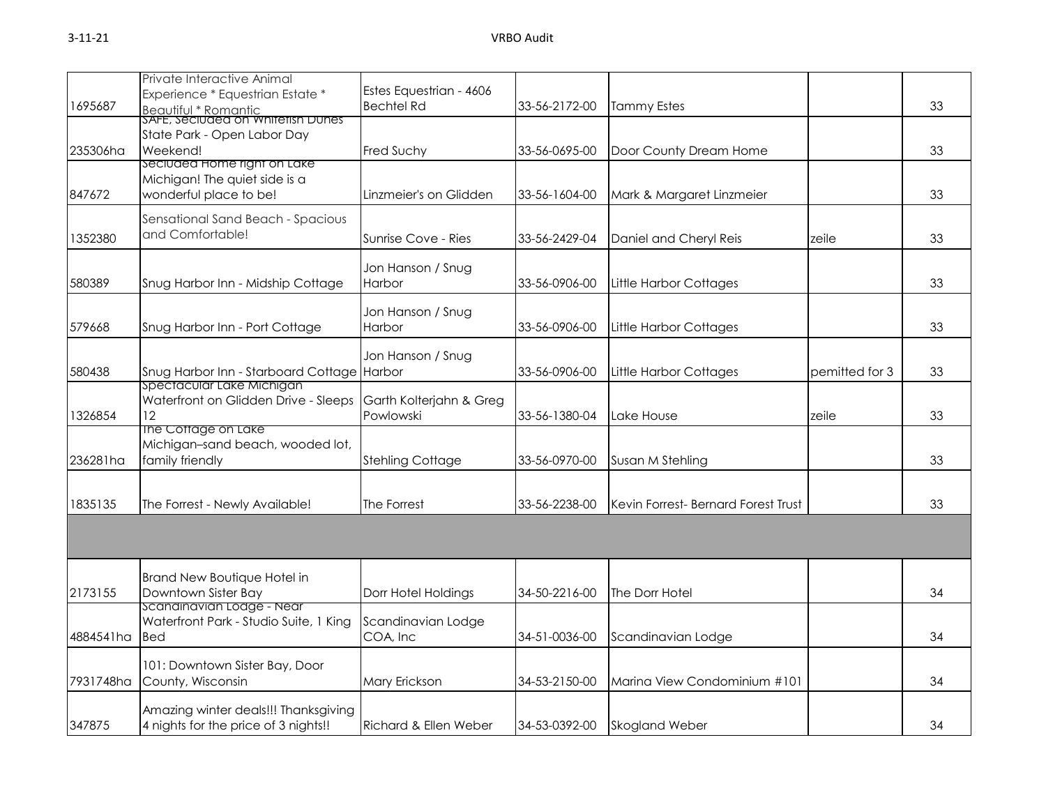| 1695687   | Private Interactive Animal<br>Experience * Equestrian Estate *<br><u>Beautiful * Romantic<br/>SAFE, Seciuded on Whitetish Dunes </u> | Estes Equestrian - 4606<br><b>Bechtel Rd</b> | 33-56-2172-00 | <b>Tammy Estes</b>                  |                | 33 |
|-----------|--------------------------------------------------------------------------------------------------------------------------------------|----------------------------------------------|---------------|-------------------------------------|----------------|----|
| 235306ha  | State Park - Open Labor Day<br>Weekend!                                                                                              | Fred Suchy                                   | 33-56-0695-00 | Door County Dream Home              |                | 33 |
| 847672    | seciuded Home right on Lake<br>Michigan! The quiet side is a<br>wonderful place to be!                                               | Linzmeier's on Glidden                       | 33-56-1604-00 | Mark & Margaret Linzmeier           |                | 33 |
| 1352380   | Sensational Sand Beach - Spacious<br>and Comfortable!                                                                                | Sunrise Cove - Ries                          | 33-56-2429-04 | Daniel and Cheryl Reis              | zeile          | 33 |
| 580389    | Snug Harbor Inn - Midship Cottage                                                                                                    | Jon Hanson / Snug<br>Harbor                  | 33-56-0906-00 | Little Harbor Cottages              |                | 33 |
| 579668    | Snug Harbor Inn - Port Cottage                                                                                                       | Jon Hanson / Snug<br><b>Harbor</b>           | 33-56-0906-00 | Little Harbor Cottages              |                | 33 |
| 580438    | Snug Harbor Inn - Starboard Cottage Harbor                                                                                           | Jon Hanson / Snug                            | 33-56-0906-00 | Little Harbor Cottages              | pemitted for 3 | 33 |
| 1326854   | Spectacular Lake Michigan<br>Waterfront on Glidden Drive - Sleeps<br>12                                                              | Garth Kolterjahn & Greg<br>Powlowski         | 33-56-1380-04 | Lake House                          | zeile          | 33 |
| 236281ha  | The Cottage on Lake<br>Michigan-sand beach, wooded lot,<br>family friendly                                                           | <b>Stehling Cottage</b>                      | 33-56-0970-00 | Susan M Stehling                    |                | 33 |
| 1835135   | The Forrest - Newly Available!                                                                                                       | The Forrest                                  | 33-56-2238-00 | Kevin Forrest- Bernard Forest Trust |                | 33 |
|           |                                                                                                                                      |                                              |               |                                     |                |    |
| 2173155   | Brand New Boutique Hotel in<br>Downtown Sister Bay                                                                                   | Dorr Hotel Holdings                          | 34-50-2216-00 | The Dorr Hotel                      |                | 34 |
| 4884541ha | scanainavian Loage - Near<br>Waterfront Park - Studio Suite, 1 King<br><b>Bed</b>                                                    | Scandinavian Lodge<br>COA, Inc               | 34-51-0036-00 | Scandinavian Lodge                  |                | 34 |
| 7931748ha | 101: Downtown Sister Bay, Door<br>County, Wisconsin                                                                                  | Mary Erickson                                | 34-53-2150-00 | Marina View Condominium #101        |                | 34 |
| 347875    | Amazing winter deals!!! Thanksgiving<br>4 nights for the price of 3 nights!!                                                         | Richard & Ellen Weber                        | 34-53-0392-00 | <b>Skogland Weber</b>               |                | 34 |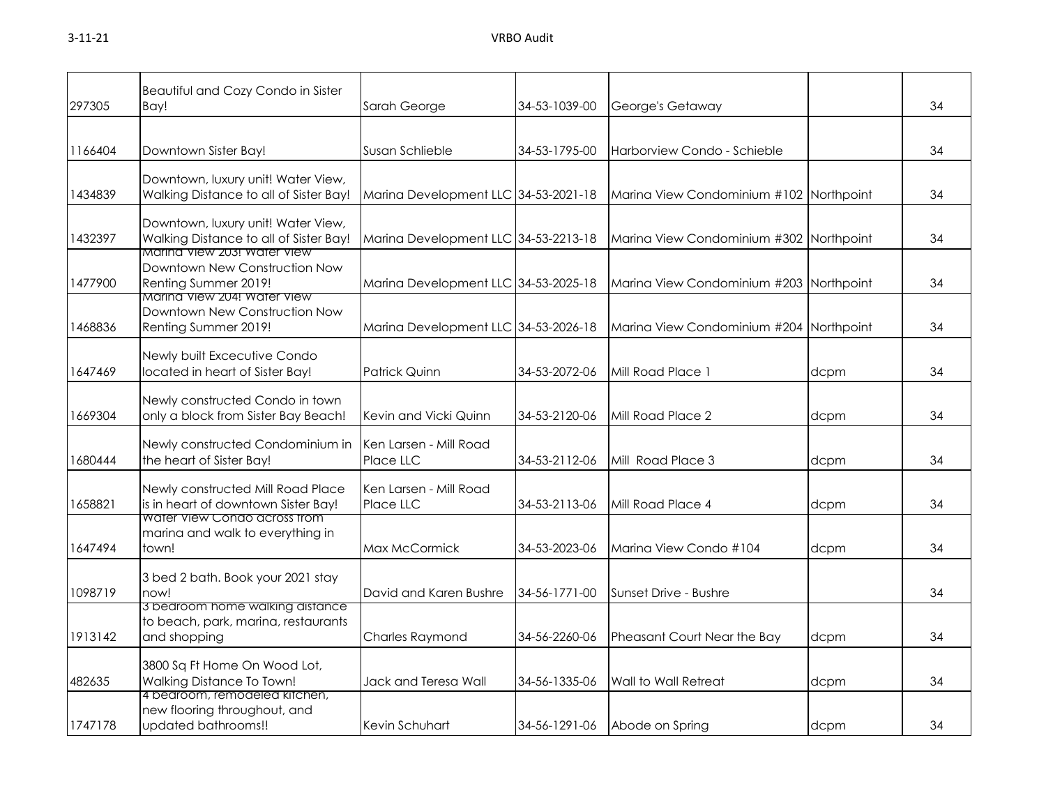| 297305  | Beautiful and Cozy Condo in Sister<br>Bay!                                                                  | Sarah George                         | 34-53-1039-00 | George's Getaway                        |      | 34 |
|---------|-------------------------------------------------------------------------------------------------------------|--------------------------------------|---------------|-----------------------------------------|------|----|
| 1166404 | Downtown Sister Bay!                                                                                        | Susan Schlieble                      | 34-53-1795-00 | Harborview Condo - Schieble             |      | 34 |
| 1434839 | Downtown, luxury unit! Water View,<br>Walking Distance to all of Sister Bay!                                | Marina Development LLC 34-53-2021-18 |               | Marina View Condominium #102 Northpoint |      | 34 |
| 1432397 | Downtown, luxury unit! Water View,<br>Walking Distance to all of Sister Bay!<br>Marina View 203! Water View | Marina Development LLC 34-53-2213-18 |               | Marina View Condominium #302 Northpoint |      | 34 |
| 1477900 | Downtown New Construction Now<br>Renting Summer 2019!<br>Marina View 204! Water View                        | Marina Development LLC 34-53-2025-18 |               | Marina View Condominium #203 Northpoint |      | 34 |
| 1468836 | Downtown New Construction Now<br>Renting Summer 2019!                                                       | Marina Development LLC 34-53-2026-18 |               | Marina View Condominium #204 Northpoint |      | 34 |
| 1647469 | Newly built Excecutive Condo<br>located in heart of Sister Bay!                                             | Patrick Quinn                        | 34-53-2072-06 | Mill Road Place 1                       | dcpm | 34 |
| 1669304 | Newly constructed Condo in town<br>only a block from Sister Bay Beach!                                      | Kevin and Vicki Quinn                | 34-53-2120-06 | Mill Road Place 2                       | dcpm | 34 |
| 1680444 | Newly constructed Condominium in<br>the heart of Sister Bay!                                                | Ken Larsen - Mill Road<br>Place LLC  | 34-53-2112-06 | Mill Road Place 3                       | dcpm | 34 |
| 1658821 | Newly constructed Mill Road Place<br>is in heart of downtown Sister Bay!                                    | Ken Larsen - Mill Road<br>Place LLC  | 34-53-2113-06 | Mill Road Place 4                       | dcpm | 34 |
| 1647494 | Water View Condo across from<br>marina and walk to everything in<br>town!                                   | Max McCormick                        | 34-53-2023-06 | Marina View Condo #104                  | dcpm | 34 |
| 1098719 | 3 bed 2 bath. Book your 2021 stay<br>now!                                                                   | David and Karen Bushre               | 34-56-1771-00 | Sunset Drive - Bushre                   |      | 34 |
| 1913142 | 3 bearoom nome waiking aistance<br>to beach, park, marina, restaurants<br>and shopping                      | <b>Charles Raymond</b>               | 34-56-2260-06 | Pheasant Court Near the Bay             | dcpm | 34 |
| 482635  | 3800 Sq Ft Home On Wood Lot,<br>Walking Distance To Town!                                                   | Jack and Teresa Wall                 | 34-56-1335-06 | Wall to Wall Retreat                    | dcpm | 34 |
| 1747178 | 4 bedroom, remodeled kitchen,<br>new flooring throughout, and<br>updated bathrooms!!                        | Kevin Schuhart                       | 34-56-1291-06 | Abode on Spring                         | dcpm | 34 |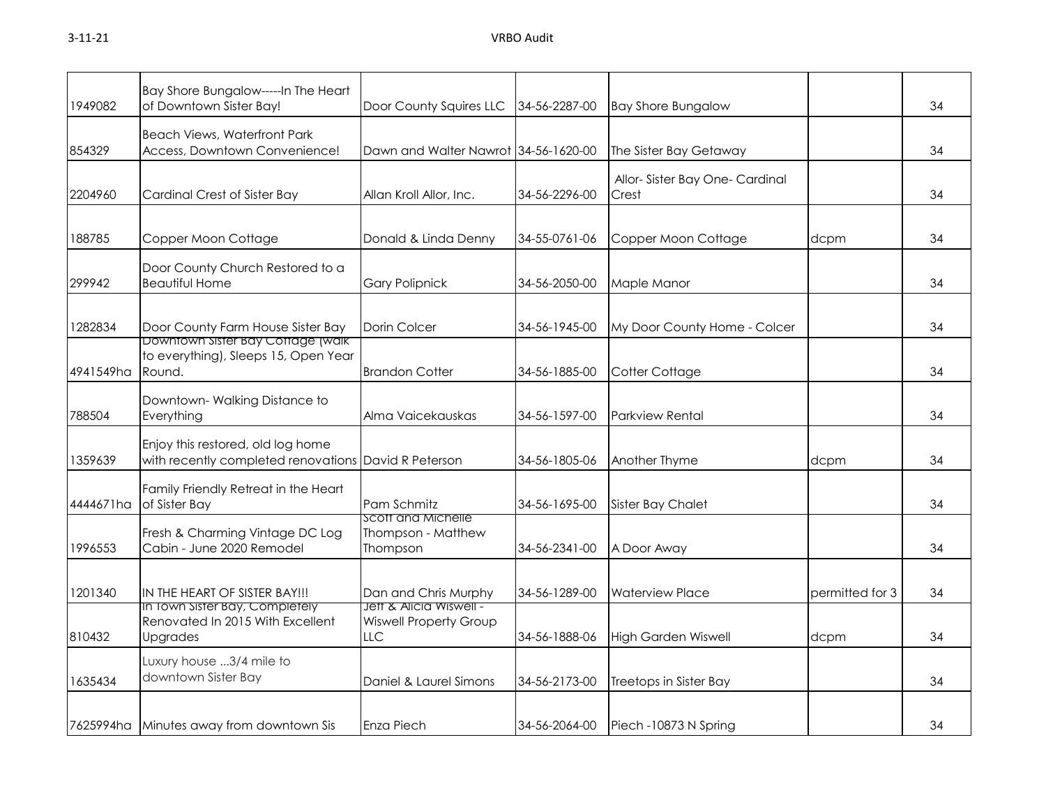| 1949082   | Bay Shore Bungalow-----In The Heart<br>of Downtown Sister Bay!                            | Door County Squires LLC                                                   | 34-56-2287-00 | <b>Bay Shore Bungalow</b>              |                 | 34 |
|-----------|-------------------------------------------------------------------------------------------|---------------------------------------------------------------------------|---------------|----------------------------------------|-----------------|----|
| 854329    | <b>Beach Views, Waterfront Park</b><br>Access, Downtown Convenience!                      | Dawn and Walter Nawrot 34-56-1620-00                                      |               | The Sister Bay Getaway                 |                 | 34 |
| 2204960   | Cardinal Crest of Sister Bay                                                              | Allan Kroll Allor, Inc.                                                   | 34-56-2296-00 | Allor-Sister Bay One-Cardinal<br>Crest |                 | 34 |
| 188785    | Copper Moon Cottage                                                                       | Donald & Linda Denny                                                      | 34-55-0761-06 | Copper Moon Cottage                    | dcpm            | 34 |
| 299942    | Door County Church Restored to a<br><b>Beautiful Home</b>                                 | <b>Gary Polipnick</b>                                                     | 34-56-2050-00 | Maple Manor                            |                 | 34 |
| 1282834   | Door County Farm House Sister Bay                                                         | Dorin Colcer                                                              | 34-56-1945-00 | My Door County Home - Colcer           |                 | 34 |
| 4941549ha | Downtown sister Bay Cottage (waik<br>to everything), Sleeps 15, Open Year<br>Round.       | <b>Brandon Cotter</b>                                                     | 34-56-1885-00 | Cotter Cottage                         |                 | 34 |
| 788504    | Downtown-Walking Distance to<br>Everything                                                | Alma Vaicekauskas                                                         | 34-56-1597-00 | <b>Parkview Rental</b>                 |                 | 34 |
| 1359639   | Enjoy this restored, old log home<br>with recently completed renovations David R Peterson |                                                                           | 34-56-1805-06 | Another Thyme                          | dcpm            | 34 |
| 4444671ha | Family Friendly Retreat in the Heart<br>of Sister Bay                                     | Pam Schmitz                                                               | 34-56-1695-00 | Sister Bay Chalet                      |                 | 34 |
| 1996553   | Fresh & Charming Vintage DC Log<br>Cabin - June 2020 Remodel                              | Scott and Michelle<br>Thompson - Matthew<br>Thompson                      | 34-56-2341-00 | A Door Away                            |                 | 34 |
| 1201340   | IN THE HEART OF SISTER BAY!!!                                                             | Dan and Chris Murphy                                                      | 34-56-1289-00 | <b>Waterview Place</b>                 | permitted for 3 | 34 |
| 810432    | in Town Sister Bay, Completely<br>Renovated In 2015 With Excellent<br>Upgrades            | <b>Jett &amp; Alicia Wisweir-</b><br><b>Wiswell Property Group</b><br>LLC | 34-56-1888-06 | <b>High Garden Wiswell</b>             | dcpm            | 34 |
| 1635434   | Luxury house 3/4 mile to<br>downtown Sister Bay                                           | Daniel & Laurel Simons                                                    | 34-56-2173-00 | Treetops in Sister Bay                 |                 | 34 |
| 7625994ha | Minutes away from downtown Sis                                                            | Enza Piech                                                                | 34-56-2064-00 | Piech -10873 N Spring                  |                 | 34 |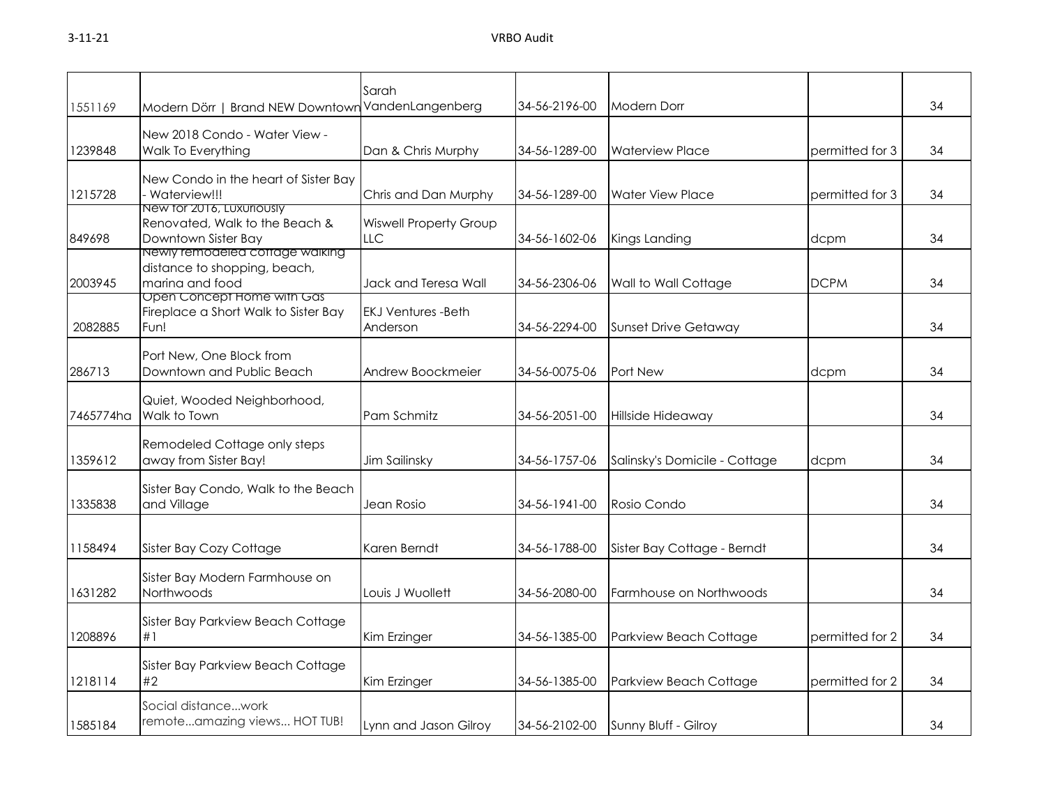| 1551169   | Modern Dörr   Brand NEW Downtowr                                                                                 | Sarah<br>VandenLangenberg             | 34-56-2196-00 | <b>Modern Dorr</b>            |                 | 34 |
|-----------|------------------------------------------------------------------------------------------------------------------|---------------------------------------|---------------|-------------------------------|-----------------|----|
| 1239848   | New 2018 Condo - Water View -<br>Walk To Everything                                                              | Dan & Chris Murphy                    | 34-56-1289-00 | <b>Waterview Place</b>        | permitted for 3 | 34 |
| 1215728   | New Condo in the heart of Sister Bay<br>Waterview!!!                                                             | Chris and Dan Murphy                  | 34-56-1289-00 | <b>Water View Place</b>       | permitted for 3 | 34 |
| 849698    | New for 2016, Luxuriously<br>Renovated, Walk to the Beach &<br>Downtown Sister Bay                               | <b>Wiswell Property Group</b><br>LLC. | 34-56-1602-06 | Kings Landing                 | dcpm            | 34 |
| 2003945   | Newly remodeled coffage walking<br>distance to shopping, beach,<br>marina and food<br>Open Concept Home with Gas | Jack and Teresa Wall                  | 34-56-2306-06 | Wall to Wall Cottage          | <b>DCPM</b>     | 34 |
| 2082885   | Fireplace a Short Walk to Sister Bay<br>Fun!                                                                     | <b>EKJ Ventures -Beth</b><br>Anderson | 34-56-2294-00 | <b>Sunset Drive Getaway</b>   |                 | 34 |
| 286713    | Port New, One Block from<br>Downtown and Public Beach                                                            | Andrew Boockmeier                     | 34-56-0075-06 | Port New                      | dcpm            | 34 |
| 7465774ha | Quiet, Wooded Neighborhood,<br>Walk to Town                                                                      | Pam Schmitz                           | 34-56-2051-00 | Hillside Hideaway             |                 | 34 |
| 1359612   | Remodeled Cottage only steps<br>away from Sister Bay!                                                            | Jim Sailinsky                         | 34-56-1757-06 | Salinsky's Domicile - Cottage | dcpm            | 34 |
| 1335838   | Sister Bay Condo, Walk to the Beach<br>and Village                                                               | Jean Rosio                            | 34-56-1941-00 | Rosio Condo                   |                 | 34 |
| 1158494   | Sister Bay Cozy Cottage                                                                                          | Karen Berndt                          | 34-56-1788-00 | Sister Bay Cottage - Berndt   |                 | 34 |
| 1631282   | Sister Bay Modern Farmhouse on<br>Northwoods                                                                     | Louis J Wuollett                      | 34-56-2080-00 | Farmhouse on Northwoods       |                 | 34 |
| 1208896   | Sister Bay Parkview Beach Cottage<br>#1                                                                          | Kim Erzinger                          | 34-56-1385-00 | Parkview Beach Cottage        | permitted for 2 | 34 |
| 1218114   | Sister Bay Parkview Beach Cottage<br>#2                                                                          | Kim Erzinger                          | 34-56-1385-00 | Parkview Beach Cottage        | permitted for 2 | 34 |
| 1585184   | Social distancework<br>remoteamazing views HOT TUB!                                                              | Lynn and Jason Gilroy                 | 34-56-2102-00 | Sunny Bluff - Gilroy          |                 | 34 |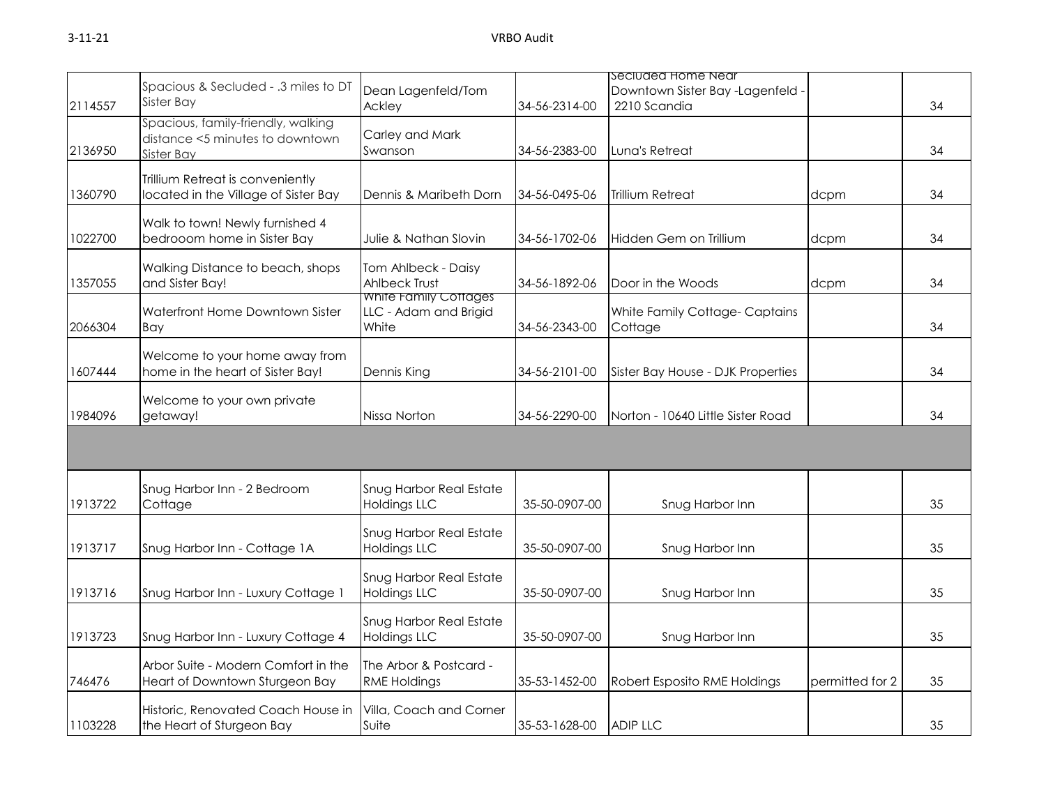|         |                                                                                            |                                                         |                                            | Secluded Home Near                             |                 |    |
|---------|--------------------------------------------------------------------------------------------|---------------------------------------------------------|--------------------------------------------|------------------------------------------------|-----------------|----|
| 2114557 | Spacious & Secluded - .3 miles to DT<br>Sister Bay                                         | Dean Lagenfeld/Tom<br>Ackley                            | 34-56-2314-00                              | Downtown Sister Bay -Lagenfeld<br>2210 Scandia |                 | 34 |
| 2136950 | Spacious, family-friendly, walking<br>distance <5 minutes to downtown<br><b>Sister Bay</b> | Carley and Mark<br>Swanson                              | 34-56-2383-00                              | Luna's Retreat                                 |                 | 34 |
| 1360790 | Trillium Retreat is conveniently<br>located in the Village of Sister Bay                   | Dennis & Maribeth Dorn                                  | 34-56-0495-06                              | <b>Trillium Retreat</b>                        | dcpm            | 34 |
| 1022700 | Walk to town! Newly furnished 4<br>bedrooom home in Sister Bay                             | Julie & Nathan Slovin                                   | 34-56-1702-06                              | Hidden Gem on Trillium                         | dcpm            | 34 |
| 1357055 | Walking Distance to beach, shops<br>and Sister Bay!                                        | Tom Ahlbeck - Daisy<br><b>Ahlbeck Trust</b>             | 34-56-1892-06<br>Door in the Woods<br>dcpm |                                                |                 | 34 |
| 2066304 | Waterfront Home Downtown Sister<br>Bay                                                     | White Family Cottages<br>LLC - Adam and Brigid<br>White | 34-56-2343-00                              | White Family Cottage-Captains<br>Cottage       |                 | 34 |
| 1607444 | Welcome to your home away from<br>home in the heart of Sister Bay!                         | Dennis King                                             | 34-56-2101-00                              | Sister Bay House - DJK Properties              |                 | 34 |
| 1984096 | Welcome to your own private<br>getaway!                                                    | Nissa Norton                                            | 34-56-2290-00                              | Norton - 10640 Little Sister Road              |                 | 34 |
|         |                                                                                            |                                                         |                                            |                                                |                 |    |
| 1913722 | Snug Harbor Inn - 2 Bedroom<br>Cottage                                                     | Snug Harbor Real Estate<br><b>Holdings LLC</b>          | 35-50-0907-00                              | Snug Harbor Inn                                |                 | 35 |
| 1913717 | Snug Harbor Inn - Cottage 1A                                                               | Snug Harbor Real Estate<br><b>Holdings LLC</b>          | 35-50-0907-00                              | Snug Harbor Inn                                |                 | 35 |
| 1913716 | Snug Harbor Inn - Luxury Cottage 1                                                         | Snug Harbor Real Estate<br><b>Holdings LLC</b>          | 35-50-0907-00                              | Snug Harbor Inn                                |                 | 35 |
| 1913723 | Snug Harbor Inn - Luxury Cottage 4                                                         | Snug Harbor Real Estate<br><b>Holdings LLC</b>          | 35-50-0907-00                              | Snug Harbor Inn                                |                 | 35 |
| 746476  | Arbor Suite - Modern Comfort in the<br>Heart of Downtown Sturgeon Bay                      | The Arbor & Postcard -<br><b>RME Holdings</b>           | 35-53-1452-00                              | Robert Esposito RME Holdings                   | permitted for 2 | 35 |
| 1103228 | Historic, Renovated Coach House in<br>the Heart of Sturgeon Bay                            | Villa, Coach and Corner<br>Suite                        | 35-53-1628-00                              | <b>ADIP LLC</b>                                |                 | 35 |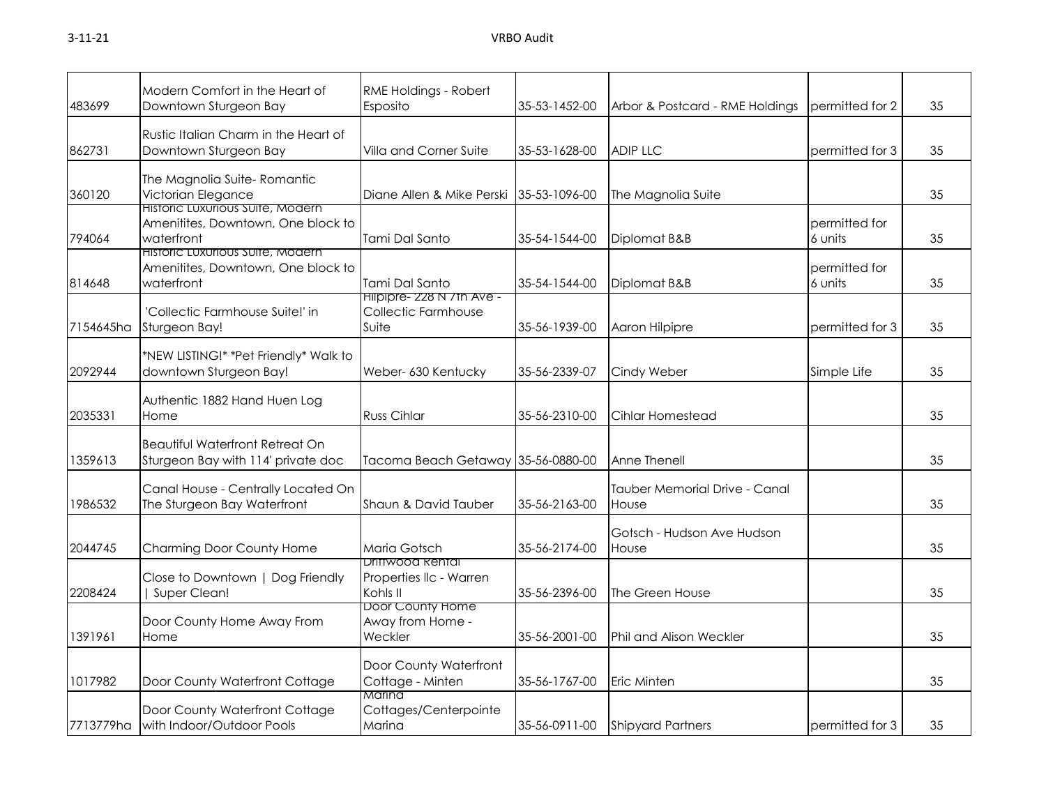| 483699    | Modern Comfort in the Heart of<br>Downtown Sturgeon Bay                              | RME Holdings - Robert<br>Esposito                          | 35-53-1452-00 | Arbor & Postcard - RME Holdings          | permitted for 2          | 35 |
|-----------|--------------------------------------------------------------------------------------|------------------------------------------------------------|---------------|------------------------------------------|--------------------------|----|
| 862731    | Rustic Italian Charm in the Heart of<br>Downtown Sturgeon Bay                        | Villa and Corner Suite                                     | 35-53-1628-00 | <b>ADIP LLC</b><br>permitted for 3       |                          | 35 |
| 360120    | The Magnolia Suite-Romantic<br>Victorian Elegance                                    | Diane Allen & Mike Perski 35-53-1096-00                    |               | The Magnolia Suite                       |                          | 35 |
| 794064    | Historic Luxurious Suite, Modern<br>Amenitites, Downtown, One block to<br>waterfront | Tami Dal Santo                                             | 35-54-1544-00 | Diplomat B&B                             | permitted for<br>6 units | 35 |
| 814648    | Historic Luxurious Suite, Modern<br>Amenitites, Downtown, One block to<br>waterfront | Tami Dal Santo                                             | 35-54-1544-00 | permitted for<br>Diplomat B&B<br>6 units |                          | 35 |
| 7154645ha | 'Collectic Farmhouse Suite!' in<br>Sturgeon Bay!                                     | Hilpipre- 228 N / th Ave -<br>Collectic Farmhouse<br>Suite | 35-56-1939-00 | Aaron Hilpipre<br>permitted for 3        |                          | 35 |
| 2092944   | *NEW LISTING!* *Pet Friendly* Walk to<br>downtown Sturgeon Bay!                      | Weber- 630 Kentucky                                        | 35-56-2339-07 | Cindy Weber<br>Simple Life               |                          | 35 |
| 2035331   | Authentic 1882 Hand Huen Log<br>Home                                                 | <b>Russ Cihlar</b>                                         | 35-56-2310-00 | Cihlar Homestead                         |                          | 35 |
| 1359613   | <b>Beautiful Waterfront Retreat On</b><br>Sturgeon Bay with 114' private doc         | Tacoma Beach Getaway 35-56-0880-00                         |               | Anne Thenell                             |                          | 35 |
| 1986532   | Canal House - Centrally Located On<br>The Sturgeon Bay Waterfront                    | Shaun & David Tauber                                       | 35-56-2163-00 | Tauber Memorial Drive - Canal<br>House   |                          | 35 |
| 2044745   | Charming Door County Home                                                            | Maria Gotsch                                               | 35-56-2174-00 | Gotsch - Hudson Ave Hudson<br>House      |                          | 35 |
| 2208424   | Close to Downtown   Dog Friendly<br>Super Clean!                                     | Driftwood Rental<br>Properties IIc - Warren<br>Kohls II    | 35-56-2396-00 | The Green House                          |                          | 35 |
| 1391961   | Door County Home Away From<br>Home                                                   | Door County Home<br>Away from Home -<br>Weckler            | 35-56-2001-00 | <b>Phil and Alison Weckler</b>           |                          | 35 |
| 1017982   | Door County Waterfront Cottage                                                       | Door County Waterfront<br>Cottage - Minten                 | 35-56-1767-00 | Eric Minten                              |                          | 35 |
| 7713779ha | Door County Waterfront Cottage<br>with Indoor/Outdoor Pools                          | Marina<br>Cottages/Centerpointe<br>Marina                  | 35-56-0911-00 | <b>Shipyard Partners</b>                 | permitted for 3          | 35 |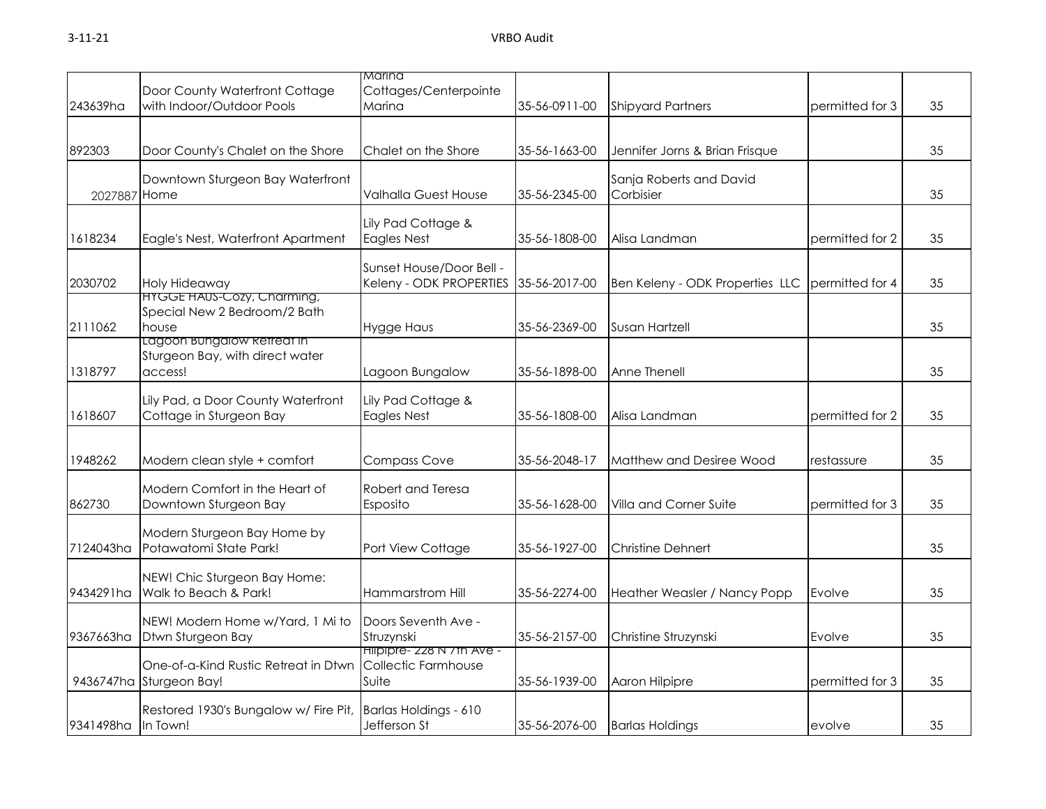|                    |                                                                            | Marina                                                     |               |                                                    |                 |    |
|--------------------|----------------------------------------------------------------------------|------------------------------------------------------------|---------------|----------------------------------------------------|-----------------|----|
| 243639ha           | Door County Waterfront Cottage<br>with Indoor/Outdoor Pools                | Cottages/Centerpointe<br>Marina                            | 35-56-0911-00 | <b>Shipyard Partners</b>                           | permitted for 3 | 35 |
| 892303             | Door County's Chalet on the Shore                                          | Chalet on the Shore                                        | 35-56-1663-00 | Jennifer Jorns & Brian Frisque                     |                 | 35 |
| 2027887 Home       | Downtown Sturgeon Bay Waterfront                                           | Valhalla Guest House                                       | 35-56-2345-00 | Sanja Roberts and David<br>Corbisier               |                 | 35 |
| 1618234            | Eagle's Nest, Waterfront Apartment                                         | Lily Pad Cottage &<br><b>Eagles Nest</b>                   | 35-56-1808-00 | Alisa Landman                                      | permitted for 2 | 35 |
| 2030702            | Holy Hideaway                                                              | Sunset House/Door Bell -<br>Keleny - ODK PROPERTIES        | 35-56-2017-00 | Ben Keleny - ODK Properties LLC<br>permitted for 4 |                 | 35 |
| 2111062            | <b>HYGGE HAUS-COZY, Charming,</b><br>Special New 2 Bedroom/2 Bath<br>house | <b>Hygge Haus</b>                                          | 35-56-2369-00 | <b>Susan Hartzell</b>                              |                 | 35 |
| 1318797            | Lagoon Bungalow Refreat in<br>Sturgeon Bay, with direct water<br>access!   | Lagoon Bungalow                                            | 35-56-1898-00 | Anne Thenell                                       |                 | 35 |
| 1618607            | Lily Pad, a Door County Waterfront<br>Cottage in Sturgeon Bay              | Lily Pad Cottage &<br><b>Eagles Nest</b>                   | 35-56-1808-00 | Alisa Landman                                      | permitted for 2 | 35 |
| 1948262            | Modern clean style + comfort                                               | <b>Compass Cove</b>                                        | 35-56-2048-17 | Matthew and Desiree Wood                           | restassure      | 35 |
| 862730             | Modern Comfort in the Heart of<br>Downtown Sturgeon Bay                    | Robert and Teresa<br>Esposito                              | 35-56-1628-00 | Villa and Corner Suite                             | permitted for 3 | 35 |
| 7124043ha          | Modern Sturgeon Bay Home by<br>Potawatomi State Park!                      | Port View Cottage                                          | 35-56-1927-00 | <b>Christine Dehnert</b>                           |                 | 35 |
| 9434291ha          | NEW! Chic Sturgeon Bay Home:<br>Walk to Beach & Park!                      | Hammarstrom Hill                                           | 35-56-2274-00 | Heather Weasler / Nancy Popp                       | Evolve          | 35 |
| 9367663ha          | NEW! Modern Home w/Yard, 1 Mi to<br>Dtwn Sturgeon Bay                      | Doors Seventh Ave -<br>Struzynski                          | 35-56-2157-00 | Christine Struzynski                               | Evolve          | 35 |
| 9436747ha          | One-of-a-Kind Rustic Retreat in Dtwn<br>Sturgeon Bay!                      | Hilpipre- 228 N / th Ave -<br>Collectic Farmhouse<br>Suite | 35-56-1939-00 | Aaron Hilpipre                                     | permitted for 3 | 35 |
| 9341498ha In Town! | Restored 1930's Bungalow w/ Fire Pit,                                      | Barlas Holdings - 610<br>Jefferson St                      | 35-56-2076-00 | <b>Barlas Holdings</b>                             | evolve          | 35 |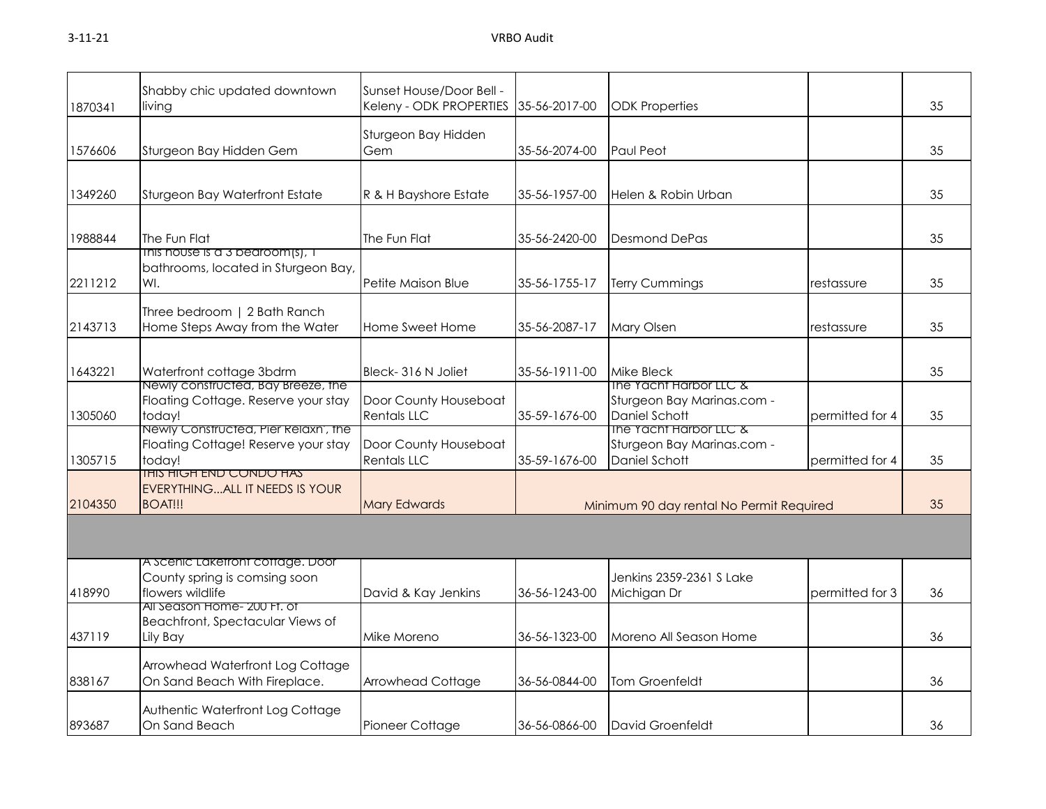| 1870341 | Shabby chic updated downtown<br>living                                                | Sunset House/Door Bell -<br>Keleny - ODK PROPERTIES | 35-56-2017-00 | <b>ODK Properties</b>                                                                   |                 | 35 |
|---------|---------------------------------------------------------------------------------------|-----------------------------------------------------|---------------|-----------------------------------------------------------------------------------------|-----------------|----|
| 1576606 | Sturgeon Bay Hidden Gem                                                               | Sturgeon Bay Hidden<br>Gem                          | 35-56-2074-00 | <b>Paul Peot</b>                                                                        |                 | 35 |
| 1349260 | Sturgeon Bay Waterfront Estate                                                        | R & H Bayshore Estate                               | 35-56-1957-00 | Helen & Robin Urban                                                                     |                 | 35 |
| 1988844 | The Fun Flat<br>This house is a 3 bedroom(s), I                                       | The Fun Flat                                        | 35-56-2420-00 | <b>Desmond DePas</b>                                                                    |                 | 35 |
| 2211212 | bathrooms, located in Sturgeon Bay,<br>WI.                                            | Petite Maison Blue                                  | 35-56-1755-17 | <b>Terry Cummings</b>                                                                   | restassure      | 35 |
| 2143713 | Three bedroom   2 Bath Ranch<br>Home Steps Away from the Water                        | Home Sweet Home                                     | 35-56-2087-17 | Mary Olsen                                                                              | restassure      | 35 |
| 1643221 | Waterfront cottage 3bdrm                                                              | Bleck-316 N Joliet                                  | 35-56-1911-00 | Mike Bleck                                                                              |                 | 35 |
| 1305060 | Newly constructed, Bay Breeze, the<br>Floating Cottage. Reserve your stay<br>today!   | Door County Houseboat<br><b>Rentals LLC</b>         | 35-59-1676-00 | The Yacht Harbor LLC &<br>Sturgeon Bay Marinas.com -<br><b>Daniel Schott</b>            | permitted for 4 | 35 |
| 1305715 | Newly Constructed, Pier Relaxn', the<br>Floating Cottage! Reserve your stay<br>today! | Door County Houseboat<br><b>Rentals LLC</b>         | 35-59-1676-00 | <b>The Yacht Harbor LLC &amp;</b><br>Sturgeon Bay Marinas.com -<br><b>Daniel Schott</b> | permitted for 4 | 35 |
| 2104350 | <u>IHIS HIGH END CONDO HAS</u><br>EVERYTHINGALL IT NEEDS IS YOUR<br>BOAT!!!           | <b>Mary Edwards</b>                                 |               | Minimum 90 day rental No Permit Required                                                |                 | 35 |
|         |                                                                                       |                                                     |               |                                                                                         |                 |    |
| 418990  | A Scenic Laketront cottage. Door<br>County spring is comsing soon<br>flowers wildlife | David & Kay Jenkins                                 | 36-56-1243-00 | Jenkins 2359-2361 S Lake<br>Michigan Dr                                                 | permitted for 3 | 36 |
| 437119  | All Season Home- 200 FT. OT<br>Beachfront, Spectacular Views of<br>Lily Bay           | Mike Moreno                                         | 36-56-1323-00 | Moreno All Season Home                                                                  |                 | 36 |
| 838167  | Arrowhead Waterfront Log Cottage<br>On Sand Beach With Fireplace.                     | Arrowhead Cottage                                   | 36-56-0844-00 | Tom Groenfeldt                                                                          |                 | 36 |
| 893687  | Authentic Waterfront Log Cottage<br>On Sand Beach                                     | Pioneer Cottage                                     | 36-56-0866-00 | David Groenfeldt                                                                        |                 | 36 |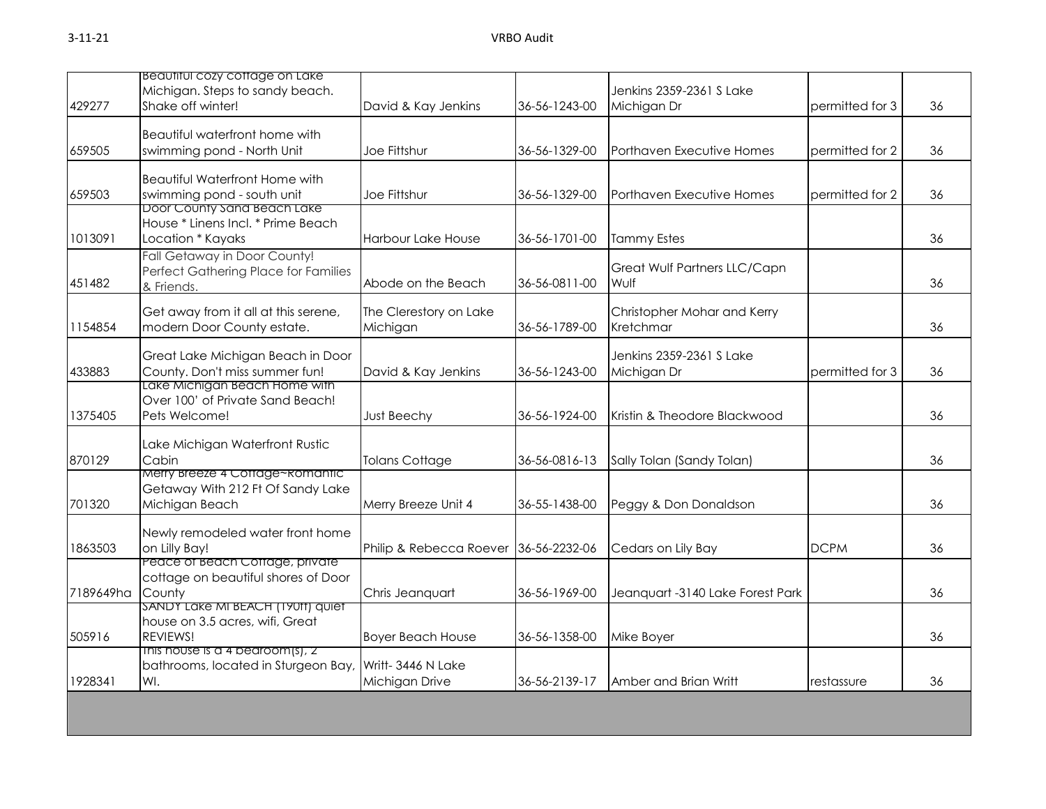| 429277    | Beautiful cozy cottage on Lake<br>Michigan. Steps to sandy beach.<br>Shake off winter! | David & Kay Jenkins                   | 36-56-1243-00 | Jenkins 2359-2361 S Lake<br>Michigan Dr<br>permitted for 3 |                 | 36 |
|-----------|----------------------------------------------------------------------------------------|---------------------------------------|---------------|------------------------------------------------------------|-----------------|----|
| 659505    | Beautiful waterfront home with<br>swimming pond - North Unit                           | Joe Fittshur                          | 36-56-1329-00 | Porthaven Executive Homes<br>permitted for 2               |                 | 36 |
| 659503    | <b>Beautiful Waterfront Home with</b><br>swimming pond - south unit                    | Joe Fittshur                          | 36-56-1329-00 | Porthaven Executive Homes                                  | permitted for 2 | 36 |
| 1013091   | Door County Sand Beach Lake<br>House * Linens Incl. * Prime Beach<br>Location * Kayaks | <b>Harbour Lake House</b>             | 36-56-1701-00 | <b>Tammy Estes</b>                                         |                 | 36 |
| 451482    | Fall Getaway in Door County!<br>Perfect Gathering Place for Families<br>& Friends.     | Abode on the Beach                    | 36-56-0811-00 | Great Wulf Partners LLC/Capn<br>Wulf                       |                 | 36 |
| 1154854   | Get away from it all at this serene,<br>modern Door County estate.                     | The Clerestory on Lake<br>Michigan    | 36-56-1789-00 | Christopher Mohar and Kerry<br>Kretchmar                   |                 | 36 |
| 433883    | Great Lake Michigan Beach in Door<br>County. Don't miss summer fun!                    | David & Kay Jenkins                   | 36-56-1243-00 | Jenkins 2359-2361 S Lake<br>Michigan Dr<br>permitted for 3 |                 | 36 |
| 1375405   | Lake Michigan Beach Home with<br>Over 100' of Private Sand Beach!<br>Pets Welcome!     | <b>Just Beechy</b>                    | 36-56-1924-00 | Kristin & Theodore Blackwood                               |                 | 36 |
| 870129    | Lake Michigan Waterfront Rustic<br>Cabin                                               | <b>Tolans Cottage</b>                 | 36-56-0816-13 | Sally Tolan (Sandy Tolan)                                  |                 | 36 |
| 701320    | Merry Breeze 4 Cottage~Romantic<br>Getaway With 212 Ft Of Sandy Lake<br>Michigan Beach | Merry Breeze Unit 4                   | 36-55-1438-00 | Peggy & Don Donaldson                                      |                 | 36 |
| 1863503   | Newly remodeled water front home<br>on Lilly Bay!                                      | Philip & Rebecca Roever 36-56-2232-06 |               | Cedars on Lily Bay<br><b>DCPM</b>                          |                 | 36 |
| 7189649ha | Peace of Beach Cottage, private<br>cottage on beautiful shores of Door<br>County       | Chris Jeanquart                       | 36-56-1969-00 | Jeanquart -3140 Lake Forest Park                           |                 | 36 |
| 505916    | SANDY LAKE MI BEACH (190TT) QUIET<br>house on 3.5 acres, wifi, Great<br>REVIEWS!       | <b>Boyer Beach House</b>              | 36-56-1358-00 | Mike Boyer                                                 |                 | 36 |
| 1928341   | This house is a 4 bedroom(s), $2$<br>bathrooms, located in Sturgeon Bay,<br>WI.        | Writt-3446 N Lake<br>Michigan Drive   | 36-56-2139-17 | Amber and Brian Writt                                      | restassure      | 36 |
|           |                                                                                        |                                       |               |                                                            |                 |    |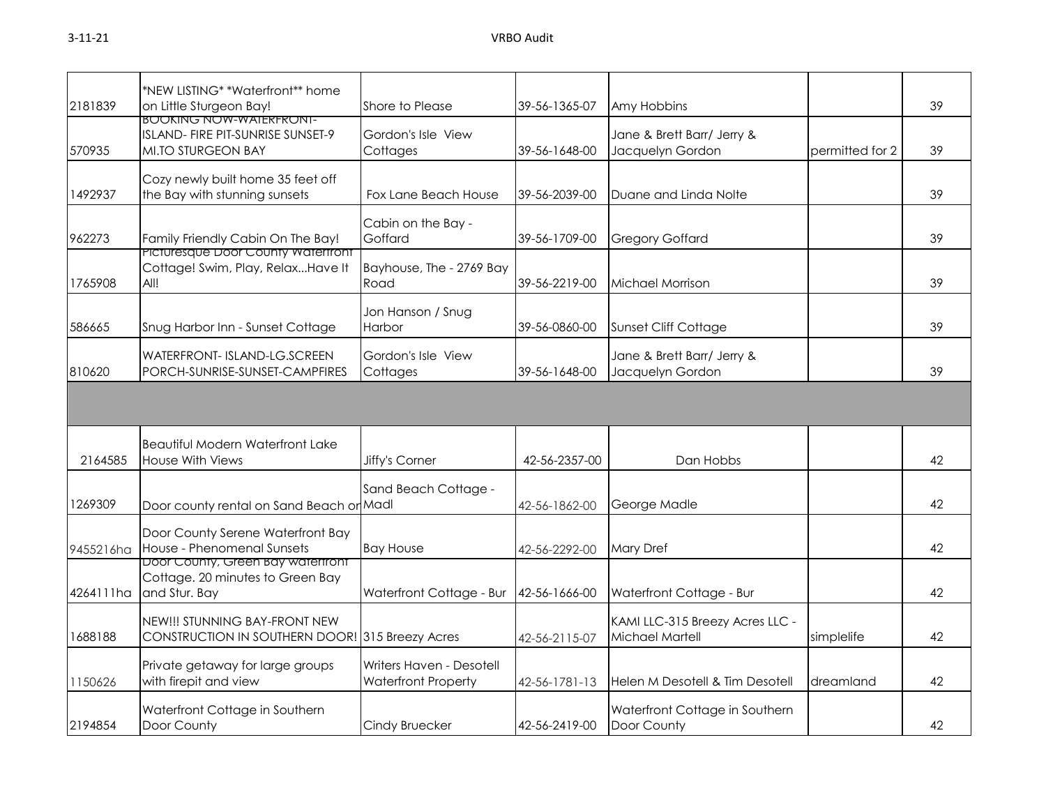| 2181839   | *NEW LISTING* *Waterfront** home<br>on Little Sturgeon Bay!                               | Shore to Please                                        | 39-56-1365-07 | Amy Hobbins                                        |                 | 39 |
|-----------|-------------------------------------------------------------------------------------------|--------------------------------------------------------|---------------|----------------------------------------------------|-----------------|----|
| 570935    | <b>BOOKING NOW-WAIERFRONI-</b><br>ISLAND- FIRE PIT-SUNRISE SUNSET-9<br>MI.TO STURGEON BAY | Gordon's Isle View<br>Cottages                         | 39-56-1648-00 | Jane & Brett Barr/ Jerry &<br>Jacquelyn Gordon     | permitted for 2 | 39 |
| 1492937   | Cozy newly built home 35 feet off<br>the Bay with stunning sunsets                        | Fox Lane Beach House                                   | 39-56-2039-00 | Duane and Linda Nolte                              |                 | 39 |
| 962273    | Family Friendly Cabin On The Bay!                                                         | Cabin on the Bay -<br>Goffard                          | 39-56-1709-00 | <b>Gregory Goffard</b>                             |                 | 39 |
| 1765908   | <b>Picturesque Door County Watertront</b><br>Cottage! Swim, Play, RelaxHave It<br>All!    | Bayhouse, The - 2769 Bay<br>Road                       | 39-56-2219-00 | Michael Morrison                                   |                 | 39 |
| 586665    | Snug Harbor Inn - Sunset Cottage                                                          | Jon Hanson / Snug<br>Harbor                            | 39-56-0860-00 | <b>Sunset Cliff Cottage</b>                        |                 | 39 |
| 810620    | WATERFRONT- ISLAND-LG.SCREEN<br>PORCH-SUNRISE-SUNSET-CAMPFIRES                            | Gordon's Isle View<br>Cottages                         | 39-56-1648-00 | Jane & Brett Barr/ Jerry &<br>Jacquelyn Gordon     |                 | 39 |
|           |                                                                                           |                                                        |               |                                                    |                 |    |
| 2164585   | <b>Beautiful Modern Waterfront Lake</b><br>House With Views                               | Jiffy's Corner                                         | 42-56-2357-00 | Dan Hobbs                                          |                 | 42 |
| 1269309   | Door county rental on Sand Beach or Madl                                                  | Sand Beach Cottage -                                   | 42-56-1862-00 | George Madle                                       |                 | 42 |
| 9455216ha | Door County Serene Waterfront Bay<br>House - Phenomenal Sunsets                           | <b>Bay House</b>                                       | 42-56-2292-00 | <b>Mary Dref</b>                                   |                 | 42 |
| 4264111ha | Door County, Green Bay watertront<br>Cottage. 20 minutes to Green Bay<br>and Stur. Bay    | Waterfront Cottage - Bur                               | 42-56-1666-00 | Waterfront Cottage - Bur                           |                 | 42 |
| 1688188   | NEW!!! STUNNING BAY-FRONT NEW<br>CONSTRUCTION IN SOUTHERN DOOR! 315 Breezy Acres          |                                                        | 42-56-2115-07 | KAMI LLC-315 Breezy Acres LLC -<br>Michael Martell | simplelife      | 42 |
| 1150626   | Private getaway for large groups<br>with firepit and view                                 | Writers Haven - Desotell<br><b>Waterfront Property</b> | 42-56-1781-13 | Helen M Desotell & Tim Desotell                    | dreamland       | 42 |
| 2194854   | Waterfront Cottage in Southern<br>Door County                                             | Cindy Bruecker                                         | 42-56-2419-00 | Waterfront Cottage in Southern<br>Door County      |                 | 42 |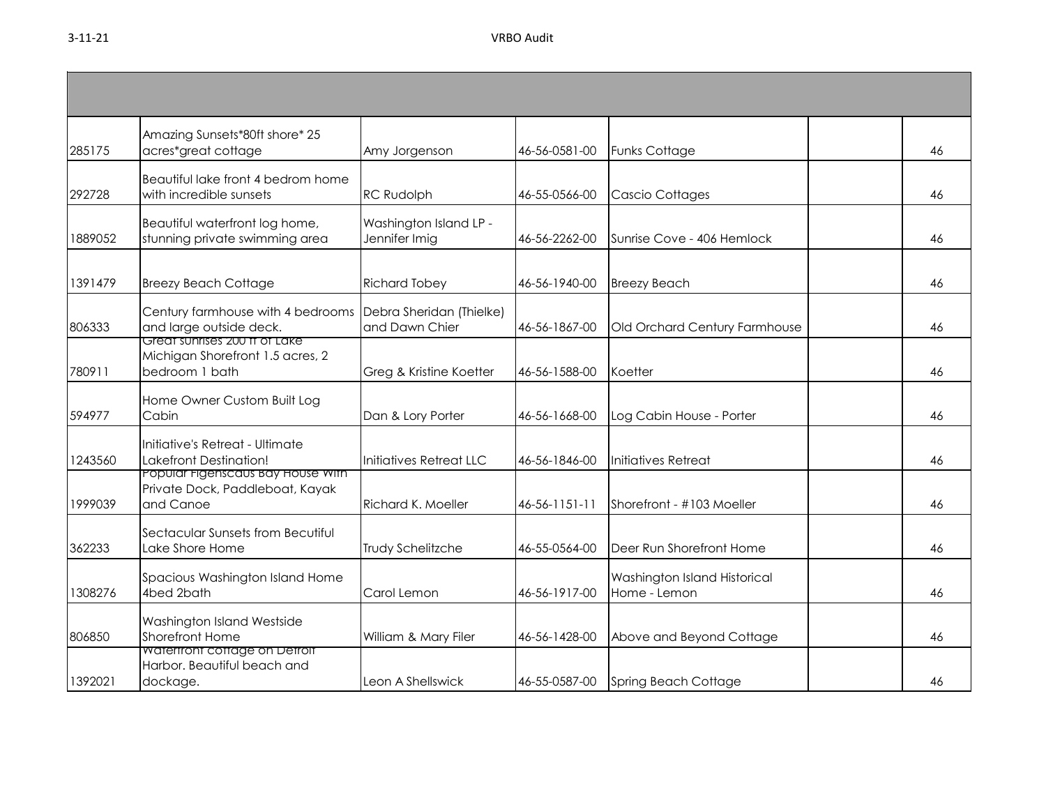| 285175  | Amazing Sunsets*80ft shore* 25<br>acres*great cottage                                                 | Amy Jorgenson                              | 46-56-0581-00 | <b>Funks Cottage</b>                         | 46 |
|---------|-------------------------------------------------------------------------------------------------------|--------------------------------------------|---------------|----------------------------------------------|----|
| 292728  | Beautiful lake front 4 bedrom home<br>with incredible sunsets                                         | <b>RC Rudolph</b>                          | 46-55-0566-00 | Cascio Cottages                              | 46 |
| 1889052 | Beautiful waterfront log home,<br>stunning private swimming area                                      | Washington Island LP -<br>Jennifer Imig    | 46-56-2262-00 | Sunrise Cove - 406 Hemlock                   | 46 |
| 1391479 | <b>Breezy Beach Cottage</b>                                                                           | <b>Richard Tobey</b>                       | 46-56-1940-00 | <b>Breezy Beach</b>                          | 46 |
| 806333  | Century farmhouse with 4 bedrooms<br>and large outside deck.<br>Great sunrises 200 tt of Lake         | Debra Sheridan (Thielke)<br>and Dawn Chier | 46-56-1867-00 | Old Orchard Century Farmhouse                | 46 |
| 780911  | Michigan Shorefront 1.5 acres, 2<br>bedroom 1 bath                                                    | Greg & Kristine Koetter                    | 46-56-1588-00 | Koetter                                      | 46 |
| 594977  | Home Owner Custom Built Log<br>Cabin                                                                  | Dan & Lory Porter                          | 46-56-1668-00 | Log Cabin House - Porter                     | 46 |
| 1243560 | Initiative's Retreat - Ultimate<br><b>Lakefront Destination!</b><br>Popular Figenscaus Bay House With | Initiatives Retreat LLC                    | 46-56-1846-00 | Initiatives Retreat                          | 46 |
| 1999039 | Private Dock, Paddleboat, Kayak<br>and Canoe                                                          | Richard K. Moeller                         | 46-56-1151-11 | Shorefront - #103 Moeller                    | 46 |
| 362233  | Sectacular Sunsets from Becutiful<br>Lake Shore Home                                                  | Trudy Schelitzche                          | 46-55-0564-00 | Deer Run Shorefront Home                     | 46 |
| 1308276 | Spacious Washington Island Home<br>4bed 2bath                                                         | Carol Lemon                                | 46-56-1917-00 | Washington Island Historical<br>Home - Lemon | 46 |
| 806850  | Washington Island Westside<br><b>Shorefront Home</b>                                                  | William & Mary Filer                       | 46-56-1428-00 | Above and Beyond Cottage                     | 46 |
| 1392021 | Watertront cottage on Detroit<br>Harbor. Beautiful beach and<br>dockage.                              | Leon A Shellswick                          | 46-55-0587-00 | <b>Spring Beach Cottage</b>                  | 46 |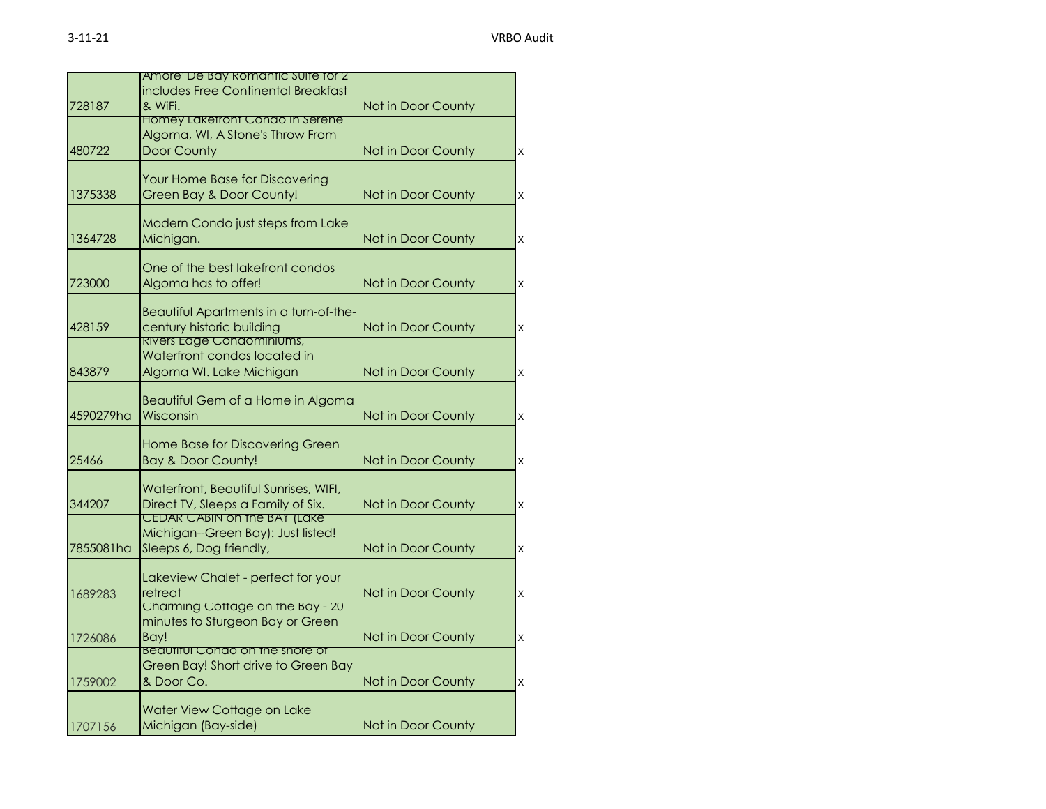|           | Amore De Bay Romantic Suite for 2      |                    |                         |
|-----------|----------------------------------------|--------------------|-------------------------|
|           | includes Free Continental Breakfast    |                    |                         |
| 728187    | & WiFi.                                | Not in Door County |                         |
|           | <b>Homey Laketront Condo In Serene</b> |                    |                         |
|           | Algoma, WI, A Stone's Throw From       |                    |                         |
| 480722    | <b>Door County</b>                     | Not in Door County | $\mathsf{X}% _{0}$      |
|           |                                        |                    |                         |
|           | Your Home Base for Discovering         |                    |                         |
| 1375338   | Green Bay & Door County!               | Not in Door County | $\times$                |
|           |                                        |                    |                         |
|           | Modern Condo just steps from Lake      |                    |                         |
| 1364728   | Michigan.                              | Not in Door County | $\overline{\mathsf{x}}$ |
|           |                                        |                    |                         |
|           | One of the best lakefront condos       |                    |                         |
| 723000    | Algoma has to offer!                   | Not in Door County | $\times$                |
|           |                                        |                    |                         |
|           | Beautiful Apartments in a turn-of-the- |                    |                         |
| 428159    | century historic building              | Not in Door County | X                       |
|           | <b>RIVERS Eage Condominiums,</b>       |                    |                         |
|           | Waterfront condos located in           |                    |                         |
| 843879    | Algoma WI. Lake Michigan               | Not in Door County | X                       |
|           |                                        |                    |                         |
|           | Beautiful Gem of a Home in Algoma      |                    |                         |
| 4590279ha | Wisconsin                              | Not in Door County | $\times$                |
|           | Home Base for Discovering Green        |                    |                         |
| 25466     | <b>Bay &amp; Door County!</b>          | Not in Door County | $\times$                |
|           |                                        |                    |                         |
|           | Waterfront, Beautiful Sunrises, WIFI,  |                    |                         |
| 344207    | Direct TV, Sleeps a Family of Six.     | Not in Door County | $\times$                |
|           | <b>CEDAR CABIN ON THE BAY (LAKE</b>    |                    |                         |
|           | Michigan--Green Bay): Just listed!     |                    |                         |
| 7855081ha | Sleeps 6, Dog friendly,                | Not in Door County | $\times$                |
|           |                                        |                    |                         |
|           | Lakeview Chalet - perfect for your     |                    |                         |
| 1689283   | retreat                                | Not in Door County | $\times$                |
|           | Charming Cottage on the Bay - 20       |                    |                         |
|           | minutes to Sturgeon Bay or Green       |                    |                         |
| 1726086   | Bay!                                   | Not in Door County | $\times$                |
|           | Beautiful Condo on the shore of        |                    |                         |
|           | Green Bay! Short drive to Green Bay    |                    |                         |
| 1759002   | & Door Co.                             | Not in Door County | $\times$                |
|           |                                        |                    |                         |
|           | Water View Cottage on Lake             |                    |                         |
| 1707156   | Michigan (Bay-side)                    | Not in Door County |                         |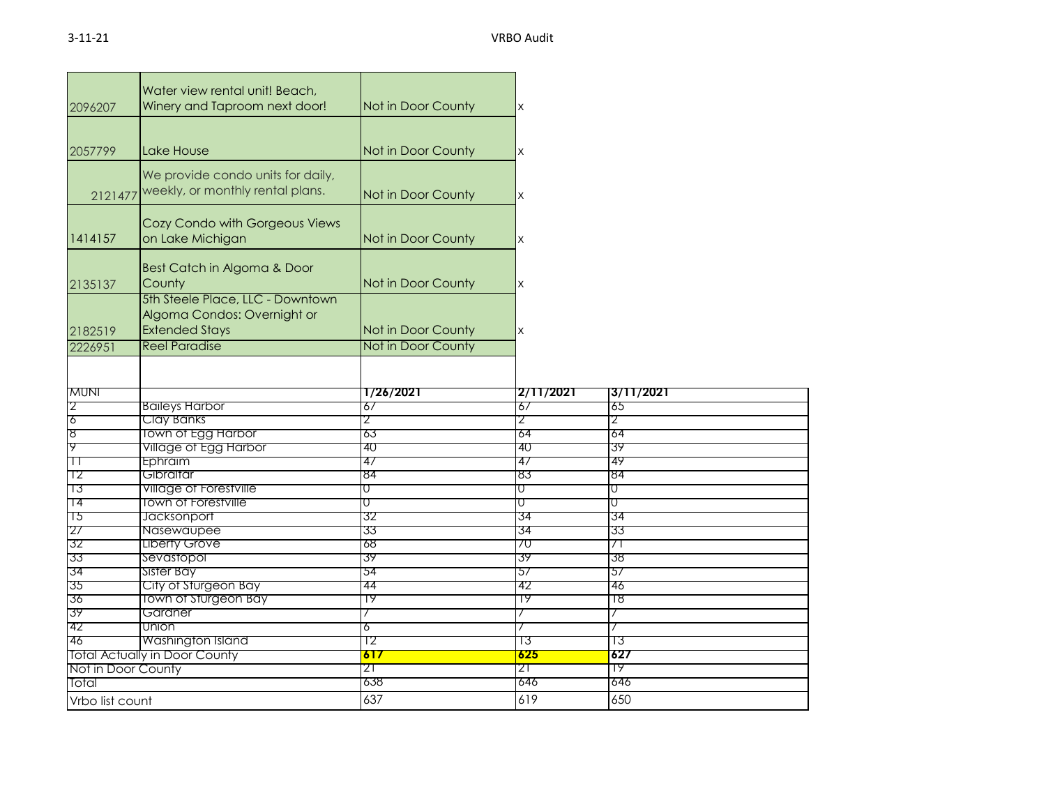| 2096207            | Water view rental unit! Beach,<br>Winery and Taproom next door!                          | Not in Door County | X         |           |
|--------------------|------------------------------------------------------------------------------------------|--------------------|-----------|-----------|
| 2057799            | Lake House                                                                               | Not in Door County | X         |           |
| 2121477            | We provide condo units for daily,<br>weekly, or monthly rental plans.                    | Not in Door County | X         |           |
| 1414157            | Cozy Condo with Gorgeous Views<br>on Lake Michigan                                       | Not in Door County | X         |           |
| 2135137            | Best Catch in Algoma & Door<br>County                                                    | Not in Door County | X         |           |
| 2182519            | 5th Steele Place, LLC - Downtown<br>Algoma Condos: Overnight or<br><b>Extended Stays</b> | Not in Door County | X         |           |
| 2226951            | <b>Reel Paradise</b>                                                                     | Not in Door County |           |           |
| <b>MUNI</b>        |                                                                                          | 1/26/2021          | 2/11/2021 | 3/11/2021 |
| 2                  | <b>Baileys Harbor</b>                                                                    | 67                 | 67        | 65        |
| 6                  | Clay Banks                                                                               | 2                  | 2         | 2         |
| 8                  | <b>Town of Egg Harbor</b>                                                                | 63                 | 64        | 64        |
| ሃ                  | Village of Egg Harbor                                                                    | 40                 | 40        | 39        |
| П                  | Ephraim                                                                                  | 47                 | 4/        | 49        |
| -12                | Gibraltar                                                                                | 84                 | 83        | 84        |
| 73                 | <b>Village of Forestville</b>                                                            | σ                  | U         | σ         |
| 14                 | <b>Town of Forestville</b>                                                               | U                  | U         | U         |
| 75                 | Jacksonport                                                                              | 32                 | 34        | 34        |
| '27                | Nasewaupee                                                                               | 33                 | 34        | 33        |
| 32                 | <b>Liberty Grove</b>                                                                     | 68                 | 70        | 71        |
| 33                 | Sevastopol                                                                               | 39<br>54           | 39<br>57  | 38<br>57  |
| 34<br>35           | Sister Bay<br>City of Sturgeon Bay                                                       | 44                 | 42        | 46        |
| 36                 | <b>Town of Sturgeon Bay</b>                                                              | 19                 | 19        | 18        |
| 39                 | Gardner                                                                                  |                    |           |           |
| 42                 | Union                                                                                    | 6                  |           |           |
| 46                 | Washington Island                                                                        | Τ2                 | Τ3        | 13        |
|                    | <b>Total Actually in Door County</b>                                                     | 617                | 625       | 627       |
| Not in Door County |                                                                                          | 21                 | 21        | 79        |
|                    |                                                                                          |                    |           |           |
| Total              |                                                                                          | 638                | 646       | 646       |